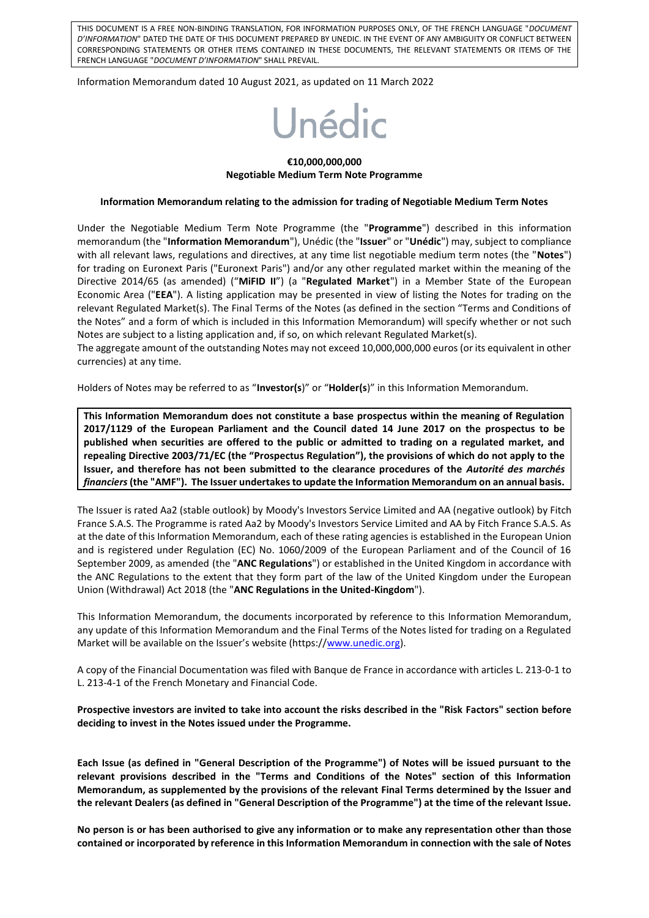THIS DOCUMENT IS A FREE NON-BINDING TRANSLATION, FOR INFORMATION PURPOSES ONLY, OF THE FRENCH LANGUAGE "*DOCUMENT D'INFORMATION*" DATED THE DATE OF THIS DOCUMENT PREPARED BY UNEDIC. IN THE EVENT OF ANY AMBIGUITY OR CONFLICT BETWEEN CORRESPONDING STATEMENTS OR OTHER ITEMS CONTAINED IN THESE DOCUMENTS, THE RELEVANT STATEMENTS OR ITEMS OF THE FRENCH LANGUAGE "*DOCUMENT D'INFORMATION*" SHALL PREVAIL.

Information Memorandum dated 10 August 2021, as updated on 11 March 2022

# Unédic

#### **€10,000,000,000 Negotiable Medium Term Note Programme**

#### **Information Memorandum relating to the admission for trading of Negotiable Medium Term Notes**

Under the Negotiable Medium Term Note Programme (the "**Programme**") described in this information memorandum (the "**Information Memorandum**"), Unédic (the "**Issuer**" or "**Unédic**") may, subject to compliance with all relevant laws, regulations and directives, at any time list negotiable medium term notes (the "**Notes**") for trading on Euronext Paris ("Euronext Paris") and/or any other regulated market within the meaning of the Directive 2014/65 (as amended) ("**MiFID II**") (a "**Regulated Market**") in a Member State of the European Economic Area ("**EEA**"). A listing application may be presented in view of listing the Notes for trading on the relevant Regulated Market(s). The Final Terms of the Notes (as defined in the section "Terms and Conditions of the Notes" and a form of which is included in this Information Memorandum) will specify whether or not such Notes are subject to a listing application and, if so, on which relevant Regulated Market(s).

The aggregate amount of the outstanding Notes may not exceed 10,000,000,000 euros (or its equivalent in other currencies) at any time.

Holders of Notes may be referred to as "**Investor(s**)" or "**Holder(s**)" in this Information Memorandum.

**This Information Memorandum does not constitute a base prospectus within the meaning of Regulation 2017/1129 of the European Parliament and the Council dated 14 June 2017 on the prospectus to be published when securities are offered to the public or admitted to trading on a regulated market, and repealing Directive 2003/71/EC (the "Prospectus Regulation"), the provisions of which do not apply to the Issuer, and therefore has not been submitted to the clearance procedures of the** *Autorité des marchés financiers***(the "AMF"). The Issuer undertakes to update the Information Memorandum on an annual basis.** 

The Issuer is rated Aa2 (stable outlook) by Moody's Investors Service Limited and AA (negative outlook) by Fitch France S.A.S. The Programme is rated Aa2 by Moody's Investors Service Limited and AA by Fitch France S.A.S. As at the date of this Information Memorandum, each of these rating agencies is established in the European Union and is registered under Regulation (EC) No. 1060/2009 of the European Parliament and of the Council of 16 September 2009, as amended (the "**ANC Regulations**") or established in the United Kingdom in accordance with the ANC Regulations to the extent that they form part of the law of the United Kingdom under the European Union (Withdrawal) Act 2018 (the "**ANC Regulations in the United-Kingdom**").

This Information Memorandum, the documents incorporated by reference to this Information Memorandum, any update of this Information Memorandum and the Final Terms of the Notes listed for trading on a Regulated Market will be available on the Issuer's website (https://[www.unedic.org\)](http://www.unedic.org/).

A copy of the Financial Documentation was filed with Banque de France in accordance with articles L. 213-0-1 to L. 213-4-1 of the French Monetary and Financial Code.

**Prospective investors are invited to take into account the risks described in the "Risk Factors" section before deciding to invest in the Notes issued under the Programme.**

**Each Issue (as defined in "General Description of the Programme") of Notes will be issued pursuant to the relevant provisions described in the "Terms and Conditions of the Notes" section of this Information Memorandum, as supplemented by the provisions of the relevant Final Terms determined by the Issuer and the relevant Dealers (as defined in "General Description of the Programme") at the time of the relevant Issue.** 

**No person is or has been authorised to give any information or to make any representation other than those contained or incorporated by reference in this Information Memorandum in connection with the sale of Notes**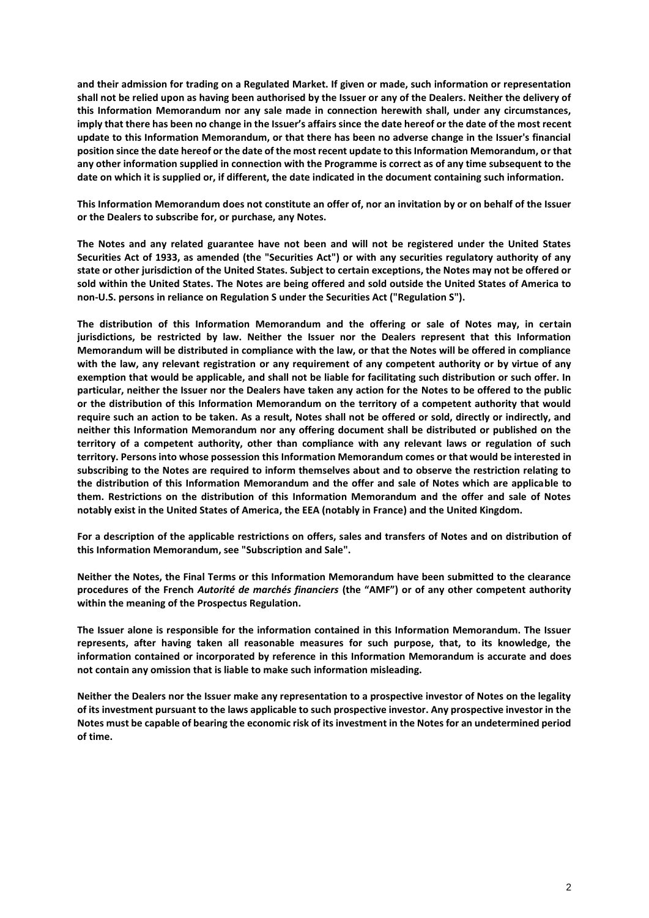**and their admission for trading on a Regulated Market. If given or made, such information or representation shall not be relied upon as having been authorised by the Issuer or any of the Dealers. Neither the delivery of this Information Memorandum nor any sale made in connection herewith shall, under any circumstances, imply that there has been no change in the Issuer's affairs since the date hereof or the date of the most recent update to this Information Memorandum, or that there has been no adverse change in the Issuer's financial position since the date hereof or the date of the most recent update to this Information Memorandum, or that any other information supplied in connection with the Programme is correct as of any time subsequent to the date on which it is supplied or, if different, the date indicated in the document containing such information.**

**This Information Memorandum does not constitute an offer of, nor an invitation by or on behalf of the Issuer or the Dealers to subscribe for, or purchase, any Notes.**

**The Notes and any related guarantee have not been and will not be registered under the United States Securities Act of 1933, as amended (the "Securities Act") or with any securities regulatory authority of any state or other jurisdiction of the United States. Subject to certain exceptions, the Notes may not be offered or sold within the United States. The Notes are being offered and sold outside the United States of America to non-U.S. persons in reliance on Regulation S under the Securities Act ("Regulation S").**

**The distribution of this Information Memorandum and the offering or sale of Notes may, in certain jurisdictions, be restricted by law. Neither the Issuer nor the Dealers represent that this Information Memorandum will be distributed in compliance with the law, or that the Notes will be offered in compliance with the law, any relevant registration or any requirement of any competent authority or by virtue of any exemption that would be applicable, and shall not be liable for facilitating such distribution or such offer. In particular, neither the Issuer nor the Dealers have taken any action for the Notes to be offered to the public or the distribution of this Information Memorandum on the territory of a competent authority that would require such an action to be taken. As a result, Notes shall not be offered or sold, directly or indirectly, and neither this Information Memorandum nor any offering document shall be distributed or published on the territory of a competent authority, other than compliance with any relevant laws or regulation of such territory. Persons into whose possession this Information Memorandum comes or that would be interested in subscribing to the Notes are required to inform themselves about and to observe the restriction relating to the distribution of this Information Memorandum and the offer and sale of Notes which are applicable to them. Restrictions on the distribution of this Information Memorandum and the offer and sale of Notes notably exist in the United States of America, the EEA (notably in France) and the United Kingdom.**

**For a description of the applicable restrictions on offers, sales and transfers of Notes and on distribution of this Information Memorandum, see "Subscription and Sale".**

**Neither the Notes, the Final Terms or this Information Memorandum have been submitted to the clearance procedures of the French** *Autorité de marchés financiers* **(the "AMF") or of any other competent authority within the meaning of the Prospectus Regulation.**

**The Issuer alone is responsible for the information contained in this Information Memorandum. The Issuer represents, after having taken all reasonable measures for such purpose, that, to its knowledge, the information contained or incorporated by reference in this Information Memorandum is accurate and does not contain any omission that is liable to make such information misleading.** 

**Neither the Dealers nor the Issuer make any representation to a prospective investor of Notes on the legality of its investment pursuant to the laws applicable to such prospective investor. Any prospective investor in the Notes must be capable of bearing the economic risk of its investment in the Notes for an undetermined period of time.**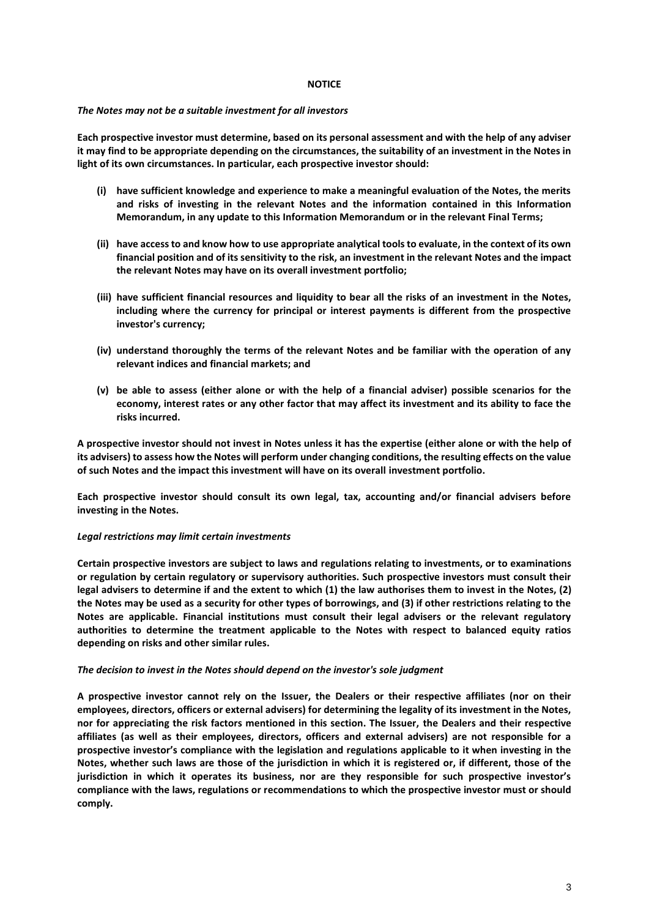#### **NOTICE**

#### *The Notes may not be a suitable investment for all investors*

**Each prospective investor must determine, based on its personal assessment and with the help of any adviser it may find to be appropriate depending on the circumstances, the suitability of an investment in the Notes in light of its own circumstances. In particular, each prospective investor should:**

- **(i) have sufficient knowledge and experience to make a meaningful evaluation of the Notes, the merits and risks of investing in the relevant Notes and the information contained in this Information Memorandum, in any update to this Information Memorandum or in the relevant Final Terms;**
- **(ii) have access to and know how to use appropriate analytical tools to evaluate, in the context of its own financial position and of its sensitivity to the risk, an investment in the relevant Notes and the impact the relevant Notes may have on its overall investment portfolio;**
- **(iii) have sufficient financial resources and liquidity to bear all the risks of an investment in the Notes, including where the currency for principal or interest payments is different from the prospective investor's currency;**
- **(iv) understand thoroughly the terms of the relevant Notes and be familiar with the operation of any relevant indices and financial markets; and**
- **(v) be able to assess (either alone or with the help of a financial adviser) possible scenarios for the economy, interest rates or any other factor that may affect its investment and its ability to face the risks incurred.**

**A prospective investor should not invest in Notes unless it has the expertise (either alone or with the help of its advisers) to assess how the Notes will perform under changing conditions, the resulting effects on the value of such Notes and the impact this investment will have on its overall investment portfolio.**

**Each prospective investor should consult its own legal, tax, accounting and/or financial advisers before investing in the Notes.**

#### *Legal restrictions may limit certain investments*

**Certain prospective investors are subject to laws and regulations relating to investments, or to examinations or regulation by certain regulatory or supervisory authorities. Such prospective investors must consult their legal advisers to determine if and the extent to which (1) the law authorises them to invest in the Notes, (2) the Notes may be used as a security for other types of borrowings, and (3) if other restrictions relating to the Notes are applicable. Financial institutions must consult their legal advisers or the relevant regulatory authorities to determine the treatment applicable to the Notes with respect to balanced equity ratios depending on risks and other similar rules.**

#### *The decision to invest in the Notes should depend on the investor's sole judgment*

**A prospective investor cannot rely on the Issuer, the Dealers or their respective affiliates (nor on their employees, directors, officers or external advisers) for determining the legality of its investment in the Notes, nor for appreciating the risk factors mentioned in this section. The Issuer, the Dealers and their respective affiliates (as well as their employees, directors, officers and external advisers) are not responsible for a prospective investor's compliance with the legislation and regulations applicable to it when investing in the Notes, whether such laws are those of the jurisdiction in which it is registered or, if different, those of the jurisdiction in which it operates its business, nor are they responsible for such prospective investor's compliance with the laws, regulations or recommendations to which the prospective investor must or should comply.**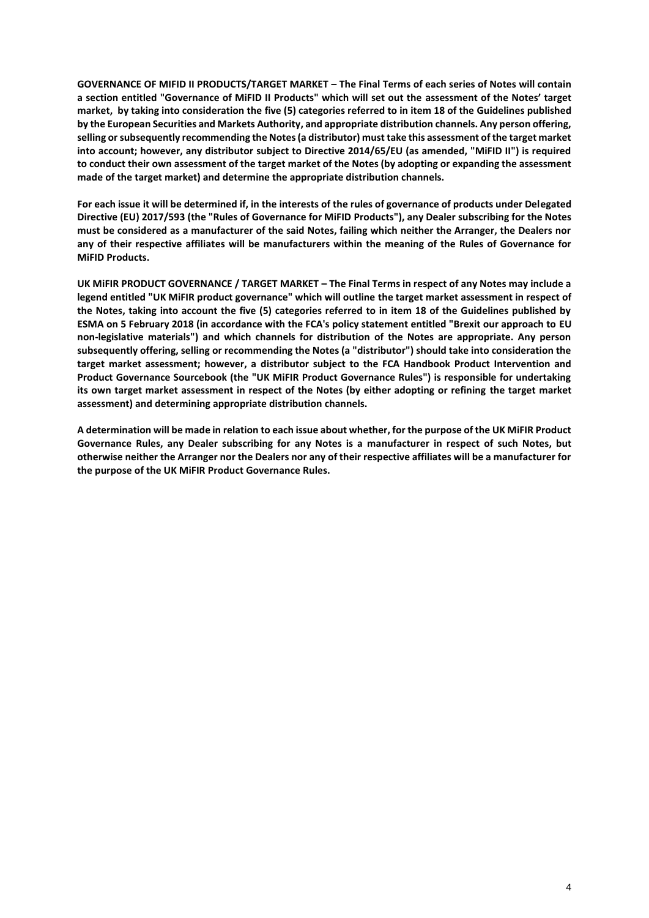**GOVERNANCE OF MIFID II PRODUCTS/TARGET MARKET – The Final Terms of each series of Notes will contain a section entitled "Governance of MiFID II Products" which will set out the assessment of the Notes' target market, by taking into consideration the five (5) categories referred to in item 18 of the Guidelines published by the European Securities and Markets Authority, and appropriate distribution channels. Any person offering, selling or subsequently recommending the Notes (a distributor) must take this assessment of the target market into account; however, any distributor subject to Directive 2014/65/EU (as amended, "MiFID II") is required to conduct their own assessment of the target market of the Notes (by adopting or expanding the assessment made of the target market) and determine the appropriate distribution channels.** 

**For each issue it will be determined if, in the interests of the rules of governance of products under Delegated Directive (EU) 2017/593 (the "Rules of Governance for MiFID Products"), any Dealer subscribing for the Notes must be considered as a manufacturer of the said Notes, failing which neither the Arranger, the Dealers nor any of their respective affiliates will be manufacturers within the meaning of the Rules of Governance for MiFID Products.**

**UK MiFIR PRODUCT GOVERNANCE / TARGET MARKET – The Final Terms in respect of any Notes may include a legend entitled "UK MiFIR product governance" which will outline the target market assessment in respect of the Notes, taking into account the five (5) categories referred to in item 18 of the Guidelines published by ESMA on 5 February 2018 (in accordance with the FCA's policy statement entitled "Brexit our approach to EU non-legislative materials") and which channels for distribution of the Notes are appropriate. Any person subsequently offering, selling or recommending the Notes (a "distributor") should take into consideration the target market assessment; however, a distributor subject to the FCA Handbook Product Intervention and Product Governance Sourcebook (the "UK MiFIR Product Governance Rules") is responsible for undertaking its own target market assessment in respect of the Notes (by either adopting or refining the target market assessment) and determining appropriate distribution channels.** 

**A determination will be made in relation to each issue about whether, for the purpose of the UK MiFIR Product Governance Rules, any Dealer subscribing for any Notes is a manufacturer in respect of such Notes, but otherwise neither the Arranger nor the Dealers nor any of their respective affiliates will be a manufacturer for the purpose of the UK MiFIR Product Governance Rules.**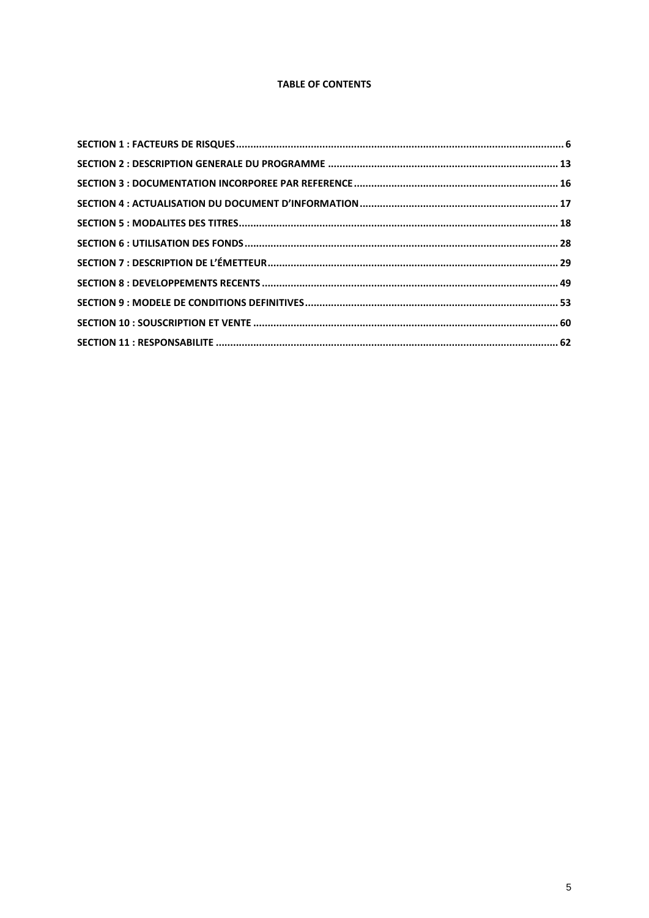# **TABLE OF CONTENTS**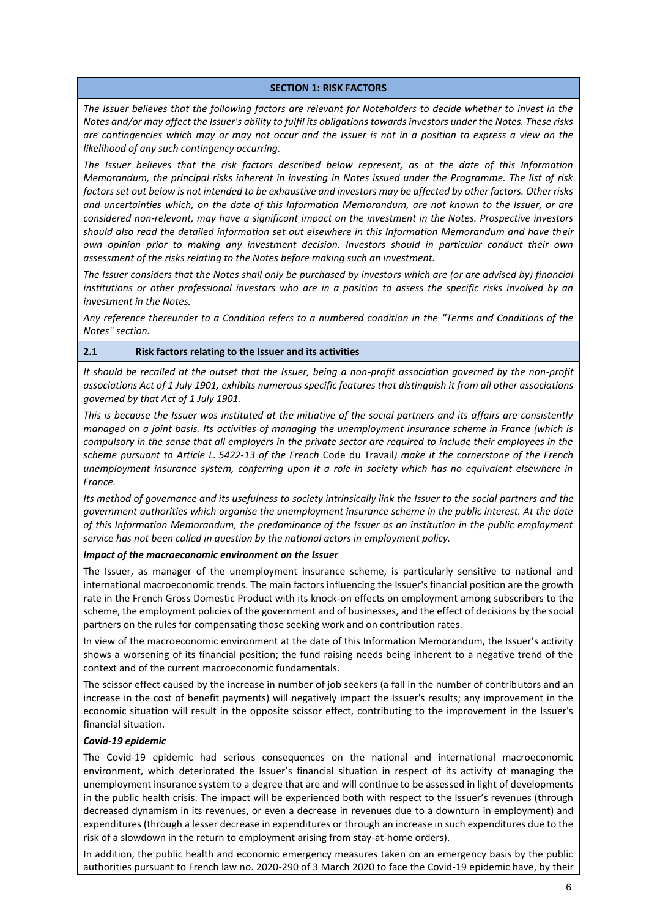#### **SECTION 1: RISK FACTORS**

<span id="page-5-0"></span>*The Issuer believes that the following factors are relevant for Noteholders to decide whether to invest in the Notes and/or may affect the Issuer's ability to fulfil its obligations towards investors under the Notes. These risks are contingencies which may or may not occur and the Issuer is not in a position to express a view on the likelihood of any such contingency occurring.*

*The Issuer believes that the risk factors described below represent, as at the date of this Information Memorandum, the principal risks inherent in investing in Notes issued under the Programme. The list of risk factors set out below is not intended to be exhaustive and investors may be affected by other factors. Other risks and uncertainties which, on the date of this Information Memorandum, are not known to the Issuer, or are considered non-relevant, may have a significant impact on the investment in the Notes. Prospective investors should also read the detailed information set out elsewhere in this Information Memorandum and have their own opinion prior to making any investment decision. Investors should in particular conduct their own assessment of the risks relating to the Notes before making such an investment.*

*The Issuer considers that the Notes shall only be purchased by investors which are (or are advised by) financial institutions or other professional investors who are in a position to assess the specific risks involved by an investment in the Notes.*

*Any reference thereunder to a Condition refers to a numbered condition in the "Terms and Conditions of the Notes" section.*

#### **2.1 Risk factors relating to the Issuer and its activities**

*It should be recalled at the outset that the Issuer, being a non-profit association governed by the non-profit associations Act of 1 July 1901, exhibits numerous specific features that distinguish it from all other associations governed by that Act of 1 July 1901.*

*This is because the Issuer was instituted at the initiative of the social partners and its affairs are consistently managed on a joint basis. Its activities of managing the unemployment insurance scheme in France (which is compulsory in the sense that all employers in the private sector are required to include their employees in the scheme pursuant to Article L. 5422-13 of the French* Code du Travail*) make it the cornerstone of the French unemployment insurance system, conferring upon it a role in society which has no equivalent elsewhere in France.*

*Its method of governance and its usefulness to society intrinsically link the Issuer to the social partners and the government authorities which organise the unemployment insurance scheme in the public interest. At the date of this Information Memorandum, the predominance of the Issuer as an institution in the public employment service has not been called in question by the national actors in employment policy.*

#### *Impact of the macroeconomic environment on the Issuer*

The Issuer, as manager of the unemployment insurance scheme, is particularly sensitive to national and international macroeconomic trends. The main factors influencing the Issuer's financial position are the growth rate in the French Gross Domestic Product with its knock-on effects on employment among subscribers to the scheme, the employment policies of the government and of businesses, and the effect of decisions by the social partners on the rules for compensating those seeking work and on contribution rates.

In view of the macroeconomic environment at the date of this Information Memorandum, the Issuer's activity shows a worsening of its financial position; the fund raising needs being inherent to a negative trend of the context and of the current macroeconomic fundamentals.

The scissor effect caused by the increase in number of job seekers (a fall in the number of contributors and an increase in the cost of benefit payments) will negatively impact the Issuer's results; any improvement in the economic situation will result in the opposite scissor effect, contributing to the improvement in the Issuer's financial situation.

#### *Covid-19 epidemic*

The Covid-19 epidemic had serious consequences on the national and international macroeconomic environment, which deteriorated the Issuer's financial situation in respect of its activity of managing the unemployment insurance system to a degree that are and will continue to be assessed in light of developments in the public health crisis. The impact will be experienced both with respect to the Issuer's revenues (through decreased dynamism in its revenues, or even a decrease in revenues due to a downturn in employment) and expenditures (through a lesser decrease in expenditures or through an increase in such expenditures due to the risk of a slowdown in the return to employment arising from stay-at-home orders).

In addition, the public health and economic emergency measures taken on an emergency basis by the public authorities pursuant to French law no. 2020-290 of 3 March 2020 to face the Covid-19 epidemic have, by their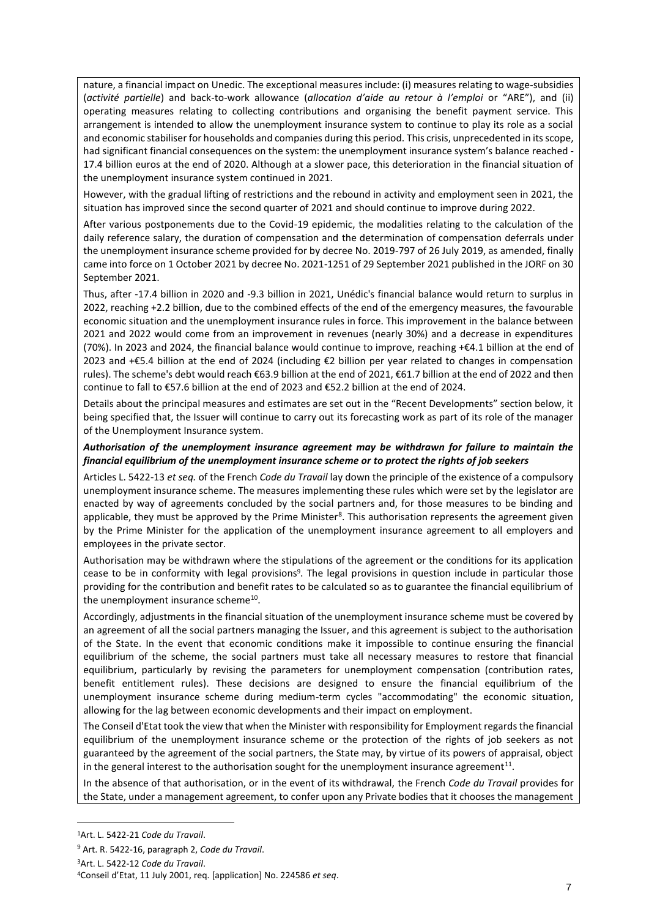nature, a financial impact on Unedic. The exceptional measures include: (i) measures relating to wage-subsidies (*activité partielle*) and back-to-work allowance (*allocation d'aide au retour à l'emploi* or "ARE"), and (ii) operating measures relating to collecting contributions and organising the benefit payment service. This arrangement is intended to allow the unemployment insurance system to continue to play its role as a social and economic stabiliser for households and companies during this period. This crisis, unprecedented in its scope, had significant financial consequences on the system: the unemployment insurance system's balance reached -17.4 billion euros at the end of 2020. Although at a slower pace, this deterioration in the financial situation of the unemployment insurance system continued in 2021.

However, with the gradual lifting of restrictions and the rebound in activity and employment seen in 2021, the situation has improved since the second quarter of 2021 and should continue to improve during 2022.

After various postponements due to the Covid-19 epidemic, the modalities relating to the calculation of the daily reference salary, the duration of compensation and the determination of compensation deferrals under the unemployment insurance scheme provided for by decree No. 2019-797 of 26 July 2019, as amended, finally came into force on 1 October 2021 by decree No. 2021-1251 of 29 September 2021 published in the JORF on 30 September 2021.

Thus, after -17.4 billion in 2020 and -9.3 billion in 2021, Unédic's financial balance would return to surplus in 2022, reaching +2.2 billion, due to the combined effects of the end of the emergency measures, the favourable economic situation and the unemployment insurance rules in force. This improvement in the balance between 2021 and 2022 would come from an improvement in revenues (nearly 30%) and a decrease in expenditures (70%). In 2023 and 2024, the financial balance would continue to improve, reaching +€4.1 billion at the end of 2023 and +€5.4 billion at the end of 2024 (including €2 billion per year related to changes in compensation rules). The scheme's debt would reach €63.9 billion at the end of 2021, €61.7 billion at the end of 2022 and then continue to fall to €57.6 billion at the end of 2023 and €52.2 billion at the end of 2024.

Details about the principal measures and estimates are set out in the "Recent Developments" section below, it being specified that, the Issuer will continue to carry out its forecasting work as part of its role of the manager of the Unemployment Insurance system.

## *Authorisation of the unemployment insurance agreement may be withdrawn for failure to maintain the financial equilibrium of the unemployment insurance scheme or to protect the rights of job seekers*

Articles L. 5422-13 *et seq.* of the French *Code du Travail* lay down the principle of the existence of a compulsory unemployment insurance scheme. The measures implementing these rules which were set by the legislator are enacted by way of agreements concluded by the social partners and, for those measures to be binding and applicable, they must be approved by the Prime Minister<sup>8</sup>. This authorisation represents the agreement given by the Prime Minister for the application of the unemployment insurance agreement to all employers and employees in the private sector.

Authorisation may be withdrawn where the stipulations of the agreement or the conditions for its application cease to be in conformity with legal provisions<sup>9</sup>. The legal provisions in question include in particular those providing for the contribution and benefit rates to be calculated so as to guarantee the financial equilibrium of the unemployment insurance scheme<sup>10</sup>.

Accordingly, adjustments in the financial situation of the unemployment insurance scheme must be covered by an agreement of all the social partners managing the Issuer, and this agreement is subject to the authorisation of the State. In the event that economic conditions make it impossible to continue ensuring the financial equilibrium of the scheme, the social partners must take all necessary measures to restore that financial equilibrium, particularly by revising the parameters for unemployment compensation (contribution rates, benefit entitlement rules). These decisions are designed to ensure the financial equilibrium of the unemployment insurance scheme during medium-term cycles "accommodating" the economic situation, allowing for the lag between economic developments and their impact on employment.

The Conseil d'Etat took the view that when the Minister with responsibility for Employment regards the financial equilibrium of the unemployment insurance scheme or the protection of the rights of job seekers as not guaranteed by the agreement of the social partners, the State may, by virtue of its powers of appraisal, object in the general interest to the authorisation sought for the unemployment insurance agreement<sup>11</sup>.

In the absence of that authorisation, or in the event of its withdrawal, the French *Code du Travail* provides for the State, under a management agreement, to confer upon any Private bodies that it chooses the management

<sup>1</sup>Art. L. 5422-21 *Code du Travail*.

<sup>9</sup> Art. R. 5422-16, paragraph 2, *Code du Travail*.

<sup>3</sup>Art. L. 5422-12 *Code du Travail*.

<sup>4</sup>Conseil d'Etat, 11 July 2001, req. [application] No. 224586 *et seq*.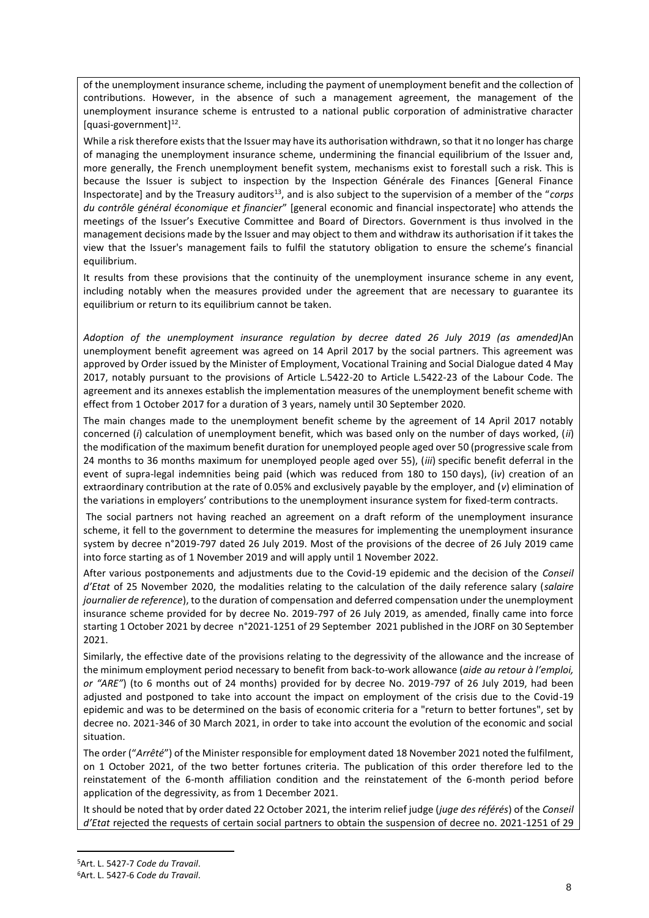of the unemployment insurance scheme, including the payment of unemployment benefit and the collection of contributions. However, in the absence of such a management agreement, the management of the unemployment insurance scheme is entrusted to a national public corporation of administrative character [quasi-government]<sup>12</sup>.

While a risk therefore exists that the Issuer may have its authorisation withdrawn, so that it no longer has charge of managing the unemployment insurance scheme, undermining the financial equilibrium of the Issuer and, more generally, the French unemployment benefit system, mechanisms exist to forestall such a risk. This is because the Issuer is subject to inspection by the Inspection Générale des Finances [General Finance Inspectorate] and by the Treasury auditors<sup>13</sup>, and is also subject to the supervision of a member of the "*corps du contrôle général économique et financier*" [general economic and financial inspectorate] who attends the meetings of the Issuer's Executive Committee and Board of Directors. Government is thus involved in the management decisions made by the Issuer and may object to them and withdraw its authorisation if it takes the view that the Issuer's management fails to fulfil the statutory obligation to ensure the scheme's financial equilibrium.

It results from these provisions that the continuity of the unemployment insurance scheme in any event, including notably when the measures provided under the agreement that are necessary to guarantee its equilibrium or return to its equilibrium cannot be taken.

*Adoption of the unemployment insurance regulation by decree dated 26 July 2019 (as amended)*An unemployment benefit agreement was agreed on 14 April 2017 by the social partners. This agreement was approved by Order issued by the Minister of Employment, Vocational Training and Social Dialogue dated 4 May 2017, notably pursuant to the provisions of Article L.5422-20 to Article L.5422-23 of the Labour Code. The agreement and its annexes establish the implementation measures of the unemployment benefit scheme with effect from 1 October 2017 for a duration of 3 years, namely until 30 September 2020.

The main changes made to the unemployment benefit scheme by the agreement of 14 April 2017 notably concerned (*i*) calculation of unemployment benefit, which was based only on the number of days worked, (*ii*) the modification of the maximum benefit duration for unemployed people aged over 50 (progressive scale from 24 months to 36 months maximum for unemployed people aged over 55), (*iii*) specific benefit deferral in the event of supra-legal indemnities being paid (which was reduced from 180 to 150 days), (i*v*) creation of an extraordinary contribution at the rate of 0.05% and exclusively payable by the employer, and (*v*) elimination of the variations in employers' contributions to the unemployment insurance system for fixed-term contracts.

The social partners not having reached an agreement on a draft reform of the unemployment insurance scheme, it fell to the government to determine the measures for implementing the unemployment insurance system by decree n°2019-797 dated 26 July 2019. Most of the provisions of the decree of 26 July 2019 came into force starting as of 1 November 2019 and will apply until 1 November 2022.

After various postponements and adjustments due to the Covid-19 epidemic and the decision of the *Conseil d'Etat* of 25 November 2020, the modalities relating to the calculation of the daily reference salary (*salaire journalier de reference*), to the duration of compensation and deferred compensation under the unemployment insurance scheme provided for by decree No. 2019-797 of 26 July 2019, as amended, finally came into force starting 1 October 2021 by decree n°2021-1251 of 29 September 2021 published in the JORF on 30 September 2021.

Similarly, the effective date of the provisions relating to the degressivity of the allowance and the increase of the minimum employment period necessary to benefit from back-to-work allowance (*aide au retour à l'emploi, or "ARE"*) (to 6 months out of 24 months) provided for by decree No. 2019-797 of 26 July 2019, had been adjusted and postponed to take into account the impact on employment of the crisis due to the Covid-19 epidemic and was to be determined on the basis of economic criteria for a "return to better fortunes", set by decree no. 2021-346 of 30 March 2021, in order to take into account the evolution of the economic and social situation.

The order ("*Arrêté*") of the Minister responsible for employment dated 18 November 2021 noted the fulfilment, on 1 October 2021, of the two better fortunes criteria. The publication of this order therefore led to the reinstatement of the 6-month affiliation condition and the reinstatement of the 6-month period before application of the degressivity, as from 1 December 2021.

It should be noted that by order dated 22 October 2021, the interim relief judge (*juge des référés*) of the *Conseil d'Etat* rejected the requests of certain social partners to obtain the suspension of decree no. 2021-1251 of 29

<sup>5</sup>Art. L. 5427-7 *Code du Travail*.

<sup>6</sup>Art. L. 5427-6 *Code du Travail*.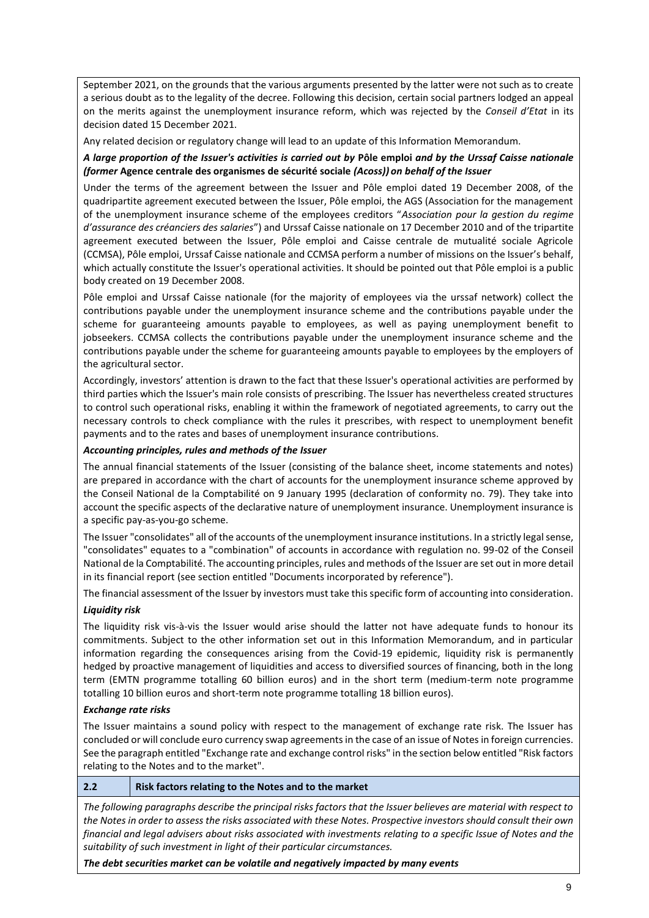September 2021, on the grounds that the various arguments presented by the latter were not such as to create a serious doubt as to the legality of the decree. Following this decision, certain social partners lodged an appeal on the merits against the unemployment insurance reform, which was rejected by the *Conseil d'Etat* in its decision dated 15 December 2021.

Any related decision or regulatory change will lead to an update of this Information Memorandum.

# *A large proportion of the Issuer's activities is carried out by* **Pôle emploi** *and by the Urssaf Caisse nationale (former* **Agence centrale des organismes de sécurité sociale** *(Acoss)) on behalf of the Issuer*

Under the terms of the agreement between the Issuer and Pôle emploi dated 19 December 2008, of the quadripartite agreement executed between the Issuer, Pôle emploi, the AGS (Association for the management of the unemployment insurance scheme of the employees creditors "*Association pour la gestion du regime d'assurance des créanciers des salaries*") and Urssaf Caisse nationale on 17 December 2010 and of the tripartite agreement executed between the Issuer, Pôle emploi and Caisse centrale de mutualité sociale Agricole (CCMSA), Pôle emploi, Urssaf Caisse nationale and CCMSA perform a number of missions on the Issuer's behalf, which actually constitute the Issuer's operational activities. It should be pointed out that Pôle emploi is a public body created on 19 December 2008.

Pôle emploi and Urssaf Caisse nationale (for the majority of employees via the urssaf network) collect the contributions payable under the unemployment insurance scheme and the contributions payable under the scheme for guaranteeing amounts payable to employees, as well as paying unemployment benefit to jobseekers. CCMSA collects the contributions payable under the unemployment insurance scheme and the contributions payable under the scheme for guaranteeing amounts payable to employees by the employers of the agricultural sector.

Accordingly, investors' attention is drawn to the fact that these Issuer's operational activities are performed by third parties which the Issuer's main role consists of prescribing. The Issuer has nevertheless created structures to control such operational risks, enabling it within the framework of negotiated agreements, to carry out the necessary controls to check compliance with the rules it prescribes, with respect to unemployment benefit payments and to the rates and bases of unemployment insurance contributions.

#### *Accounting principles, rules and methods of the Issuer*

The annual financial statements of the Issuer (consisting of the balance sheet, income statements and notes) are prepared in accordance with the chart of accounts for the unemployment insurance scheme approved by the Conseil National de la Comptabilité on 9 January 1995 (declaration of conformity no. 79). They take into account the specific aspects of the declarative nature of unemployment insurance. Unemployment insurance is a specific pay-as-you-go scheme.

The Issuer "consolidates" all of the accounts of the unemployment insurance institutions. In a strictly legal sense, "consolidates" equates to a "combination" of accounts in accordance with regulation no. 99-02 of the Conseil National de la Comptabilité. The accounting principles, rules and methods of the Issuer are set out in more detail in its financial report (see section entitled "Documents incorporated by reference").

The financial assessment of the Issuer by investors must take this specific form of accounting into consideration.

#### *Liquidity risk*

The liquidity risk vis-à-vis the Issuer would arise should the latter not have adequate funds to honour its commitments. Subject to the other information set out in this Information Memorandum, and in particular information regarding the consequences arising from the Covid-19 epidemic, liquidity risk is permanently hedged by proactive management of liquidities and access to diversified sources of financing, both in the long term (EMTN programme totalling 60 billion euros) and in the short term (medium-term note programme totalling 10 billion euros and short-term note programme totalling 18 billion euros).

#### *Exchange rate risks*

The Issuer maintains a sound policy with respect to the management of exchange rate risk. The Issuer has concluded or will conclude euro currency swap agreements in the case of an issue of Notes in foreign currencies. See the paragraph entitled "Exchange rate and exchange control risks" in the section below entitled "Risk factors relating to the Notes and to the market".

#### **2.2 Risk factors relating to the Notes and to the market**

*The following paragraphs describe the principal risks factors that the Issuer believes are material with respect to the Notes in order to assess the risks associated with these Notes. Prospective investors should consult their own financial and legal advisers about risks associated with investments relating to a specific Issue of Notes and the suitability of such investment in light of their particular circumstances.* 

*The debt securities market can be volatile and negatively impacted by many events*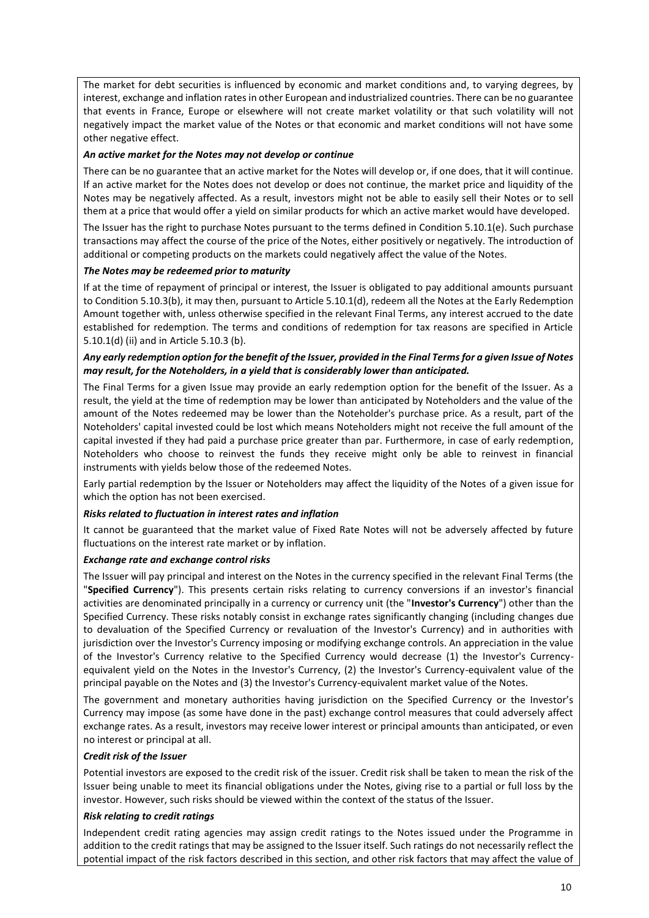The market for debt securities is influenced by economic and market conditions and, to varying degrees, by interest, exchange and inflation rates in other European and industrialized countries. There can be no guarantee that events in France, Europe or elsewhere will not create market volatility or that such volatility will not negatively impact the market value of the Notes or that economic and market conditions will not have some other negative effect.

## *An active market for the Notes may not develop or continue*

There can be no guarantee that an active market for the Notes will develop or, if one does, that it will continue. If an active market for the Notes does not develop or does not continue, the market price and liquidity of the Notes may be negatively affected. As a result, investors might not be able to easily sell their Notes or to sell them at a price that would offer a yield on similar products for which an active market would have developed.

The Issuer has the right to purchase Notes pursuant to the terms defined in Condition 5.10.1(e). Such purchase transactions may affect the course of the price of the Notes, either positively or negatively. The introduction of additional or competing products on the markets could negatively affect the value of the Notes.

#### *The Notes may be redeemed prior to maturity*

If at the time of repayment of principal or interest, the Issuer is obligated to pay additional amounts pursuant to Condition 5.10.3(b), it may then, pursuant to Article 5.10.1(d), redeem all the Notes at the Early Redemption Amount together with, unless otherwise specified in the relevant Final Terms, any interest accrued to the date established for redemption. The terms and conditions of redemption for tax reasons are specified in Article 5.10.1(d) (ii) and in Article 5.10.3 (b).

## *Any early redemption option for the benefit of the Issuer, provided in the Final Terms for a given Issue of Notes may result, for the Noteholders, in a yield that is considerably lower than anticipated.*

The Final Terms for a given Issue may provide an early redemption option for the benefit of the Issuer. As a result, the yield at the time of redemption may be lower than anticipated by Noteholders and the value of the amount of the Notes redeemed may be lower than the Noteholder's purchase price. As a result, part of the Noteholders' capital invested could be lost which means Noteholders might not receive the full amount of the capital invested if they had paid a purchase price greater than par. Furthermore, in case of early redemption, Noteholders who choose to reinvest the funds they receive might only be able to reinvest in financial instruments with yields below those of the redeemed Notes.

Early partial redemption by the Issuer or Noteholders may affect the liquidity of the Notes of a given issue for which the option has not been exercised.

#### *Risks related to fluctuation in interest rates and inflation*

It cannot be guaranteed that the market value of Fixed Rate Notes will not be adversely affected by future fluctuations on the interest rate market or by inflation.

#### *Exchange rate and exchange control risks*

The Issuer will pay principal and interest on the Notes in the currency specified in the relevant Final Terms (the "**Specified Currency**"). This presents certain risks relating to currency conversions if an investor's financial activities are denominated principally in a currency or currency unit (the "**Investor's Currency**") other than the Specified Currency. These risks notably consist in exchange rates significantly changing (including changes due to devaluation of the Specified Currency or revaluation of the Investor's Currency) and in authorities with jurisdiction over the Investor's Currency imposing or modifying exchange controls. An appreciation in the value of the Investor's Currency relative to the Specified Currency would decrease (1) the Investor's Currencyequivalent yield on the Notes in the Investor's Currency, (2) the Investor's Currency-equivalent value of the principal payable on the Notes and (3) the Investor's Currency-equivalent market value of the Notes.

The government and monetary authorities having jurisdiction on the Specified Currency or the Investor's Currency may impose (as some have done in the past) exchange control measures that could adversely affect exchange rates. As a result, investors may receive lower interest or principal amounts than anticipated, or even no interest or principal at all.

#### *Credit risk of the Issuer*

Potential investors are exposed to the credit risk of the issuer. Credit risk shall be taken to mean the risk of the Issuer being unable to meet its financial obligations under the Notes, giving rise to a partial or full loss by the investor. However, such risks should be viewed within the context of the status of the Issuer.

#### *Risk relating to credit ratings*

Independent credit rating agencies may assign credit ratings to the Notes issued under the Programme in addition to the credit ratings that may be assigned to the Issuer itself. Such ratings do not necessarily reflect the potential impact of the risk factors described in this section, and other risk factors that may affect the value of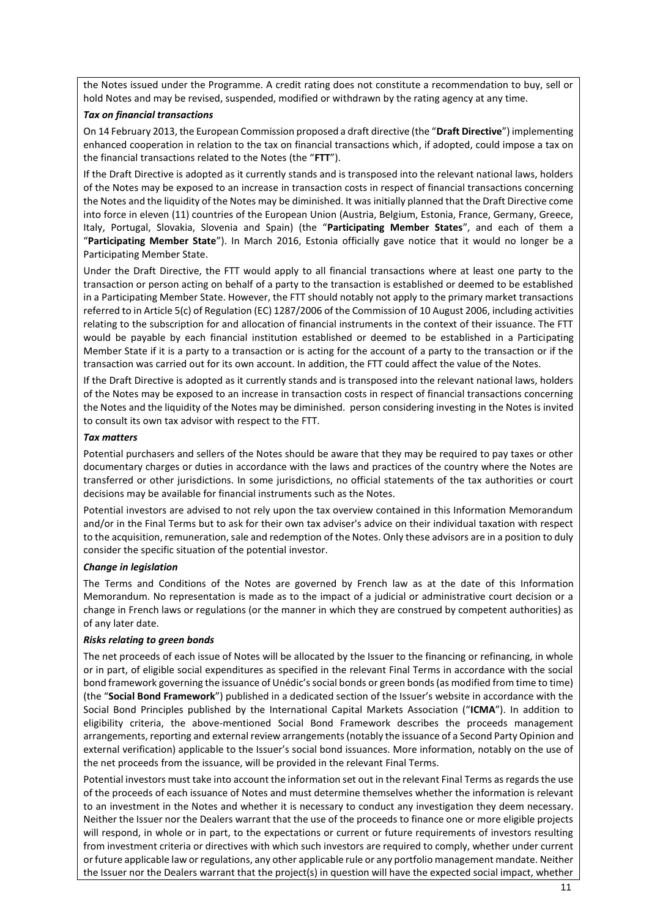the Notes issued under the Programme. A credit rating does not constitute a recommendation to buy, sell or hold Notes and may be revised, suspended, modified or withdrawn by the rating agency at any time.

#### *Tax on financial transactions*

On 14 February 2013, the European Commission proposed a draft directive (the "**Draft Directive**") implementing enhanced cooperation in relation to the tax on financial transactions which, if adopted, could impose a tax on the financial transactions related to the Notes (the "**FTT**").

If the Draft Directive is adopted as it currently stands and is transposed into the relevant national laws, holders of the Notes may be exposed to an increase in transaction costs in respect of financial transactions concerning the Notes and the liquidity of the Notes may be diminished. It was initially planned that the Draft Directive come into force in eleven (11) countries of the European Union (Austria, Belgium, Estonia, France, Germany, Greece, Italy, Portugal, Slovakia, Slovenia and Spain) (the "**Participating Member States**", and each of them a "**Participating Member State**"). In March 2016, Estonia officially gave notice that it would no longer be a Participating Member State.

Under the Draft Directive, the FTT would apply to all financial transactions where at least one party to the transaction or person acting on behalf of a party to the transaction is established or deemed to be established in a Participating Member State. However, the FTT should notably not apply to the primary market transactions referred to in Article 5(c) of Regulation (EC) 1287/2006 of the Commission of 10 August 2006, including activities relating to the subscription for and allocation of financial instruments in the context of their issuance. The FTT would be payable by each financial institution established or deemed to be established in a Participating Member State if it is a party to a transaction or is acting for the account of a party to the transaction or if the transaction was carried out for its own account. In addition, the FTT could affect the value of the Notes.

If the Draft Directive is adopted as it currently stands and is transposed into the relevant national laws, holders of the Notes may be exposed to an increase in transaction costs in respect of financial transactions concerning the Notes and the liquidity of the Notes may be diminished. person considering investing in the Notes is invited to consult its own tax advisor with respect to the FTT.

## *Tax matters*

Potential purchasers and sellers of the Notes should be aware that they may be required to pay taxes or other documentary charges or duties in accordance with the laws and practices of the country where the Notes are transferred or other jurisdictions. In some jurisdictions, no official statements of the tax authorities or court decisions may be available for financial instruments such as the Notes.

Potential investors are advised to not rely upon the tax overview contained in this Information Memorandum and/or in the Final Terms but to ask for their own tax adviser's advice on their individual taxation with respect to the acquisition, remuneration, sale and redemption of the Notes. Only these advisors are in a position to duly consider the specific situation of the potential investor.

#### *Change in legislation*

The Terms and Conditions of the Notes are governed by French law as at the date of this Information Memorandum. No representation is made as to the impact of a judicial or administrative court decision or a change in French laws or regulations (or the manner in which they are construed by competent authorities) as of any later date.

#### *Risks relating to green bonds*

The net proceeds of each issue of Notes will be allocated by the Issuer to the financing or refinancing, in whole or in part, of eligible social expenditures as specified in the relevant Final Terms in accordance with the social bond framework governing the issuance of Unédic's social bonds or green bonds (as modified from time to time) (the "**Social Bond Framework**") published in a dedicated section of the Issuer's website in accordance with the Social Bond Principles published by the International Capital Markets Association ("**ICMA**"). In addition to eligibility criteria, the above-mentioned Social Bond Framework describes the proceeds management arrangements, reporting and external review arrangements (notably the issuance of a Second Party Opinion and external verification) applicable to the Issuer's social bond issuances. More information, notably on the use of the net proceeds from the issuance, will be provided in the relevant Final Terms.

Potential investors must take into account the information set out in the relevant Final Terms as regards the use of the proceeds of each issuance of Notes and must determine themselves whether the information is relevant to an investment in the Notes and whether it is necessary to conduct any investigation they deem necessary. Neither the Issuer nor the Dealers warrant that the use of the proceeds to finance one or more eligible projects will respond, in whole or in part, to the expectations or current or future requirements of investors resulting from investment criteria or directives with which such investors are required to comply, whether under current or future applicable law or regulations, any other applicable rule or any portfolio management mandate. Neither the Issuer nor the Dealers warrant that the project(s) in question will have the expected social impact, whether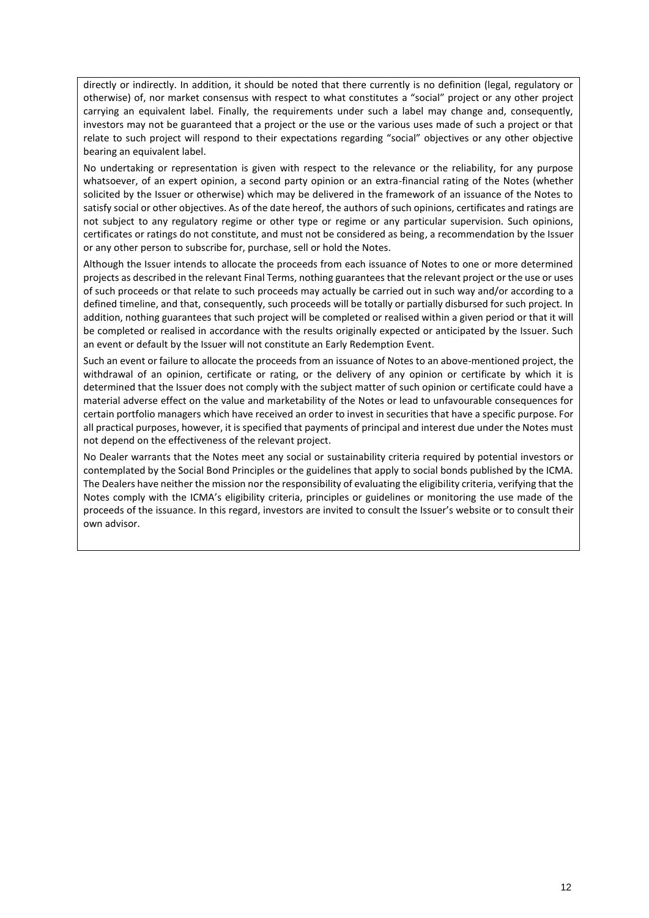directly or indirectly. In addition, it should be noted that there currently is no definition (legal, regulatory or otherwise) of, nor market consensus with respect to what constitutes a "social" project or any other project carrying an equivalent label. Finally, the requirements under such a label may change and, consequently, investors may not be guaranteed that a project or the use or the various uses made of such a project or that relate to such project will respond to their expectations regarding "social" objectives or any other objective bearing an equivalent label.

No undertaking or representation is given with respect to the relevance or the reliability, for any purpose whatsoever, of an expert opinion, a second party opinion or an extra-financial rating of the Notes (whether solicited by the Issuer or otherwise) which may be delivered in the framework of an issuance of the Notes to satisfy social or other objectives. As of the date hereof, the authors of such opinions, certificates and ratings are not subject to any regulatory regime or other type or regime or any particular supervision. Such opinions, certificates or ratings do not constitute, and must not be considered as being, a recommendation by the Issuer or any other person to subscribe for, purchase, sell or hold the Notes.

Although the Issuer intends to allocate the proceeds from each issuance of Notes to one or more determined projects as described in the relevant Final Terms, nothing guarantees that the relevant project or the use or uses of such proceeds or that relate to such proceeds may actually be carried out in such way and/or according to a defined timeline, and that, consequently, such proceeds will be totally or partially disbursed for such project. In addition, nothing guarantees that such project will be completed or realised within a given period or that it will be completed or realised in accordance with the results originally expected or anticipated by the Issuer. Such an event or default by the Issuer will not constitute an Early Redemption Event.

Such an event or failure to allocate the proceeds from an issuance of Notes to an above-mentioned project, the withdrawal of an opinion, certificate or rating, or the delivery of any opinion or certificate by which it is determined that the Issuer does not comply with the subject matter of such opinion or certificate could have a material adverse effect on the value and marketability of the Notes or lead to unfavourable consequences for certain portfolio managers which have received an order to invest in securities that have a specific purpose. For all practical purposes, however, it is specified that payments of principal and interest due under the Notes must not depend on the effectiveness of the relevant project.

No Dealer warrants that the Notes meet any social or sustainability criteria required by potential investors or contemplated by the Social Bond Principles or the guidelines that apply to social bonds published by the ICMA. The Dealers have neither the mission nor the responsibility of evaluating the eligibility criteria, verifying that the Notes comply with the ICMA's eligibility criteria, principles or guidelines or monitoring the use made of the proceeds of the issuance. In this regard, investors are invited to consult the Issuer's website or to consult their own advisor.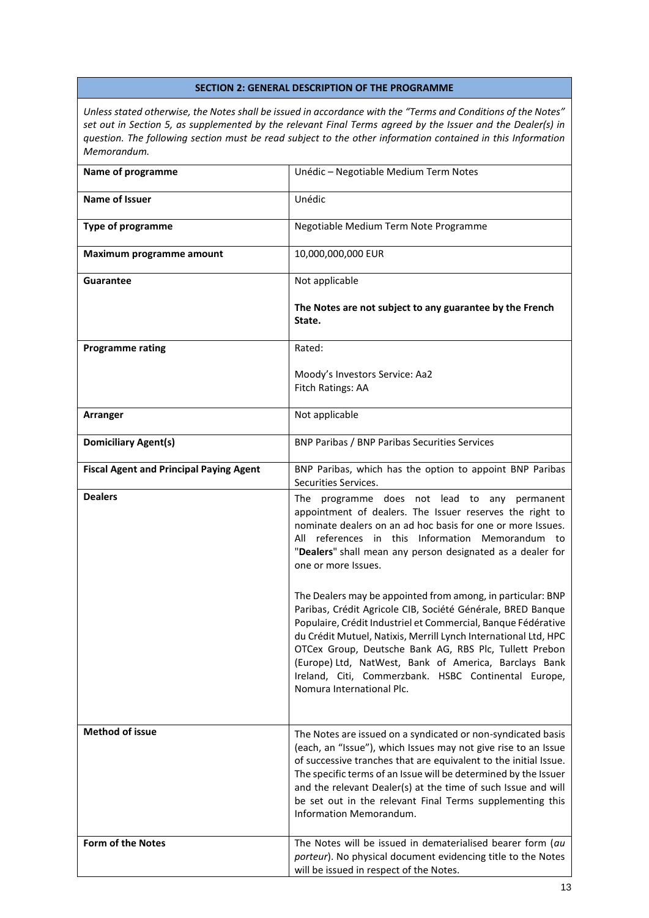#### <span id="page-12-0"></span>**SECTION 2: GENERAL DESCRIPTION OF THE PROGRAMME**

*Unless stated otherwise, the Notes shall be issued in accordance with the "Terms and Conditions of the Notes" set out in Section 5, as supplemented by the relevant Final Terms agreed by the Issuer and the Dealer(s) in question. The following section must be read subject to the other information contained in this Information Memorandum.*

| Name of programme                              | Unédic - Negotiable Medium Term Notes                                                                                                                                                                                                                                                                                                                                                                                                                                  |
|------------------------------------------------|------------------------------------------------------------------------------------------------------------------------------------------------------------------------------------------------------------------------------------------------------------------------------------------------------------------------------------------------------------------------------------------------------------------------------------------------------------------------|
| <b>Name of Issuer</b>                          | Unédic                                                                                                                                                                                                                                                                                                                                                                                                                                                                 |
| <b>Type of programme</b>                       | Negotiable Medium Term Note Programme                                                                                                                                                                                                                                                                                                                                                                                                                                  |
| Maximum programme amount                       | 10,000,000,000 EUR                                                                                                                                                                                                                                                                                                                                                                                                                                                     |
| <b>Guarantee</b>                               | Not applicable                                                                                                                                                                                                                                                                                                                                                                                                                                                         |
|                                                | The Notes are not subject to any guarantee by the French<br>State.                                                                                                                                                                                                                                                                                                                                                                                                     |
| <b>Programme rating</b>                        | Rated:                                                                                                                                                                                                                                                                                                                                                                                                                                                                 |
|                                                | Moody's Investors Service: Aa2<br>Fitch Ratings: AA                                                                                                                                                                                                                                                                                                                                                                                                                    |
| Arranger                                       | Not applicable                                                                                                                                                                                                                                                                                                                                                                                                                                                         |
| <b>Domiciliary Agent(s)</b>                    | <b>BNP Paribas / BNP Paribas Securities Services</b>                                                                                                                                                                                                                                                                                                                                                                                                                   |
| <b>Fiscal Agent and Principal Paying Agent</b> | BNP Paribas, which has the option to appoint BNP Paribas<br>Securities Services.                                                                                                                                                                                                                                                                                                                                                                                       |
| <b>Dealers</b>                                 | The programme does not lead to any permanent<br>appointment of dealers. The Issuer reserves the right to<br>nominate dealers on an ad hoc basis for one or more Issues.<br>All references in this Information Memorandum to<br>"Dealers" shall mean any person designated as a dealer for<br>one or more Issues.                                                                                                                                                       |
|                                                | The Dealers may be appointed from among, in particular: BNP<br>Paribas, Crédit Agricole CIB, Société Générale, BRED Banque<br>Populaire, Crédit Industriel et Commercial, Banque Fédérative<br>du Crédit Mutuel, Natixis, Merrill Lynch International Ltd, HPC<br>OTCex Group, Deutsche Bank AG, RBS Plc, Tullett Prebon<br>(Europe) Ltd, NatWest, Bank of America, Barclays Bank<br>Ireland, Citi, Commerzbank. HSBC Continental Europe,<br>Nomura International Plc. |
| <b>Method of issue</b>                         | The Notes are issued on a syndicated or non-syndicated basis<br>(each, an "Issue"), which Issues may not give rise to an Issue<br>of successive tranches that are equivalent to the initial Issue.<br>The specific terms of an Issue will be determined by the Issuer<br>and the relevant Dealer(s) at the time of such Issue and will<br>be set out in the relevant Final Terms supplementing this<br>Information Memorandum.                                         |
| Form of the Notes                              | The Notes will be issued in dematerialised bearer form (au<br>porteur). No physical document evidencing title to the Notes<br>will be issued in respect of the Notes.                                                                                                                                                                                                                                                                                                  |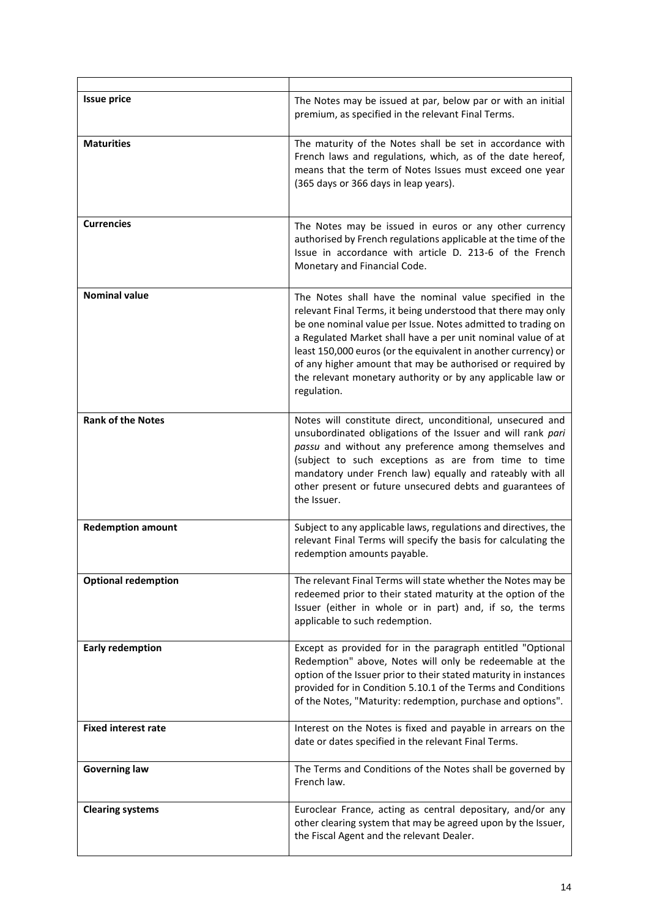| <b>Issue price</b>         | The Notes may be issued at par, below par or with an initial<br>premium, as specified in the relevant Final Terms.                                                                                                                                                                                                                                                                                                                                                     |
|----------------------------|------------------------------------------------------------------------------------------------------------------------------------------------------------------------------------------------------------------------------------------------------------------------------------------------------------------------------------------------------------------------------------------------------------------------------------------------------------------------|
| <b>Maturities</b>          | The maturity of the Notes shall be set in accordance with<br>French laws and regulations, which, as of the date hereof,<br>means that the term of Notes Issues must exceed one year<br>(365 days or 366 days in leap years).                                                                                                                                                                                                                                           |
| <b>Currencies</b>          | The Notes may be issued in euros or any other currency<br>authorised by French regulations applicable at the time of the<br>Issue in accordance with article D. 213-6 of the French<br>Monetary and Financial Code.                                                                                                                                                                                                                                                    |
| <b>Nominal value</b>       | The Notes shall have the nominal value specified in the<br>relevant Final Terms, it being understood that there may only<br>be one nominal value per Issue. Notes admitted to trading on<br>a Regulated Market shall have a per unit nominal value of at<br>least 150,000 euros (or the equivalent in another currency) or<br>of any higher amount that may be authorised or required by<br>the relevant monetary authority or by any applicable law or<br>regulation. |
| <b>Rank of the Notes</b>   | Notes will constitute direct, unconditional, unsecured and<br>unsubordinated obligations of the Issuer and will rank pari<br>passu and without any preference among themselves and<br>(subject to such exceptions as are from time to time<br>mandatory under French law) equally and rateably with all<br>other present or future unsecured debts and guarantees of<br>the Issuer.                                                                                    |
| <b>Redemption amount</b>   | Subject to any applicable laws, regulations and directives, the<br>relevant Final Terms will specify the basis for calculating the<br>redemption amounts payable.                                                                                                                                                                                                                                                                                                      |
| <b>Optional redemption</b> | The relevant Final Terms will state whether the Notes may be<br>redeemed prior to their stated maturity at the option of the<br>Issuer (either in whole or in part) and, if so, the terms<br>applicable to such redemption.                                                                                                                                                                                                                                            |
| <b>Early redemption</b>    | Except as provided for in the paragraph entitled "Optional<br>Redemption" above, Notes will only be redeemable at the<br>option of the Issuer prior to their stated maturity in instances<br>provided for in Condition 5.10.1 of the Terms and Conditions<br>of the Notes, "Maturity: redemption, purchase and options".                                                                                                                                               |
| <b>Fixed interest rate</b> | Interest on the Notes is fixed and payable in arrears on the<br>date or dates specified in the relevant Final Terms.                                                                                                                                                                                                                                                                                                                                                   |
| <b>Governing law</b>       | The Terms and Conditions of the Notes shall be governed by<br>French law.                                                                                                                                                                                                                                                                                                                                                                                              |
| <b>Clearing systems</b>    | Euroclear France, acting as central depositary, and/or any<br>other clearing system that may be agreed upon by the Issuer,<br>the Fiscal Agent and the relevant Dealer.                                                                                                                                                                                                                                                                                                |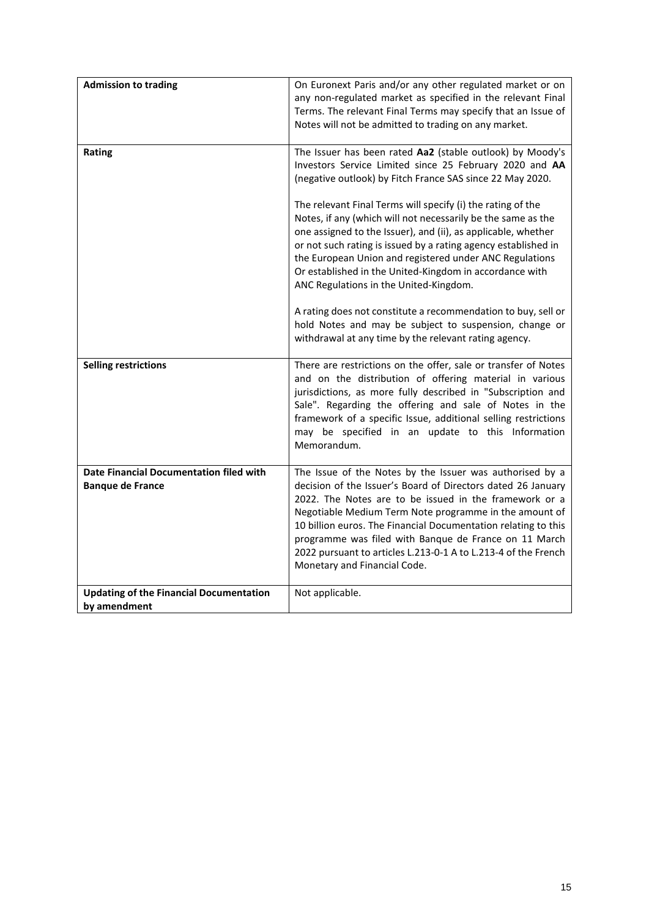| <b>Admission to trading</b>                                               | On Euronext Paris and/or any other regulated market or on<br>any non-regulated market as specified in the relevant Final<br>Terms. The relevant Final Terms may specify that an Issue of<br>Notes will not be admitted to trading on any market.                                                                                                                                                                                                                                                                                                          |
|---------------------------------------------------------------------------|-----------------------------------------------------------------------------------------------------------------------------------------------------------------------------------------------------------------------------------------------------------------------------------------------------------------------------------------------------------------------------------------------------------------------------------------------------------------------------------------------------------------------------------------------------------|
| Rating                                                                    | The Issuer has been rated Aa2 (stable outlook) by Moody's<br>Investors Service Limited since 25 February 2020 and AA<br>(negative outlook) by Fitch France SAS since 22 May 2020.                                                                                                                                                                                                                                                                                                                                                                         |
|                                                                           | The relevant Final Terms will specify (i) the rating of the<br>Notes, if any (which will not necessarily be the same as the<br>one assigned to the Issuer), and (ii), as applicable, whether<br>or not such rating is issued by a rating agency established in<br>the European Union and registered under ANC Regulations<br>Or established in the United-Kingdom in accordance with<br>ANC Regulations in the United-Kingdom.<br>A rating does not constitute a recommendation to buy, sell or<br>hold Notes and may be subject to suspension, change or |
|                                                                           | withdrawal at any time by the relevant rating agency.                                                                                                                                                                                                                                                                                                                                                                                                                                                                                                     |
| <b>Selling restrictions</b>                                               | There are restrictions on the offer, sale or transfer of Notes<br>and on the distribution of offering material in various<br>jurisdictions, as more fully described in "Subscription and<br>Sale". Regarding the offering and sale of Notes in the<br>framework of a specific Issue, additional selling restrictions<br>may be specified in an update to this Information<br>Memorandum.                                                                                                                                                                  |
| <b>Date Financial Documentation filed with</b><br><b>Banque de France</b> | The Issue of the Notes by the Issuer was authorised by a<br>decision of the Issuer's Board of Directors dated 26 January<br>2022. The Notes are to be issued in the framework or a<br>Negotiable Medium Term Note programme in the amount of<br>10 billion euros. The Financial Documentation relating to this<br>programme was filed with Banque de France on 11 March<br>2022 pursuant to articles L.213-0-1 A to L.213-4 of the French<br>Monetary and Financial Code.                                                                                 |
| <b>Updating of the Financial Documentation</b><br>by amendment            | Not applicable.                                                                                                                                                                                                                                                                                                                                                                                                                                                                                                                                           |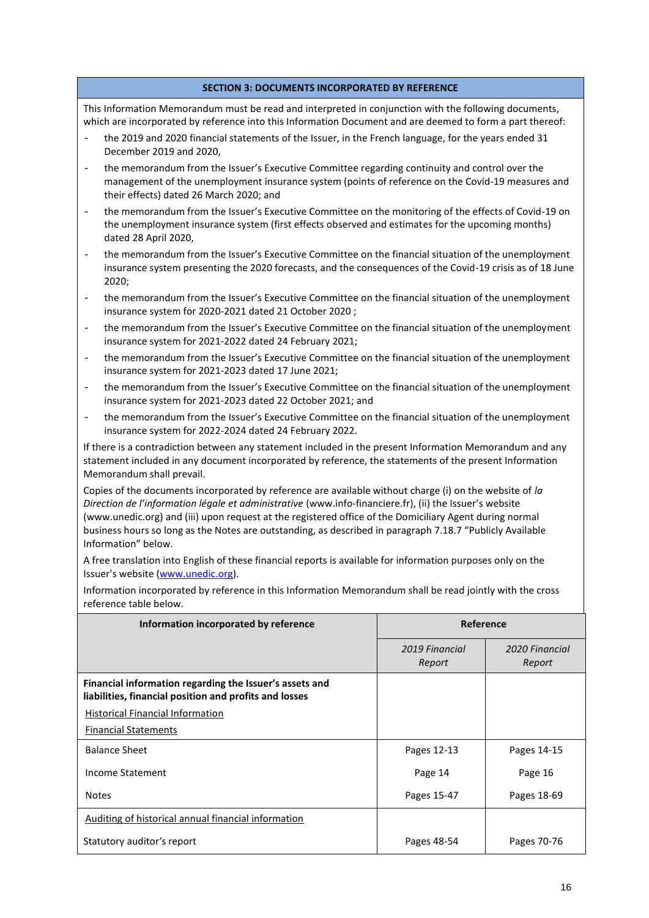#### **SECTION 3: DOCUMENTS INCORPORATED BY REFERENCE**

<span id="page-15-0"></span>This Information Memorandum must be read and interpreted in conjunction with the following documents, which are incorporated by reference into this Information Document and are deemed to form a part thereof:

- the 2019 and 2020 financial statements of the Issuer, in the French language, for the years ended 31 December 2019 and 2020,
- the memorandum from the Issuer's Executive Committee regarding continuity and control over the management of the unemployment insurance system (points of reference on the Covid-19 measures and their effects) dated 26 March 2020; and
- the memorandum from the Issuer's Executive Committee on the monitoring of the effects of Covid-19 on the unemployment insurance system (first effects observed and estimates for the upcoming months) dated 28 April 2020,
- the memorandum from the Issuer's Executive Committee on the financial situation of the unemployment insurance system presenting the 2020 forecasts, and the consequences of the Covid-19 crisis as of 18 June 2020;
- the memorandum from the Issuer's Executive Committee on the financial situation of the unemployment insurance system for 2020-2021 dated 21 October 2020 ;
- the memorandum from the Issuer's Executive Committee on the financial situation of the unemployment insurance system for 2021-2022 dated 24 February 2021;
- the memorandum from the Issuer's Executive Committee on the financial situation of the unemployment insurance system for 2021-2023 dated 17 June 2021;
- the memorandum from the Issuer's Executive Committee on the financial situation of the unemployment insurance system for 2021-2023 dated 22 October 2021; and
- the memorandum from the Issuer's Executive Committee on the financial situation of the unemployment insurance system for 2022-2024 dated 24 February 2022.

If there is a contradiction between any statement included in the present Information Memorandum and any statement included in any document incorporated by reference, the statements of the present Information Memorandum shall prevail.

Copies of the documents incorporated by reference are available without charge (i) on the website of *la Direction de l'information légale et administrative* (www.info-financiere.fr), (ii) the Issuer's website (www.unedic.org) and (iii) upon request at the registered office of the Domiciliary Agent during normal business hours so long as the Notes are outstanding, as described in paragraph 7.18.7 "Publicly Available Information" below.

A free translation into English of these financial reports is available for information purposes only on the Issuer's website ([www.unedic.org\)](http://www.unedic.org/).

Information incorporated by reference in this Information Memorandum shall be read jointly with the cross reference table below.

| Information incorporated by reference                                                                             | Reference                |                          |
|-------------------------------------------------------------------------------------------------------------------|--------------------------|--------------------------|
|                                                                                                                   | 2019 Financial<br>Report | 2020 Financial<br>Report |
| Financial information regarding the Issuer's assets and<br>liabilities, financial position and profits and losses |                          |                          |
| Historical Financial Information                                                                                  |                          |                          |
| <b>Financial Statements</b>                                                                                       |                          |                          |
| <b>Balance Sheet</b>                                                                                              | Pages 12-13              | Pages 14-15              |
| Income Statement                                                                                                  | Page 14                  | Page 16                  |
| <b>Notes</b>                                                                                                      | Pages 15-47              | Pages 18-69              |
| Auditing of historical annual financial information                                                               |                          |                          |
| Statutory auditor's report                                                                                        | Pages 48-54              | Pages 70-76              |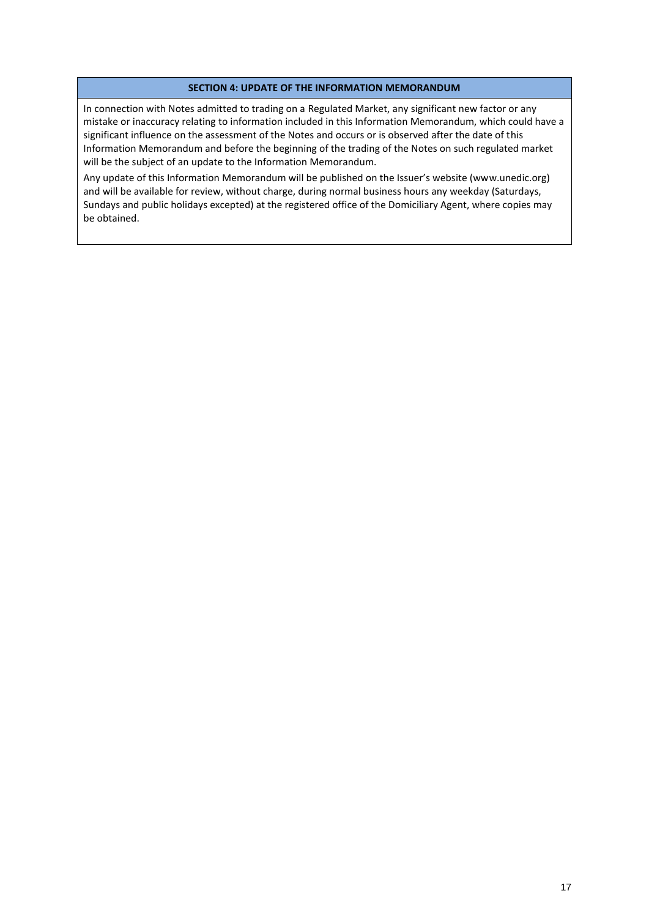#### **SECTION 4: UPDATE OF THE INFORMATION MEMORANDUM**

<span id="page-16-0"></span>In connection with Notes admitted to trading on a Regulated Market, any significant new factor or any mistake or inaccuracy relating to information included in this Information Memorandum, which could have a significant influence on the assessment of the Notes and occurs or is observed after the date of this Information Memorandum and before the beginning of the trading of the Notes on such regulated market will be the subject of an update to the Information Memorandum.

Any update of this Information Memorandum will be published on the Issuer's website (www.unedic.org) and will be available for review, without charge, during normal business hours any weekday (Saturdays, Sundays and public holidays excepted) at the registered office of the Domiciliary Agent, where copies may be obtained.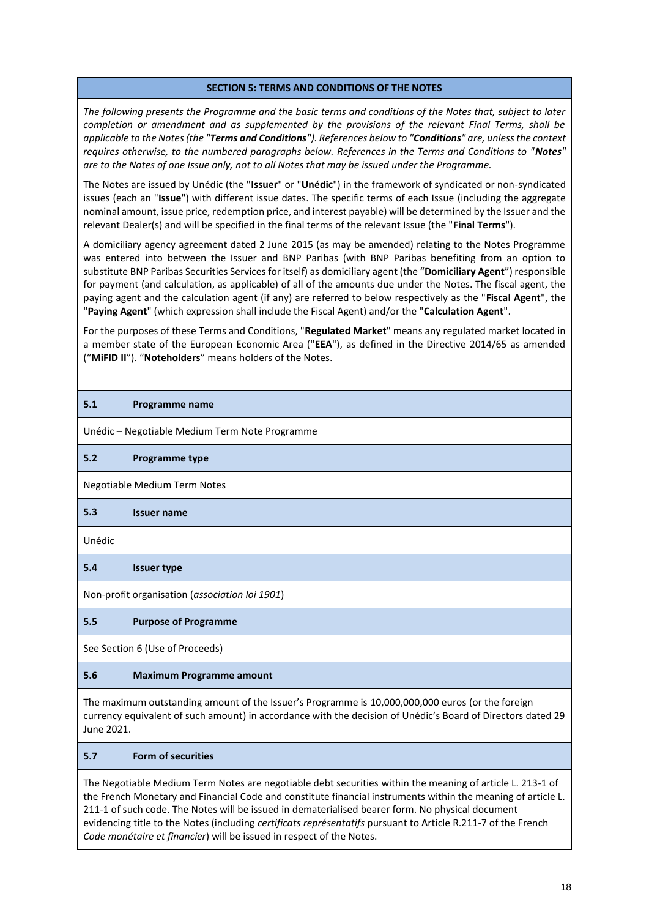#### **SECTION 5: TERMS AND CONDITIONS OF THE NOTES**

<span id="page-17-0"></span>*The following presents the Programme and the basic terms and conditions of the Notes that, subject to later completion or amendment and as supplemented by the provisions of the relevant Final Terms, shall be applicable to the Notes (the "Terms and Conditions"). References below to "Conditions" are, unless the context requires otherwise, to the numbered paragraphs below. References in the Terms and Conditions to "Notes" are to the Notes of one Issue only, not to all Notes that may be issued under the Programme.* 

The Notes are issued by Unédic (the "**Issuer**" or "**Unédic**") in the framework of syndicated or non-syndicated issues (each an "**Issue**") with different issue dates. The specific terms of each Issue (including the aggregate nominal amount, issue price, redemption price, and interest payable) will be determined by the Issuer and the relevant Dealer(s) and will be specified in the final terms of the relevant Issue (the "**Final Terms**").

A domiciliary agency agreement dated 2 June 2015 (as may be amended) relating to the Notes Programme was entered into between the Issuer and BNP Paribas (with BNP Paribas benefiting from an option to substitute BNP Paribas Securities Services for itself) as domiciliary agent (the "**Domiciliary Agent**") responsible for payment (and calculation, as applicable) of all of the amounts due under the Notes. The fiscal agent, the paying agent and the calculation agent (if any) are referred to below respectively as the "**Fiscal Agent**", the "**Paying Agent**" (which expression shall include the Fiscal Agent) and/or the "**Calculation Agent**".

For the purposes of these Terms and Conditions, "**Regulated Market**" means any regulated market located in a member state of the European Economic Area ("**EEA**"), as defined in the Directive 2014/65 as amended ("**MiFID II**"). "**Noteholders**" means holders of the Notes.

| 5.1                                                                                                                                                                                                                                                                                                                                                                                                                                                                                                                    | <b>Programme name</b>                          |  |  |
|------------------------------------------------------------------------------------------------------------------------------------------------------------------------------------------------------------------------------------------------------------------------------------------------------------------------------------------------------------------------------------------------------------------------------------------------------------------------------------------------------------------------|------------------------------------------------|--|--|
|                                                                                                                                                                                                                                                                                                                                                                                                                                                                                                                        | Unédic - Negotiable Medium Term Note Programme |  |  |
| 5.2                                                                                                                                                                                                                                                                                                                                                                                                                                                                                                                    | Programme type                                 |  |  |
|                                                                                                                                                                                                                                                                                                                                                                                                                                                                                                                        | <b>Negotiable Medium Term Notes</b>            |  |  |
| 5.3                                                                                                                                                                                                                                                                                                                                                                                                                                                                                                                    | <b>Issuer name</b>                             |  |  |
| Unédic                                                                                                                                                                                                                                                                                                                                                                                                                                                                                                                 |                                                |  |  |
| 5.4                                                                                                                                                                                                                                                                                                                                                                                                                                                                                                                    | <b>Issuer type</b>                             |  |  |
| Non-profit organisation (association loi 1901)                                                                                                                                                                                                                                                                                                                                                                                                                                                                         |                                                |  |  |
| 5.5                                                                                                                                                                                                                                                                                                                                                                                                                                                                                                                    | <b>Purpose of Programme</b>                    |  |  |
| See Section 6 (Use of Proceeds)                                                                                                                                                                                                                                                                                                                                                                                                                                                                                        |                                                |  |  |
| 5.6                                                                                                                                                                                                                                                                                                                                                                                                                                                                                                                    | <b>Maximum Programme amount</b>                |  |  |
| The maximum outstanding amount of the Issuer's Programme is 10,000,000,000 euros (or the foreign<br>currency equivalent of such amount) in accordance with the decision of Unédic's Board of Directors dated 29<br>June 2021.                                                                                                                                                                                                                                                                                          |                                                |  |  |
| 5.7                                                                                                                                                                                                                                                                                                                                                                                                                                                                                                                    | <b>Form of securities</b>                      |  |  |
| The Negotiable Medium Term Notes are negotiable debt securities within the meaning of article L. 213-1 of<br>the French Monetary and Financial Code and constitute financial instruments within the meaning of article L.<br>211-1 of such code. The Notes will be issued in dematerialised bearer form. No physical document<br>evidencing title to the Notes (including certificats représentatifs pursuant to Article R.211-7 of the French<br>Code monétaire et financier) will be issued in respect of the Notes. |                                                |  |  |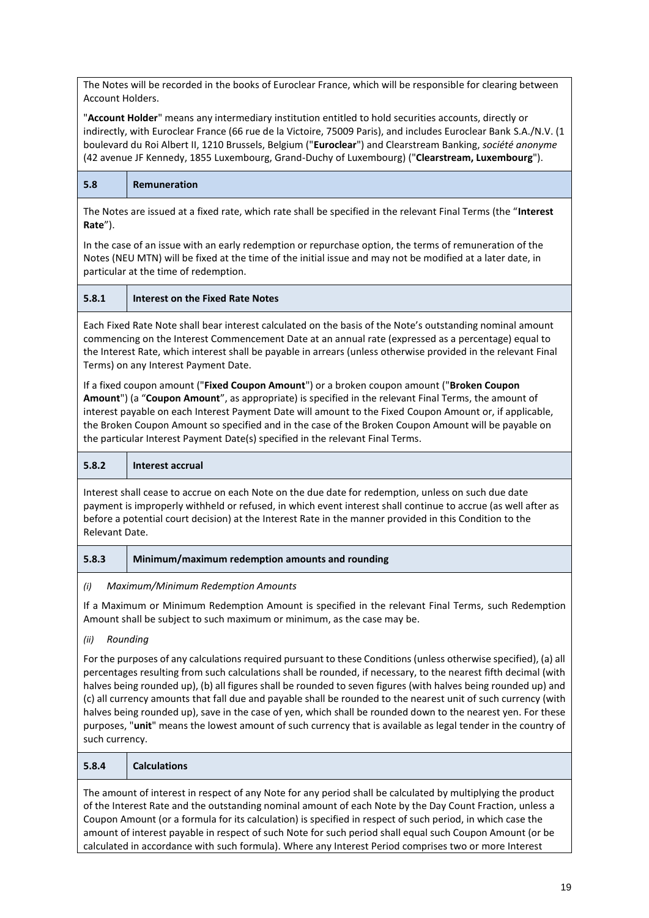The Notes will be recorded in the books of Euroclear France, which will be responsible for clearing between Account Holders.

"**Account Holder**" means any intermediary institution entitled to hold securities accounts, directly or indirectly, with Euroclear France (66 rue de la Victoire, 75009 Paris), and includes Euroclear Bank S.A./N.V. (1 boulevard du Roi Albert II, 1210 Brussels, Belgium ("**Euroclear**") and Clearstream Banking, *société anonyme*  (42 avenue JF Kennedy, 1855 Luxembourg, Grand-Duchy of Luxembourg) ("**Clearstream, Luxembourg**").

**5.8 Remuneration** 

The Notes are issued at a fixed rate, which rate shall be specified in the relevant Final Terms (the "**Interest Rate**").

In the case of an issue with an early redemption or repurchase option, the terms of remuneration of the Notes (NEU MTN) will be fixed at the time of the initial issue and may not be modified at a later date, in particular at the time of redemption.

**5.8.1 Interest on the Fixed Rate Notes** 

Each Fixed Rate Note shall bear interest calculated on the basis of the Note's outstanding nominal amount commencing on the Interest Commencement Date at an annual rate (expressed as a percentage) equal to the Interest Rate, which interest shall be payable in arrears (unless otherwise provided in the relevant Final Terms) on any Interest Payment Date.

If a fixed coupon amount ("**Fixed Coupon Amount**") or a broken coupon amount ("**Broken Coupon Amount**") (a "**Coupon Amount**", as appropriate) is specified in the relevant Final Terms, the amount of interest payable on each Interest Payment Date will amount to the Fixed Coupon Amount or, if applicable, the Broken Coupon Amount so specified and in the case of the Broken Coupon Amount will be payable on the particular Interest Payment Date(s) specified in the relevant Final Terms.



Interest shall cease to accrue on each Note on the due date for redemption, unless on such due date payment is improperly withheld or refused, in which event interest shall continue to accrue (as well after as before a potential court decision) at the Interest Rate in the manner provided in this Condition to the Relevant Date.

# **5.8.3 Minimum/maximum redemption amounts and rounding**

*(i) Maximum/Minimum Redemption Amounts*

If a Maximum or Minimum Redemption Amount is specified in the relevant Final Terms, such Redemption Amount shall be subject to such maximum or minimum, as the case may be.

*(ii) Rounding*

For the purposes of any calculations required pursuant to these Conditions (unless otherwise specified), (a) all percentages resulting from such calculations shall be rounded, if necessary, to the nearest fifth decimal (with halves being rounded up), (b) all figures shall be rounded to seven figures (with halves being rounded up) and (c) all currency amounts that fall due and payable shall be rounded to the nearest unit of such currency (with halves being rounded up), save in the case of yen, which shall be rounded down to the nearest yen. For these purposes, "**unit**" means the lowest amount of such currency that is available as legal tender in the country of such currency.

| 5.8.4                                                                                                      | <b>Calculations</b>                                                                                         |  |
|------------------------------------------------------------------------------------------------------------|-------------------------------------------------------------------------------------------------------------|--|
|                                                                                                            | The amount of interest in respect of any Note for any period shall be calculated by multiplying the product |  |
| of the Interest Rate and the outstanding nominal amount of each Note by the Day Count Fraction, unless a   |                                                                                                             |  |
| Coupon Amount (or a formula for its calculation) is specified in respect of such period, in which case the |                                                                                                             |  |
|                                                                                                            | amount of interest payable in respect of such Note for such period shall equal such Coupon Amount (or be    |  |
|                                                                                                            | calculated in accordance with such formula). Where any Interest Period comprises two or more Interest       |  |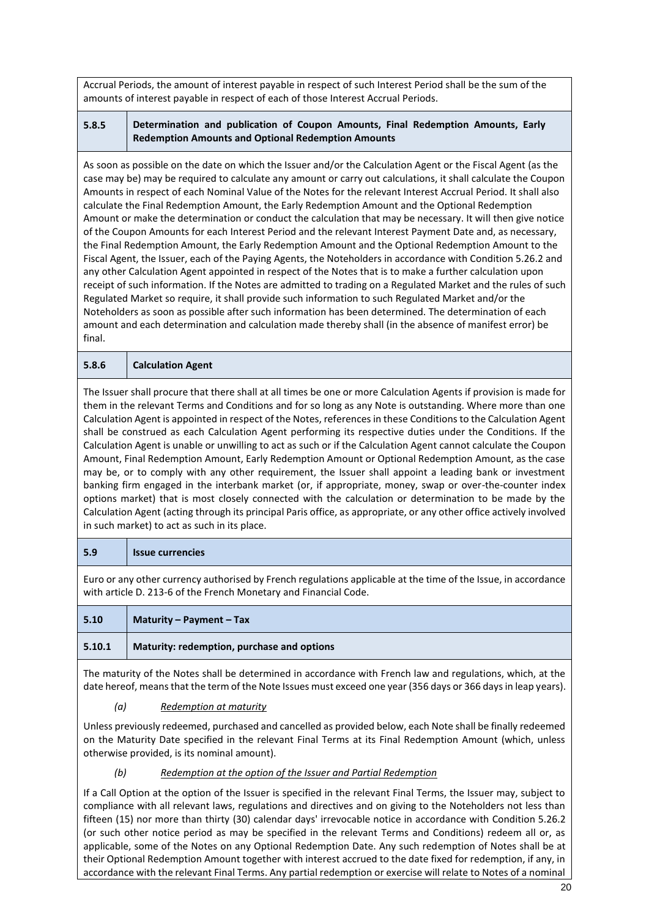Accrual Periods, the amount of interest payable in respect of such Interest Period shall be the sum of the amounts of interest payable in respect of each of those Interest Accrual Periods.

# **5.8.5 Determination and publication of Coupon Amounts, Final Redemption Amounts, Early Redemption Amounts and Optional Redemption Amounts**

As soon as possible on the date on which the Issuer and/or the Calculation Agent or the Fiscal Agent (as the case may be) may be required to calculate any amount or carry out calculations, it shall calculate the Coupon Amounts in respect of each Nominal Value of the Notes for the relevant Interest Accrual Period. It shall also calculate the Final Redemption Amount, the Early Redemption Amount and the Optional Redemption Amount or make the determination or conduct the calculation that may be necessary. It will then give notice of the Coupon Amounts for each Interest Period and the relevant Interest Payment Date and, as necessary, the Final Redemption Amount, the Early Redemption Amount and the Optional Redemption Amount to the Fiscal Agent, the Issuer, each of the Paying Agents, the Noteholders in accordance with Condition 5.26.2 and any other Calculation Agent appointed in respect of the Notes that is to make a further calculation upon receipt of such information. If the Notes are admitted to trading on a Regulated Market and the rules of such Regulated Market so require, it shall provide such information to such Regulated Market and/or the Noteholders as soon as possible after such information has been determined. The determination of each amount and each determination and calculation made thereby shall (in the absence of manifest error) be final.

## **5.8.6 Calculation Agent**

The Issuer shall procure that there shall at all times be one or more Calculation Agents if provision is made for them in the relevant Terms and Conditions and for so long as any Note is outstanding. Where more than one Calculation Agent is appointed in respect of the Notes, references in these Conditions to the Calculation Agent shall be construed as each Calculation Agent performing its respective duties under the Conditions. If the Calculation Agent is unable or unwilling to act as such or if the Calculation Agent cannot calculate the Coupon Amount, Final Redemption Amount, Early Redemption Amount or Optional Redemption Amount, as the case may be, or to comply with any other requirement, the Issuer shall appoint a leading bank or investment banking firm engaged in the interbank market (or, if appropriate, money, swap or over-the-counter index options market) that is most closely connected with the calculation or determination to be made by the Calculation Agent (acting through its principal Paris office, as appropriate, or any other office actively involved in such market) to act as such in its place.

#### **5.9 Issue currencies**

Euro or any other currency authorised by French regulations applicable at the time of the Issue, in accordance with article D. 213-6 of the French Monetary and Financial Code.

| 5.10   | Maturity – Payment – Tax                   |
|--------|--------------------------------------------|
| 5.10.1 | Maturity: redemption, purchase and options |

The maturity of the Notes shall be determined in accordance with French law and regulations, which, at the date hereof, means that the term of the Note Issues must exceed one year (356 days or 366 days in leap years).

#### *(a) Redemption at maturity*

Unless previously redeemed, purchased and cancelled as provided below, each Note shall be finally redeemed on the Maturity Date specified in the relevant Final Terms at its Final Redemption Amount (which, unless otherwise provided, is its nominal amount).

# *(b) Redemption at the option of the Issuer and Partial Redemption*

If a Call Option at the option of the Issuer is specified in the relevant Final Terms, the Issuer may, subject to compliance with all relevant laws, regulations and directives and on giving to the Noteholders not less than fifteen (15) nor more than thirty (30) calendar days' irrevocable notice in accordance with Condition 5.26.2 (or such other notice period as may be specified in the relevant Terms and Conditions) redeem all or, as applicable, some of the Notes on any Optional Redemption Date. Any such redemption of Notes shall be at their Optional Redemption Amount together with interest accrued to the date fixed for redemption, if any, in accordance with the relevant Final Terms. Any partial redemption or exercise will relate to Notes of a nominal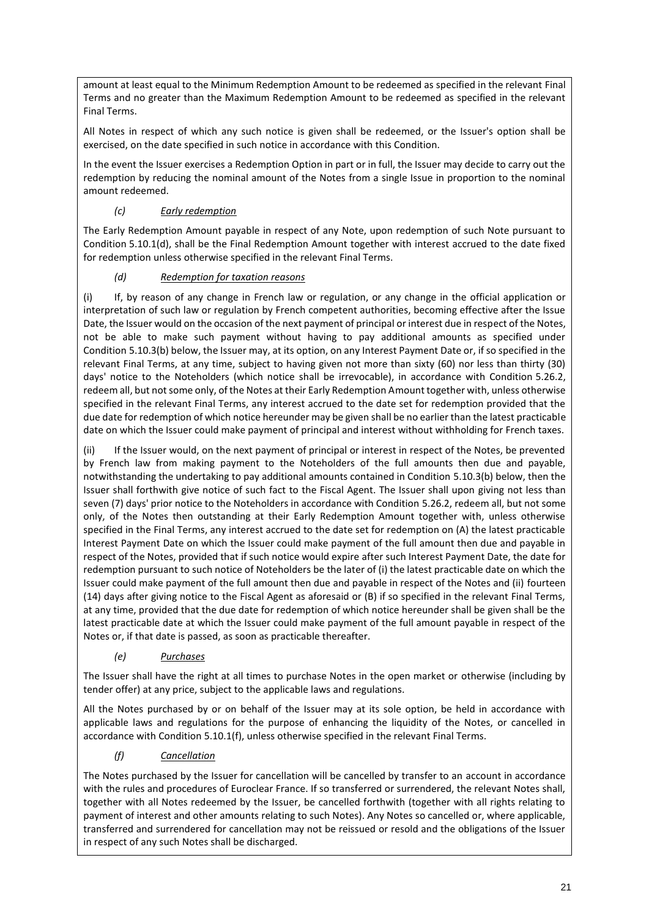amount at least equal to the Minimum Redemption Amount to be redeemed as specified in the relevant Final Terms and no greater than the Maximum Redemption Amount to be redeemed as specified in the relevant Final Terms.

All Notes in respect of which any such notice is given shall be redeemed, or the Issuer's option shall be exercised, on the date specified in such notice in accordance with this Condition.

In the event the Issuer exercises a Redemption Option in part or in full, the Issuer may decide to carry out the redemption by reducing the nominal amount of the Notes from a single Issue in proportion to the nominal amount redeemed.

# *(c) Early redemption*

The Early Redemption Amount payable in respect of any Note, upon redemption of such Note pursuant to Condition 5.10.1(d), shall be the Final Redemption Amount together with interest accrued to the date fixed for redemption unless otherwise specified in the relevant Final Terms.

# *(d) Redemption for taxation reasons*

(i) If, by reason of any change in French law or regulation, or any change in the official application or interpretation of such law or regulation by French competent authorities, becoming effective after the Issue Date, the Issuer would on the occasion of the next payment of principal or interest due in respect of the Notes, not be able to make such payment without having to pay additional amounts as specified under Condition 5.10.3(b) below, the Issuer may, at its option, on any Interest Payment Date or, if so specified in the relevant Final Terms, at any time, subject to having given not more than sixty (60) nor less than thirty (30) days' notice to the Noteholders (which notice shall be irrevocable), in accordance with Condition 5.26.2, redeem all, but not some only, of the Notes at their Early Redemption Amount together with, unless otherwise specified in the relevant Final Terms, any interest accrued to the date set for redemption provided that the due date for redemption of which notice hereunder may be given shall be no earlier than the latest practicable date on which the Issuer could make payment of principal and interest without withholding for French taxes.

(ii) If the Issuer would, on the next payment of principal or interest in respect of the Notes, be prevented by French law from making payment to the Noteholders of the full amounts then due and payable, notwithstanding the undertaking to pay additional amounts contained in Condition 5.10.3(b) below, then the Issuer shall forthwith give notice of such fact to the Fiscal Agent. The Issuer shall upon giving not less than seven (7) days' prior notice to the Noteholders in accordance with Condition 5.26.2, redeem all, but not some only, of the Notes then outstanding at their Early Redemption Amount together with, unless otherwise specified in the Final Terms, any interest accrued to the date set for redemption on (A) the latest practicable Interest Payment Date on which the Issuer could make payment of the full amount then due and payable in respect of the Notes, provided that if such notice would expire after such Interest Payment Date, the date for redemption pursuant to such notice of Noteholders be the later of (i) the latest practicable date on which the Issuer could make payment of the full amount then due and payable in respect of the Notes and (ii) fourteen (14) days after giving notice to the Fiscal Agent as aforesaid or (B) if so specified in the relevant Final Terms, at any time, provided that the due date for redemption of which notice hereunder shall be given shall be the latest practicable date at which the Issuer could make payment of the full amount payable in respect of the Notes or, if that date is passed, as soon as practicable thereafter.

# *(e) Purchases*

The Issuer shall have the right at all times to purchase Notes in the open market or otherwise (including by tender offer) at any price, subject to the applicable laws and regulations.

All the Notes purchased by or on behalf of the Issuer may at its sole option, be held in accordance with applicable laws and regulations for the purpose of enhancing the liquidity of the Notes, or cancelled in accordance with Condition 5.10.1(f), unless otherwise specified in the relevant Final Terms.

# *(f) Cancellation*

The Notes purchased by the Issuer for cancellation will be cancelled by transfer to an account in accordance with the rules and procedures of Euroclear France. If so transferred or surrendered, the relevant Notes shall, together with all Notes redeemed by the Issuer, be cancelled forthwith (together with all rights relating to payment of interest and other amounts relating to such Notes). Any Notes so cancelled or, where applicable, transferred and surrendered for cancellation may not be reissued or resold and the obligations of the Issuer in respect of any such Notes shall be discharged.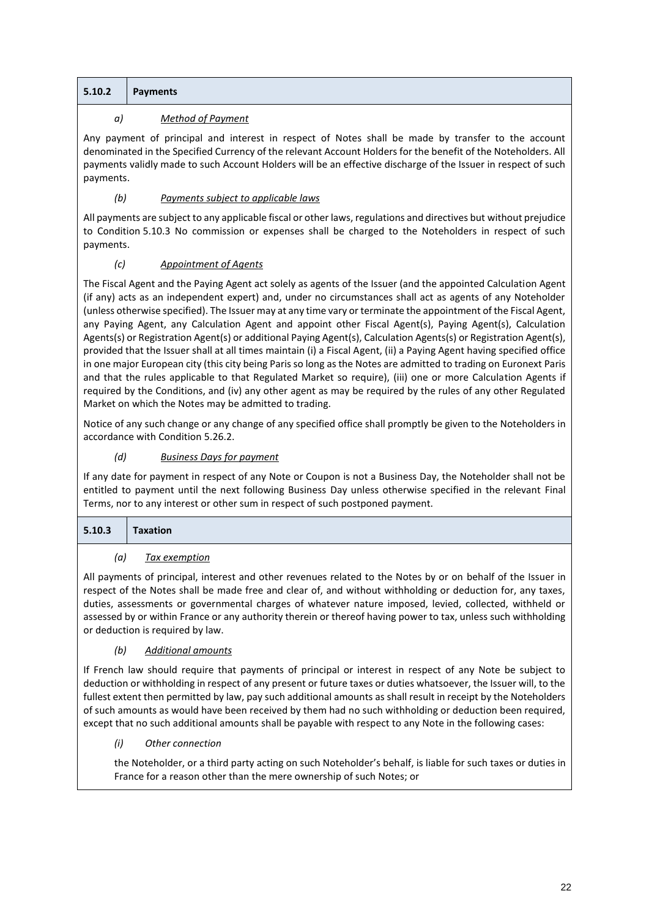|  | $5.10.2$ Payments |  |
|--|-------------------|--|
|--|-------------------|--|

# *a) Method of Payment*

Any payment of principal and interest in respect of Notes shall be made by transfer to the account denominated in the Specified Currency of the relevant Account Holders for the benefit of the Noteholders. All payments validly made to such Account Holders will be an effective discharge of the Issuer in respect of such payments.

# *(b) Payments subject to applicable laws*

All payments are subject to any applicable fiscal or other laws, regulations and directives but without prejudice to Condition 5.10.3 No commission or expenses shall be charged to the Noteholders in respect of such payments.

# *(c) Appointment of Agents*

The Fiscal Agent and the Paying Agent act solely as agents of the Issuer (and the appointed Calculation Agent (if any) acts as an independent expert) and, under no circumstances shall act as agents of any Noteholder (unless otherwise specified). The Issuer may at any time vary or terminate the appointment of the Fiscal Agent, any Paying Agent, any Calculation Agent and appoint other Fiscal Agent(s), Paying Agent(s), Calculation Agents(s) or Registration Agent(s) or additional Paying Agent(s), Calculation Agents(s) or Registration Agent(s), provided that the Issuer shall at all times maintain (i) a Fiscal Agent, (ii) a Paying Agent having specified office in one major European city (this city being Paris so long as the Notes are admitted to trading on Euronext Paris and that the rules applicable to that Regulated Market so require), (iii) one or more Calculation Agents if required by the Conditions, and (iv) any other agent as may be required by the rules of any other Regulated Market on which the Notes may be admitted to trading.

Notice of any such change or any change of any specified office shall promptly be given to the Noteholders in accordance with Condition 5.26.2.

# *(d) Business Days for payment*

If any date for payment in respect of any Note or Coupon is not a Business Day, the Noteholder shall not be entitled to payment until the next following Business Day unless otherwise specified in the relevant Final Terms, nor to any interest or other sum in respect of such postponed payment.

| 5.10.3 | Taxation |
|--------|----------|
|        |          |

# *(a) Tax exemption*

All payments of principal, interest and other revenues related to the Notes by or on behalf of the Issuer in respect of the Notes shall be made free and clear of, and without withholding or deduction for, any taxes, duties, assessments or governmental charges of whatever nature imposed, levied, collected, withheld or assessed by or within France or any authority therein or thereof having power to tax, unless such withholding or deduction is required by law.

# *(b) Additional amounts*

If French law should require that payments of principal or interest in respect of any Note be subject to deduction or withholding in respect of any present or future taxes or duties whatsoever, the Issuer will, to the fullest extent then permitted by law, pay such additional amounts as shall result in receipt by the Noteholders of such amounts as would have been received by them had no such withholding or deduction been required, except that no such additional amounts shall be payable with respect to any Note in the following cases:

# *(i) Other connection*

the Noteholder, or a third party acting on such Noteholder's behalf, is liable for such taxes or duties in France for a reason other than the mere ownership of such Notes; or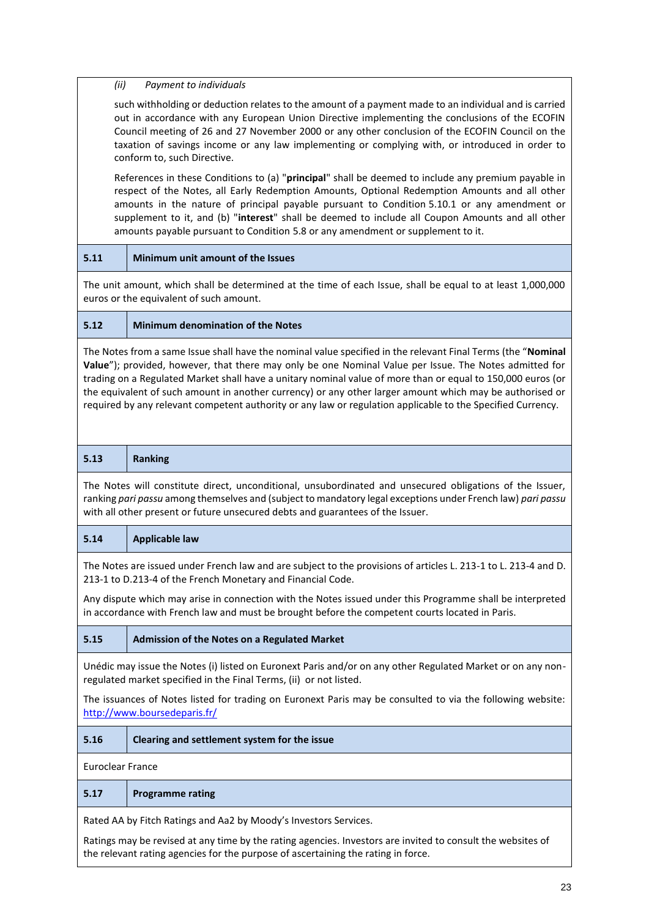#### *(ii) Payment to individuals*

such withholding or deduction relates to the amount of a payment made to an individual and is carried out in accordance with any European Union Directive implementing the conclusions of the ECOFIN Council meeting of 26 and 27 November 2000 or any other conclusion of the ECOFIN Council on the taxation of savings income or any law implementing or complying with, or introduced in order to conform to, such Directive.

References in these Conditions to (a) "**principal**" shall be deemed to include any premium payable in respect of the Notes, all Early Redemption Amounts, Optional Redemption Amounts and all other amounts in the nature of principal payable pursuant to Condition 5.10.1 or any amendment or supplement to it, and (b) "**interest**" shall be deemed to include all Coupon Amounts and all other amounts payable pursuant to Condition 5.8 or any amendment or supplement to it.

**5.11 Minimum unit amount of the Issues** 

The unit amount, which shall be determined at the time of each Issue, shall be equal to at least 1,000,000 euros or the equivalent of such amount.

#### **5.12 Minimum denomination of the Notes**

The Notes from a same Issue shall have the nominal value specified in the relevant Final Terms (the "**Nominal Value**"); provided, however, that there may only be one Nominal Value per Issue. The Notes admitted for trading on a Regulated Market shall have a unitary nominal value of more than or equal to 150,000 euros (or the equivalent of such amount in another currency) or any other larger amount which may be authorised or required by any relevant competent authority or any law or regulation applicable to the Specified Currency.

| 5.13                                                                                                                                                                                                                                                                                                      | <b>Ranking</b>                                                                                                                                                                                               |  |
|-----------------------------------------------------------------------------------------------------------------------------------------------------------------------------------------------------------------------------------------------------------------------------------------------------------|--------------------------------------------------------------------------------------------------------------------------------------------------------------------------------------------------------------|--|
| The Notes will constitute direct, unconditional, unsubordinated and unsecured obligations of the Issuer,<br>ranking pari passu among themselves and (subject to mandatory legal exceptions under French law) pari passu<br>with all other present or future unsecured debts and guarantees of the Issuer. |                                                                                                                                                                                                              |  |
| 5.14                                                                                                                                                                                                                                                                                                      | <b>Applicable law</b>                                                                                                                                                                                        |  |
| The Notes are issued under French law and are subject to the provisions of articles L. 213-1 to L. 213-4 and D.<br>213-1 to D.213-4 of the French Monetary and Financial Code.                                                                                                                            |                                                                                                                                                                                                              |  |
|                                                                                                                                                                                                                                                                                                           | Any dispute which may arise in connection with the Notes issued under this Programme shall be interpreted<br>in accordance with French law and must be brought before the competent courts located in Paris. |  |
| 5.15                                                                                                                                                                                                                                                                                                      | Admission of the Notes on a Regulated Market                                                                                                                                                                 |  |
| Unédic may issue the Notes (i) listed on Euronext Paris and/or on any other Regulated Market or on any non-<br>regulated market specified in the Final Terms, (ii) or not listed.                                                                                                                         |                                                                                                                                                                                                              |  |
| The issuances of Notes listed for trading on Euronext Paris may be consulted to via the following website:<br>http://www.boursedeparis.fr/                                                                                                                                                                |                                                                                                                                                                                                              |  |
| 5.16                                                                                                                                                                                                                                                                                                      | Clearing and settlement system for the issue                                                                                                                                                                 |  |
| <b>Euroclear France</b>                                                                                                                                                                                                                                                                                   |                                                                                                                                                                                                              |  |
| 5.17                                                                                                                                                                                                                                                                                                      | <b>Programme rating</b>                                                                                                                                                                                      |  |
| Rated AA by Fitch Ratings and Aa2 by Moody's Investors Services.                                                                                                                                                                                                                                          |                                                                                                                                                                                                              |  |
| Ratings may be revised at any time by the rating agencies. Investors are invited to consult the websites of<br>the relevant rating agencies for the purpose of ascertaining the rating in force.                                                                                                          |                                                                                                                                                                                                              |  |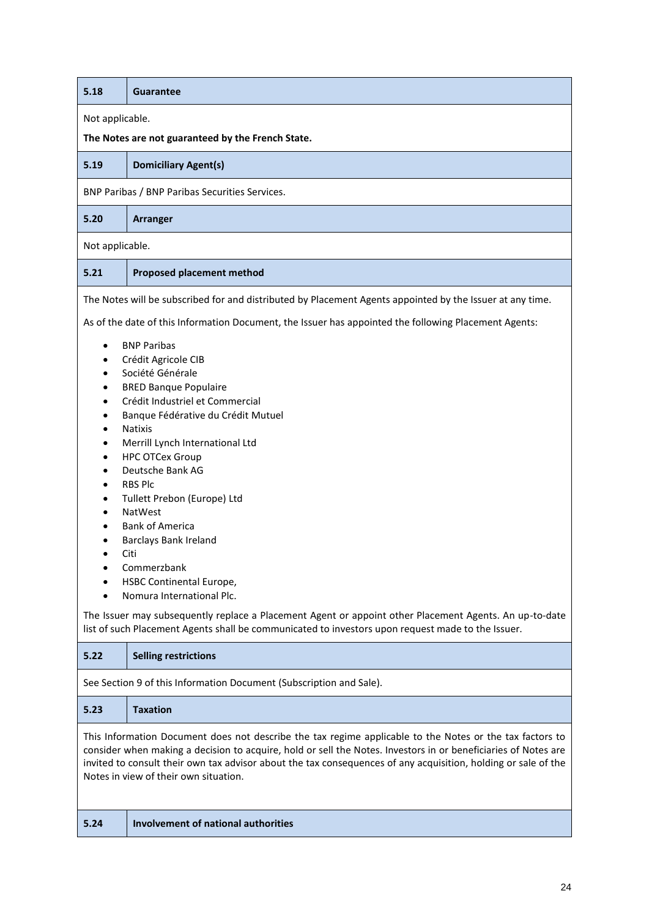| 5.18                                                                                                                                                                                                                                                                                                                                                                                                                                                                                                                                                                                                                                                                                                                                                                                                                                                                                                                                                                                       | <b>Guarantee</b>                                                                                          |  |  |
|--------------------------------------------------------------------------------------------------------------------------------------------------------------------------------------------------------------------------------------------------------------------------------------------------------------------------------------------------------------------------------------------------------------------------------------------------------------------------------------------------------------------------------------------------------------------------------------------------------------------------------------------------------------------------------------------------------------------------------------------------------------------------------------------------------------------------------------------------------------------------------------------------------------------------------------------------------------------------------------------|-----------------------------------------------------------------------------------------------------------|--|--|
|                                                                                                                                                                                                                                                                                                                                                                                                                                                                                                                                                                                                                                                                                                                                                                                                                                                                                                                                                                                            | Not applicable.                                                                                           |  |  |
|                                                                                                                                                                                                                                                                                                                                                                                                                                                                                                                                                                                                                                                                                                                                                                                                                                                                                                                                                                                            | The Notes are not guaranteed by the French State.                                                         |  |  |
| 5.19                                                                                                                                                                                                                                                                                                                                                                                                                                                                                                                                                                                                                                                                                                                                                                                                                                                                                                                                                                                       | <b>Domiciliary Agent(s)</b>                                                                               |  |  |
|                                                                                                                                                                                                                                                                                                                                                                                                                                                                                                                                                                                                                                                                                                                                                                                                                                                                                                                                                                                            | BNP Paribas / BNP Paribas Securities Services.                                                            |  |  |
| 5.20                                                                                                                                                                                                                                                                                                                                                                                                                                                                                                                                                                                                                                                                                                                                                                                                                                                                                                                                                                                       | <b>Arranger</b>                                                                                           |  |  |
| Not applicable.                                                                                                                                                                                                                                                                                                                                                                                                                                                                                                                                                                                                                                                                                                                                                                                                                                                                                                                                                                            |                                                                                                           |  |  |
| 5.21                                                                                                                                                                                                                                                                                                                                                                                                                                                                                                                                                                                                                                                                                                                                                                                                                                                                                                                                                                                       | <b>Proposed placement method</b>                                                                          |  |  |
|                                                                                                                                                                                                                                                                                                                                                                                                                                                                                                                                                                                                                                                                                                                                                                                                                                                                                                                                                                                            | The Notes will be subscribed for and distributed by Placement Agents appointed by the Issuer at any time. |  |  |
| As of the date of this Information Document, the Issuer has appointed the following Placement Agents:<br><b>BNP Paribas</b><br>$\bullet$<br>Crédit Agricole CIB<br>$\bullet$<br>Société Générale<br>$\bullet$<br><b>BRED Banque Populaire</b><br>$\bullet$<br>Crédit Industriel et Commercial<br>$\bullet$<br>Banque Fédérative du Crédit Mutuel<br>$\bullet$<br><b>Natixis</b><br>$\bullet$<br>Merrill Lynch International Ltd<br>$\bullet$<br><b>HPC OTCex Group</b><br>$\bullet$<br>Deutsche Bank AG<br>$\bullet$<br><b>RBS Plc</b><br>$\bullet$<br>Tullett Prebon (Europe) Ltd<br>٠<br><b>NatWest</b><br>$\bullet$<br><b>Bank of America</b><br>Barclays Bank Ireland<br>Citi<br>$\bullet$<br>Commerzbank<br>٠<br>HSBC Continental Europe,<br>Nomura International Plc.<br>The Issuer may subsequently replace a Placement Agent or appoint other Placement Agents. An up-to-date<br>list of such Placement Agents shall be communicated to investors upon request made to the Issuer. |                                                                                                           |  |  |
| 5.22                                                                                                                                                                                                                                                                                                                                                                                                                                                                                                                                                                                                                                                                                                                                                                                                                                                                                                                                                                                       | <b>Selling restrictions</b>                                                                               |  |  |
|                                                                                                                                                                                                                                                                                                                                                                                                                                                                                                                                                                                                                                                                                                                                                                                                                                                                                                                                                                                            | See Section 9 of this Information Document (Subscription and Sale).                                       |  |  |
| 5.23                                                                                                                                                                                                                                                                                                                                                                                                                                                                                                                                                                                                                                                                                                                                                                                                                                                                                                                                                                                       | <b>Taxation</b>                                                                                           |  |  |
| This Information Document does not describe the tax regime applicable to the Notes or the tax factors to<br>consider when making a decision to acquire, hold or sell the Notes. Investors in or beneficiaries of Notes are<br>invited to consult their own tax advisor about the tax consequences of any acquisition, holding or sale of the<br>Notes in view of their own situation.                                                                                                                                                                                                                                                                                                                                                                                                                                                                                                                                                                                                      |                                                                                                           |  |  |
| 5.24                                                                                                                                                                                                                                                                                                                                                                                                                                                                                                                                                                                                                                                                                                                                                                                                                                                                                                                                                                                       | <b>Involvement of national authorities</b>                                                                |  |  |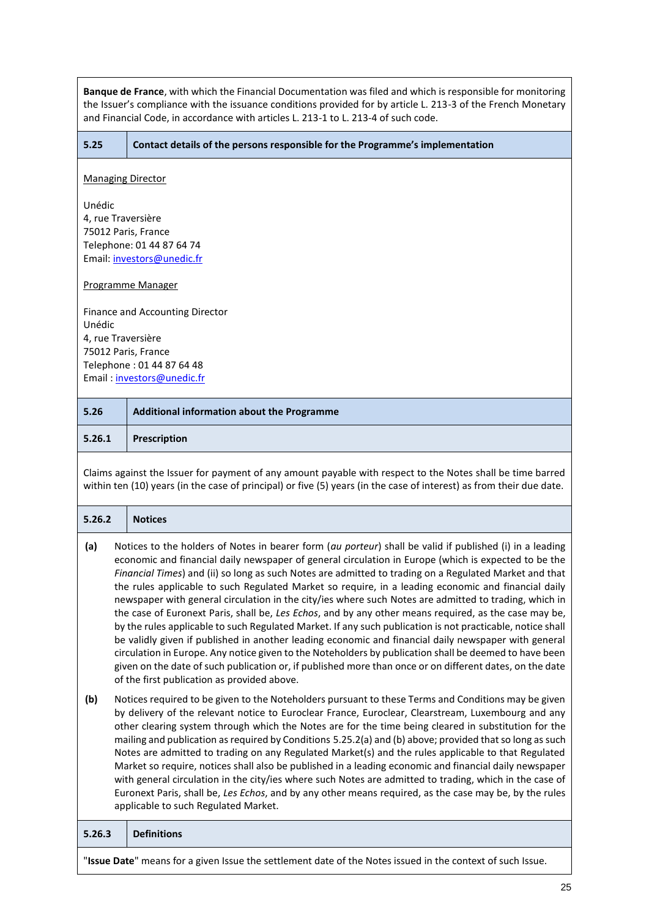| Banque de France, with which the Financial Documentation was filed and which is responsible for monitoring<br>the Issuer's compliance with the issuance conditions provided for by article L. 213-3 of the French Monetary<br>and Financial Code, in accordance with articles L. 213-1 to L. 213-4 of such code.                                                                                                                                                                                                                                                                                                                                                                                                                                                                                                                                                                                                                                                                                                                                                                                                                                      |                                                                                                                                                                                                                                                                                                                                                                                                                                                                                                                                                                                                                                                                                                                                                                                                                                                                     |  |  |  |
|-------------------------------------------------------------------------------------------------------------------------------------------------------------------------------------------------------------------------------------------------------------------------------------------------------------------------------------------------------------------------------------------------------------------------------------------------------------------------------------------------------------------------------------------------------------------------------------------------------------------------------------------------------------------------------------------------------------------------------------------------------------------------------------------------------------------------------------------------------------------------------------------------------------------------------------------------------------------------------------------------------------------------------------------------------------------------------------------------------------------------------------------------------|---------------------------------------------------------------------------------------------------------------------------------------------------------------------------------------------------------------------------------------------------------------------------------------------------------------------------------------------------------------------------------------------------------------------------------------------------------------------------------------------------------------------------------------------------------------------------------------------------------------------------------------------------------------------------------------------------------------------------------------------------------------------------------------------------------------------------------------------------------------------|--|--|--|
| 5.25                                                                                                                                                                                                                                                                                                                                                                                                                                                                                                                                                                                                                                                                                                                                                                                                                                                                                                                                                                                                                                                                                                                                                  | Contact details of the persons responsible for the Programme's implementation                                                                                                                                                                                                                                                                                                                                                                                                                                                                                                                                                                                                                                                                                                                                                                                       |  |  |  |
|                                                                                                                                                                                                                                                                                                                                                                                                                                                                                                                                                                                                                                                                                                                                                                                                                                                                                                                                                                                                                                                                                                                                                       | <b>Managing Director</b>                                                                                                                                                                                                                                                                                                                                                                                                                                                                                                                                                                                                                                                                                                                                                                                                                                            |  |  |  |
| Unédic<br>4, rue Traversière<br>75012 Paris, France<br>Telephone: 01 44 87 64 74<br>Email: investors@unedic.fr                                                                                                                                                                                                                                                                                                                                                                                                                                                                                                                                                                                                                                                                                                                                                                                                                                                                                                                                                                                                                                        |                                                                                                                                                                                                                                                                                                                                                                                                                                                                                                                                                                                                                                                                                                                                                                                                                                                                     |  |  |  |
|                                                                                                                                                                                                                                                                                                                                                                                                                                                                                                                                                                                                                                                                                                                                                                                                                                                                                                                                                                                                                                                                                                                                                       | Programme Manager                                                                                                                                                                                                                                                                                                                                                                                                                                                                                                                                                                                                                                                                                                                                                                                                                                                   |  |  |  |
| Finance and Accounting Director<br>Unédic<br>4, rue Traversière<br>75012 Paris, France<br>Telephone: 01 44 87 64 48<br>Email: investors@unedic.fr                                                                                                                                                                                                                                                                                                                                                                                                                                                                                                                                                                                                                                                                                                                                                                                                                                                                                                                                                                                                     |                                                                                                                                                                                                                                                                                                                                                                                                                                                                                                                                                                                                                                                                                                                                                                                                                                                                     |  |  |  |
| 5.26                                                                                                                                                                                                                                                                                                                                                                                                                                                                                                                                                                                                                                                                                                                                                                                                                                                                                                                                                                                                                                                                                                                                                  | Additional information about the Programme                                                                                                                                                                                                                                                                                                                                                                                                                                                                                                                                                                                                                                                                                                                                                                                                                          |  |  |  |
| 5.26.1                                                                                                                                                                                                                                                                                                                                                                                                                                                                                                                                                                                                                                                                                                                                                                                                                                                                                                                                                                                                                                                                                                                                                | Prescription                                                                                                                                                                                                                                                                                                                                                                                                                                                                                                                                                                                                                                                                                                                                                                                                                                                        |  |  |  |
| Claims against the Issuer for payment of any amount payable with respect to the Notes shall be time barred<br>within ten (10) years (in the case of principal) or five (5) years (in the case of interest) as from their due date.                                                                                                                                                                                                                                                                                                                                                                                                                                                                                                                                                                                                                                                                                                                                                                                                                                                                                                                    |                                                                                                                                                                                                                                                                                                                                                                                                                                                                                                                                                                                                                                                                                                                                                                                                                                                                     |  |  |  |
| 5.26.2                                                                                                                                                                                                                                                                                                                                                                                                                                                                                                                                                                                                                                                                                                                                                                                                                                                                                                                                                                                                                                                                                                                                                | <b>Notices</b>                                                                                                                                                                                                                                                                                                                                                                                                                                                                                                                                                                                                                                                                                                                                                                                                                                                      |  |  |  |
| Notices to the holders of Notes in bearer form (au porteur) shall be valid if published (i) in a leading<br>(a)<br>economic and financial daily newspaper of general circulation in Europe (which is expected to be the<br>Financial Times) and (ii) so long as such Notes are admitted to trading on a Regulated Market and that<br>the rules applicable to such Regulated Market so require, in a leading economic and financial daily<br>newspaper with general circulation in the city/ies where such Notes are admitted to trading, which in<br>the case of Euronext Paris, shall be, Les Echos, and by any other means required, as the case may be,<br>by the rules applicable to such Regulated Market. If any such publication is not practicable, notice shall<br>be validly given if published in another leading economic and financial daily newspaper with general<br>circulation in Europe. Any notice given to the Noteholders by publication shall be deemed to have been<br>given on the date of such publication or, if published more than once or on different dates, on the date<br>of the first publication as provided above. |                                                                                                                                                                                                                                                                                                                                                                                                                                                                                                                                                                                                                                                                                                                                                                                                                                                                     |  |  |  |
| (b)                                                                                                                                                                                                                                                                                                                                                                                                                                                                                                                                                                                                                                                                                                                                                                                                                                                                                                                                                                                                                                                                                                                                                   | Notices required to be given to the Noteholders pursuant to these Terms and Conditions may be given<br>by delivery of the relevant notice to Euroclear France, Euroclear, Clearstream, Luxembourg and any<br>other clearing system through which the Notes are for the time being cleared in substitution for the<br>mailing and publication as required by Conditions 5.25.2(a) and (b) above; provided that so long as such<br>Notes are admitted to trading on any Regulated Market(s) and the rules applicable to that Regulated<br>Market so require, notices shall also be published in a leading economic and financial daily newspaper<br>with general circulation in the city/ies where such Notes are admitted to trading, which in the case of<br>Euronext Paris, shall be, Les Echos, and by any other means required, as the case may be, by the rules |  |  |  |

# **5.26.3 Definitions**

 $\Gamma$ 

applicable to such Regulated Market.

"**Issue Date**" means for a given Issue the settlement date of the Notes issued in the context of such Issue.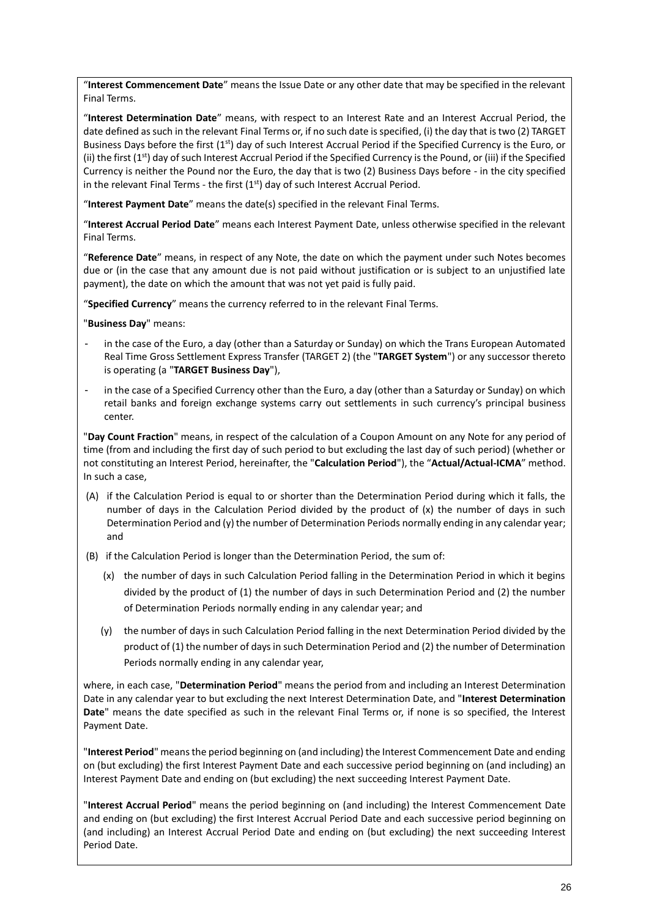"**Interest Commencement Date**" means the Issue Date or any other date that may be specified in the relevant Final Terms.

"**Interest Determination Date**" means, with respect to an Interest Rate and an Interest Accrual Period, the date defined as such in the relevant Final Terms or, if no such date is specified, (i) the day that is two (2) TARGET Business Days before the first  $(1<sup>st</sup>)$  day of such Interest Accrual Period if the Specified Currency is the Euro, or (ii) the first  $(1^{st})$  day of such Interest Accrual Period if the Specified Currency is the Pound, or (iii) if the Specified Currency is neither the Pound nor the Euro, the day that is two (2) Business Days before - in the city specified in the relevant Final Terms - the first  $(1<sup>st</sup>)$  day of such Interest Accrual Period.

"**Interest Payment Date**" means the date(s) specified in the relevant Final Terms.

"**Interest Accrual Period Date**" means each Interest Payment Date, unless otherwise specified in the relevant Final Terms.

"**Reference Date**" means, in respect of any Note, the date on which the payment under such Notes becomes due or (in the case that any amount due is not paid without justification or is subject to an unjustified late payment), the date on which the amount that was not yet paid is fully paid.

"**Specified Currency**" means the currency referred to in the relevant Final Terms.

"**Business Day**" means:

- in the case of the Euro, a day (other than a Saturday or Sunday) on which the Trans European Automated Real Time Gross Settlement Express Transfer (TARGET 2) (the "**TARGET System**") or any successor thereto is operating (a "**TARGET Business Day**"),
- in the case of a Specified Currency other than the Euro, a day (other than a Saturday or Sunday) on which retail banks and foreign exchange systems carry out settlements in such currency's principal business center.

"**Day Count Fraction**" means, in respect of the calculation of a Coupon Amount on any Note for any period of time (from and including the first day of such period to but excluding the last day of such period) (whether or not constituting an Interest Period, hereinafter, the "**Calculation Period**"), the "**Actual/Actual-ICMA**" method. In such a case,

- (A) if the Calculation Period is equal to or shorter than the Determination Period during which it falls, the number of days in the Calculation Period divided by the product of (x) the number of days in such Determination Period and (y) the number of Determination Periods normally ending in any calendar year; and
- (B) if the Calculation Period is longer than the Determination Period, the sum of:
	- (x) the number of days in such Calculation Period falling in the Determination Period in which it begins divided by the product of (1) the number of days in such Determination Period and (2) the number of Determination Periods normally ending in any calendar year; and
	- (y) the number of days in such Calculation Period falling in the next Determination Period divided by the product of (1) the number of days in such Determination Period and (2) the number of Determination Periods normally ending in any calendar year,

where, in each case, "**Determination Period**" means the period from and including an Interest Determination Date in any calendar year to but excluding the next Interest Determination Date, and "**Interest Determination Date**" means the date specified as such in the relevant Final Terms or, if none is so specified, the Interest Payment Date.

"**Interest Period**" means the period beginning on (and including) the Interest Commencement Date and ending on (but excluding) the first Interest Payment Date and each successive period beginning on (and including) an Interest Payment Date and ending on (but excluding) the next succeeding Interest Payment Date.

"**Interest Accrual Period**" means the period beginning on (and including) the Interest Commencement Date and ending on (but excluding) the first Interest Accrual Period Date and each successive period beginning on (and including) an Interest Accrual Period Date and ending on (but excluding) the next succeeding Interest Period Date.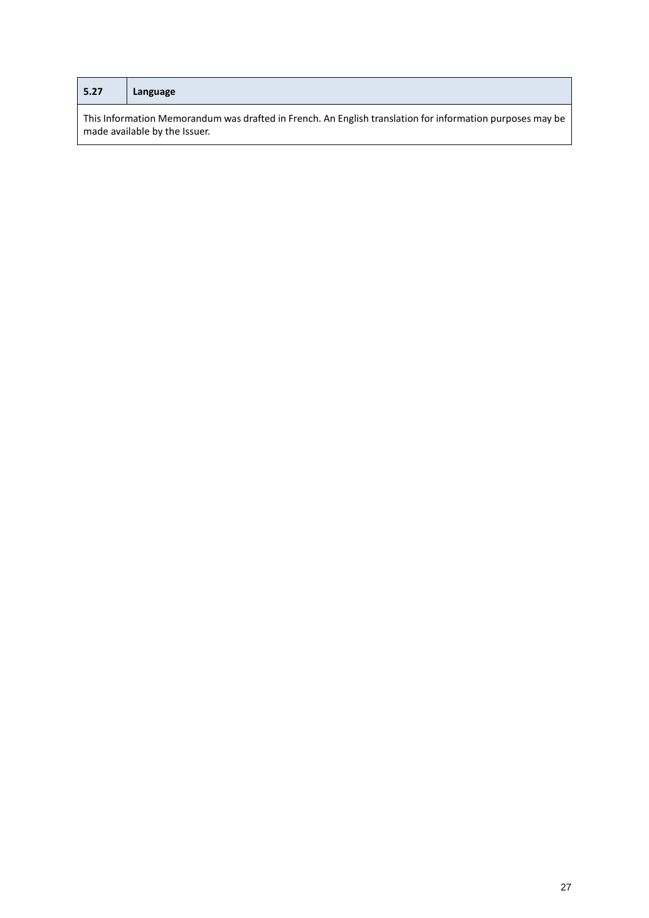| 5.27                                                                                                                                       | Language |  |
|--------------------------------------------------------------------------------------------------------------------------------------------|----------|--|
| This Information Memorandum was drafted in French. An English translation for information purposes may be<br>made available by the Issuer. |          |  |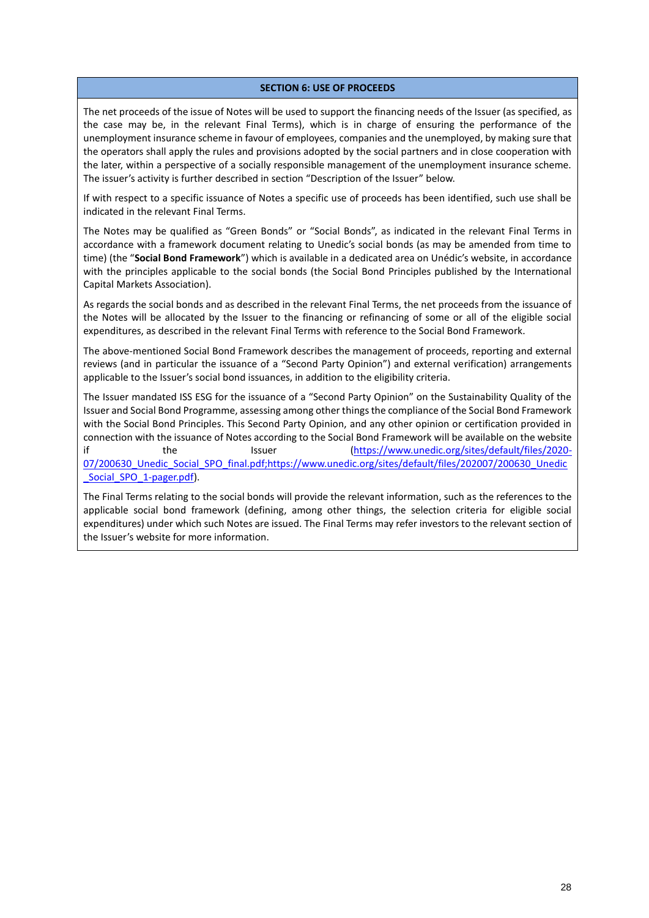#### **SECTION 6: USE OF PROCEEDS**

<span id="page-27-0"></span>The net proceeds of the issue of Notes will be used to support the financing needs of the Issuer (as specified, as the case may be, in the relevant Final Terms), which is in charge of ensuring the performance of the unemployment insurance scheme in favour of employees, companies and the unemployed, by making sure that the operators shall apply the rules and provisions adopted by the social partners and in close cooperation with the later, within a perspective of a socially responsible management of the unemployment insurance scheme. The issuer's activity is further described in section "Description of the Issuer" below.

If with respect to a specific issuance of Notes a specific use of proceeds has been identified, such use shall be indicated in the relevant Final Terms.

The Notes may be qualified as "Green Bonds" or "Social Bonds", as indicated in the relevant Final Terms in accordance with a framework document relating to Unedic's social bonds (as may be amended from time to time) (the "**Social Bond Framework**") which is available in a dedicated area on Unédic's website, in accordance with the principles applicable to the social bonds (the Social Bond Principles published by the International Capital Markets Association).

As regards the social bonds and as described in the relevant Final Terms, the net proceeds from the issuance of the Notes will be allocated by the Issuer to the financing or refinancing of some or all of the eligible social expenditures, as described in the relevant Final Terms with reference to the Social Bond Framework.

The above-mentioned Social Bond Framework describes the management of proceeds, reporting and external reviews (and in particular the issuance of a "Second Party Opinion") and external verification) arrangements applicable to the Issuer's social bond issuances, in addition to the eligibility criteria.

The Issuer mandated ISS ESG for the issuance of a "Second Party Opinion" on the Sustainability Quality of the Issuer and Social Bond Programme, assessing among other things the compliance of the Social Bond Framework with the Social Bond Principles. This Second Party Opinion, and any other opinion or certification provided in connection with the issuance of Notes according to the Social Bond Framework will be available on the website if the Issuer [\(https://www.unedic.org/sites/default/files/2020-](https://www.unedic.org/sites/default/files/2020-07/200630_Unedic_Social_SPO_final.pdf;https:/www.unedic.org/sites/default/files/202007/200630_Unedic_Social_SPO_1-pager.pdf) [07/200630\\_Unedic\\_Social\\_SPO\\_final.pdf;https://www.unedic.org/sites/default/files/202007/200630\\_Unedic](https://www.unedic.org/sites/default/files/2020-07/200630_Unedic_Social_SPO_final.pdf;https:/www.unedic.org/sites/default/files/202007/200630_Unedic_Social_SPO_1-pager.pdf) Social SPO 1-pager.pdf).

The Final Terms relating to the social bonds will provide the relevant information, such as the references to the applicable social bond framework (defining, among other things, the selection criteria for eligible social expenditures) under which such Notes are issued. The Final Terms may refer investors to the relevant section of the Issuer's website for more information.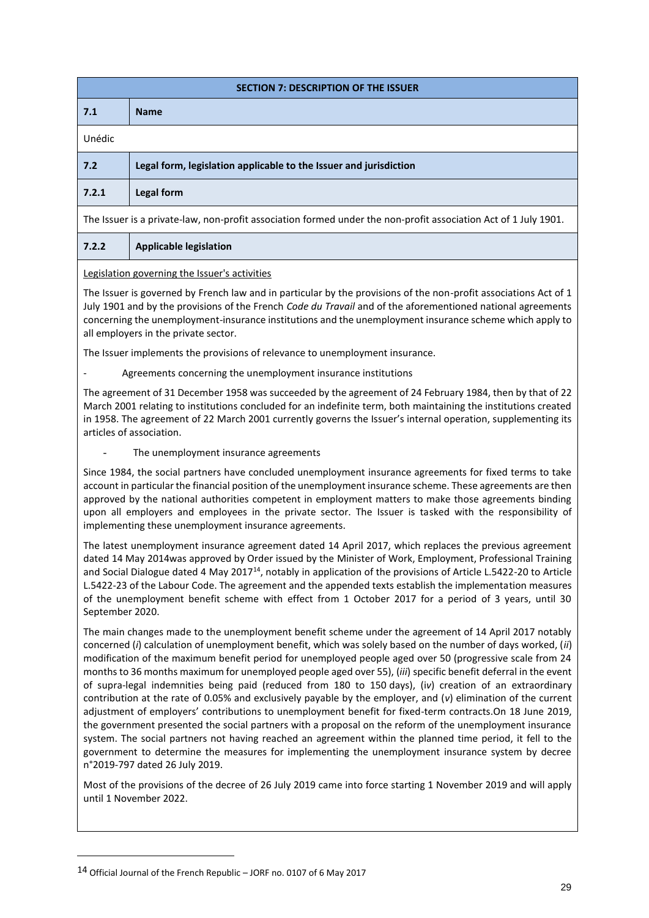<span id="page-28-0"></span>

| <b>SECTION 7: DESCRIPTION OF THE ISSUER</b> |                                                                   |  |
|---------------------------------------------|-------------------------------------------------------------------|--|
| 7.1                                         | <b>Name</b>                                                       |  |
| Unédic                                      |                                                                   |  |
| 7.2                                         | Legal form, legislation applicable to the Issuer and jurisdiction |  |
| 7.2.1                                       | Legal form                                                        |  |
|                                             |                                                                   |  |

The Issuer is a private-law, non-profit association formed under the non-profit association Act of 1 July 1901.

# **7.2.2 Applicable legislation**

Legislation governing the Issuer's activities

The Issuer is governed by French law and in particular by the provisions of the non-profit associations Act of 1 July 1901 and by the provisions of the French *Code du Travail* and of the aforementioned national agreements concerning the unemployment-insurance institutions and the unemployment insurance scheme which apply to all employers in the private sector.

The Issuer implements the provisions of relevance to unemployment insurance.

Agreements concerning the unemployment insurance institutions

The agreement of 31 December 1958 was succeeded by the agreement of 24 February 1984, then by that of 22 March 2001 relating to institutions concluded for an indefinite term, both maintaining the institutions created in 1958. The agreement of 22 March 2001 currently governs the Issuer's internal operation, supplementing its articles of association.

The unemployment insurance agreements

Since 1984, the social partners have concluded unemployment insurance agreements for fixed terms to take account in particular the financial position of the unemployment insurance scheme. These agreements are then approved by the national authorities competent in employment matters to make those agreements binding upon all employers and employees in the private sector. The Issuer is tasked with the responsibility of implementing these unemployment insurance agreements.

The latest unemployment insurance agreement dated 14 April 2017, which replaces the previous agreement dated 14 May 2014was approved by Order issued by the Minister of Work, Employment, Professional Training and Social Dialogue dated 4 May 2017<sup>14</sup>, notably in application of the provisions of Article L.5422-20 to Article L.5422-23 of the Labour Code. The agreement and the appended texts establish the implementation measures of the unemployment benefit scheme with effect from 1 October 2017 for a period of 3 years, until 30 September 2020.

The main changes made to the unemployment benefit scheme under the agreement of 14 April 2017 notably concerned (*i*) calculation of unemployment benefit, which was solely based on the number of days worked, (*ii*) modification of the maximum benefit period for unemployed people aged over 50 (progressive scale from 24 months to 36 months maximum for unemployed people aged over 55), (*iii*) specific benefit deferral in the event of supra-legal indemnities being paid (reduced from 180 to 150 days), (i*v*) creation of an extraordinary contribution at the rate of 0.05% and exclusively payable by the employer, and (*v*) elimination of the current adjustment of employers' contributions to unemployment benefit for fixed-term contracts.On 18 June 2019, the government presented the social partners with a proposal on the reform of the unemployment insurance system. The social partners not having reached an agreement within the planned time period, it fell to the government to determine the measures for implementing the unemployment insurance system by decree n°2019-797 dated 26 July 2019.

Most of the provisions of the decree of 26 July 2019 came into force starting 1 November 2019 and will apply until 1 November 2022.

<sup>14</sup> Official Journal of the French Republic – JORF no. 0107 of 6 May 2017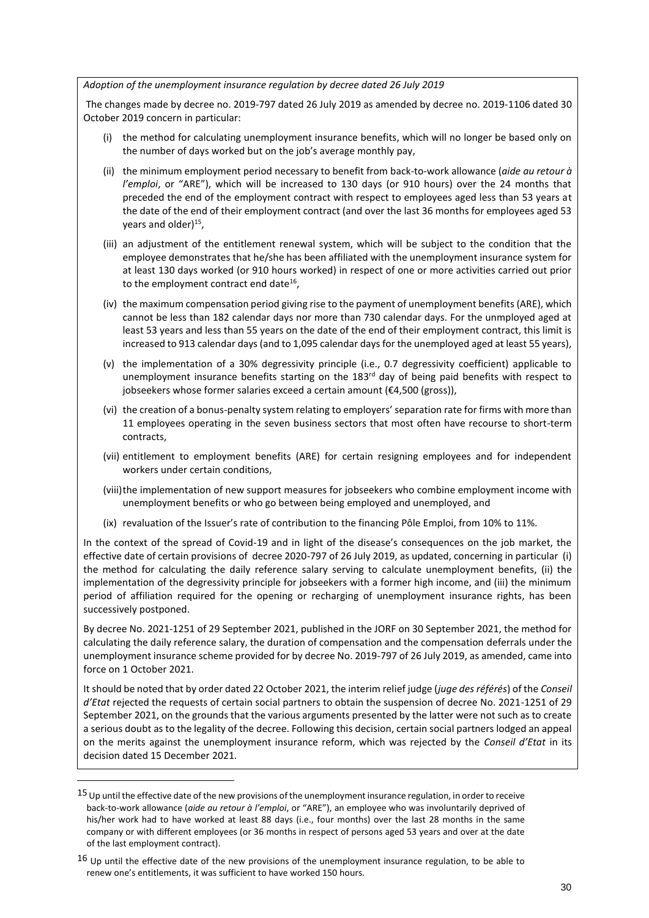#### *Adoption of the unemployment insurance regulation by decree dated 26 July 2019*

The changes made by decree no. 2019-797 dated 26 July 2019 as amended by decree no. 2019-1106 dated 30 October 2019 concern in particular:

- (i) the method for calculating unemployment insurance benefits, which will no longer be based only on the number of days worked but on the job's average monthly pay,
- (ii) the minimum employment period necessary to benefit from back-to-work allowance (*aide au retour à l'emploi*, or "ARE"), which will be increased to 130 days (or 910 hours) over the 24 months that preceded the end of the employment contract with respect to employees aged less than 53 years at the date of the end of their employment contract (and over the last 36 months for employees aged 53 years and older)<sup>15</sup>,
- (iii) an adjustment of the entitlement renewal system, which will be subject to the condition that the employee demonstrates that he/she has been affiliated with the unemployment insurance system for at least 130 days worked (or 910 hours worked) in respect of one or more activities carried out prior to the employment contract end date<sup>16</sup>,
- (iv) the maximum compensation period giving rise to the payment of unemployment benefits (ARE), which cannot be less than 182 calendar days nor more than 730 calendar days. For the unmployed aged at least 53 years and less than 55 years on the date of the end of their employment contract, this limit is increased to 913 calendar days (and to 1,095 calendar days for the unemployed aged at least 55 years),
- (v) the implementation of a 30% degressivity principle (i.e., 0.7 degressivity coefficient) applicable to unemployment insurance benefits starting on the 183<sup>rd</sup> day of being paid benefits with respect to jobseekers whose former salaries exceed a certain amount (€4,500 (gross)),
- (vi) the creation of a bonus-penalty system relating to employers' separation rate for firms with more than 11 employees operating in the seven business sectors that most often have recourse to short-term contracts,
- (vii) entitlement to employment benefits (ARE) for certain resigning employees and for independent workers under certain conditions,
- (viii)the implementation of new support measures for jobseekers who combine employment income with unemployment benefits or who go between being employed and unemployed, and
- (ix) revaluation of the Issuer's rate of contribution to the financing Pôle Emploi, from 10% to 11%.

In the context of the spread of Covid-19 and in light of the disease's consequences on the job market, the effective date of certain provisions of decree 2020-797 of 26 July 2019, as updated, concerning in particular (i) the method for calculating the daily reference salary serving to calculate unemployment benefits, (ii) the implementation of the degressivity principle for jobseekers with a former high income, and (iii) the minimum period of affiliation required for the opening or recharging of unemployment insurance rights, has been successively postponed.

By decree No. 2021-1251 of 29 September 2021, published in the JORF on 30 September 2021, the method for calculating the daily reference salary, the duration of compensation and the compensation deferrals under the unemployment insurance scheme provided for by decree No. 2019-797 of 26 July 2019, as amended, came into force on 1 October 2021.

It should be noted that by order dated 22 October 2021, the interim relief judge (*juge des référés*) of the *Conseil d'Etat* rejected the requests of certain social partners to obtain the suspension of decree No. 2021-1251 of 29 September 2021, on the grounds that the various arguments presented by the latter were not such as to create a serious doubt as to the legality of the decree. Following this decision, certain social partners lodged an appeal on the merits against the unemployment insurance reform, which was rejected by the *Conseil d'Etat* in its decision dated 15 December 2021.

<sup>&</sup>lt;sup>15</sup> Up until the effective date of the new provisions of the unemployment insurance regulation, in order to receive back-to-work allowance (*aide au retour à l'emploi*, or "ARE"), an employee who was involuntarily deprived of his/her work had to have worked at least 88 days (i.e., four months) over the last 28 months in the same company or with different employees (or 36 months in respect of persons aged 53 years and over at the date of the last employment contract).

 $16$  Up until the effective date of the new provisions of the unemployment insurance regulation, to be able to renew one's entitlements, it was sufficient to have worked 150 hours.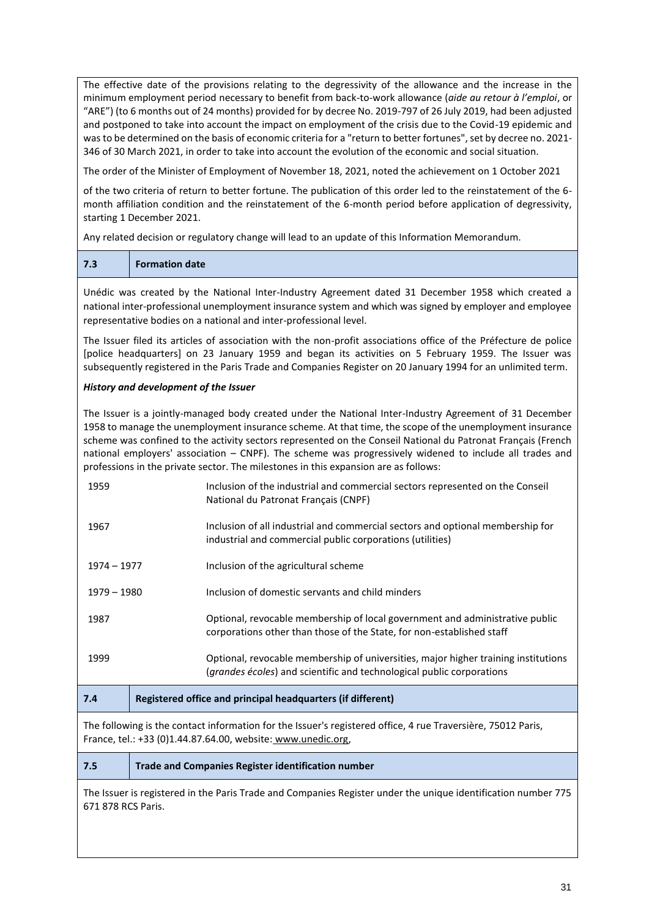The effective date of the provisions relating to the degressivity of the allowance and the increase in the minimum employment period necessary to benefit from back-to-work allowance (*aide au retour à l'emploi*, or "ARE") (to 6 months out of 24 months) provided for by decree No. 2019-797 of 26 July 2019, had been adjusted and postponed to take into account the impact on employment of the crisis due to the Covid-19 epidemic and was to be determined on the basis of economic criteria for a "return to better fortunes", set by decree no. 2021- 346 of 30 March 2021, in order to take into account the evolution of the economic and social situation.

The order of the Minister of Employment of November 18, 2021, noted the achievement on 1 October 2021

of the two criteria of return to better fortune. The publication of this order led to the reinstatement of the 6 month affiliation condition and the reinstatement of the 6-month period before application of degressivity, starting 1 December 2021.

Any related decision or regulatory change will lead to an update of this Information Memorandum.

| 7.3<br><b>Formation date</b> |
|------------------------------|
|------------------------------|

Unédic was created by the National Inter-Industry Agreement dated 31 December 1958 which created a national inter-professional unemployment insurance system and which was signed by employer and employee representative bodies on a national and inter-professional level.

The Issuer filed its articles of association with the non-profit associations office of the Préfecture de police [police headquarters] on 23 January 1959 and began its activities on 5 February 1959. The Issuer was subsequently registered in the Paris Trade and Companies Register on 20 January 1994 for an unlimited term.

## *History and development of the Issuer*

The Issuer is a jointly-managed body created under the National Inter-Industry Agreement of 31 December 1958 to manage the unemployment insurance scheme. At that time, the scope of the unemployment insurance scheme was confined to the activity sectors represented on the Conseil National du Patronat Français (French national employers' association – CNPF). The scheme was progressively widened to include all trades and professions in the private sector. The milestones in this expansion are as follows:

| 1959        | Inclusion of the industrial and commercial sectors represented on the Conseil<br>National du Patronat Français (CNPF)                                                |  |  |
|-------------|----------------------------------------------------------------------------------------------------------------------------------------------------------------------|--|--|
| 1967        | Inclusion of all industrial and commercial sectors and optional membership for<br>industrial and commercial public corporations (utilities)                          |  |  |
| 1974 – 1977 | Inclusion of the agricultural scheme                                                                                                                                 |  |  |
| 1979 – 1980 | Inclusion of domestic servants and child minders                                                                                                                     |  |  |
| 1987        | Optional, revocable membership of local government and administrative public<br>corporations other than those of the State, for non-established staff                |  |  |
| 1999        | Optional, revocable membership of universities, major higher training institutions<br>( <i>grandes écoles</i> ) and scientific and technological public corporations |  |  |
| 7.4         | Registered office and principal headquarters (if different)                                                                                                          |  |  |
|             |                                                                                                                                                                      |  |  |

The following is the contact information for the Issuer's registered office, 4 rue Traversière, 75012 Paris, France, tel.: +33 (0)1.44.87.64.00, website: www.unedic.org,

**7.5 Trade and Companies Register identification number**

The Issuer is registered in the Paris Trade and Companies Register under the unique identification number 775 671 878 RCS Paris.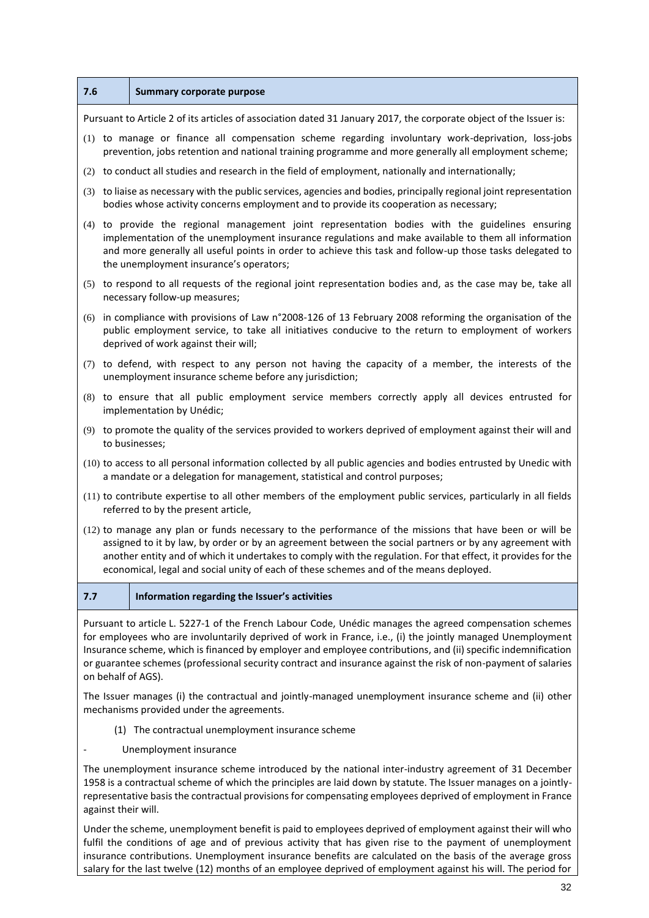| 7.6                                                                                                                                                                                                                                                                                                                                                                                                                                                                            | <b>Summary corporate purpose</b>                                                                                                                                                                                                                                                                                                                               |  |  |  |
|--------------------------------------------------------------------------------------------------------------------------------------------------------------------------------------------------------------------------------------------------------------------------------------------------------------------------------------------------------------------------------------------------------------------------------------------------------------------------------|----------------------------------------------------------------------------------------------------------------------------------------------------------------------------------------------------------------------------------------------------------------------------------------------------------------------------------------------------------------|--|--|--|
| Pursuant to Article 2 of its articles of association dated 31 January 2017, the corporate object of the Issuer is:                                                                                                                                                                                                                                                                                                                                                             |                                                                                                                                                                                                                                                                                                                                                                |  |  |  |
| (1) to manage or finance all compensation scheme regarding involuntary work-deprivation, loss-jobs<br>prevention, jobs retention and national training programme and more generally all employment scheme;                                                                                                                                                                                                                                                                     |                                                                                                                                                                                                                                                                                                                                                                |  |  |  |
|                                                                                                                                                                                                                                                                                                                                                                                                                                                                                | (2) to conduct all studies and research in the field of employment, nationally and internationally;                                                                                                                                                                                                                                                            |  |  |  |
|                                                                                                                                                                                                                                                                                                                                                                                                                                                                                | (3) to liaise as necessary with the public services, agencies and bodies, principally regional joint representation<br>bodies whose activity concerns employment and to provide its cooperation as necessary;                                                                                                                                                  |  |  |  |
|                                                                                                                                                                                                                                                                                                                                                                                                                                                                                | (4) to provide the regional management joint representation bodies with the guidelines ensuring<br>implementation of the unemployment insurance regulations and make available to them all information<br>and more generally all useful points in order to achieve this task and follow-up those tasks delegated to<br>the unemployment insurance's operators; |  |  |  |
|                                                                                                                                                                                                                                                                                                                                                                                                                                                                                | (5) to respond to all requests of the regional joint representation bodies and, as the case may be, take all<br>necessary follow-up measures;                                                                                                                                                                                                                  |  |  |  |
| (6)                                                                                                                                                                                                                                                                                                                                                                                                                                                                            | in compliance with provisions of Law n°2008-126 of 13 February 2008 reforming the organisation of the<br>public employment service, to take all initiatives conducive to the return to employment of workers<br>deprived of work against their will;                                                                                                           |  |  |  |
|                                                                                                                                                                                                                                                                                                                                                                                                                                                                                | (7) to defend, with respect to any person not having the capacity of a member, the interests of the<br>unemployment insurance scheme before any jurisdiction;                                                                                                                                                                                                  |  |  |  |
|                                                                                                                                                                                                                                                                                                                                                                                                                                                                                | (8) to ensure that all public employment service members correctly apply all devices entrusted for<br>implementation by Unédic;                                                                                                                                                                                                                                |  |  |  |
|                                                                                                                                                                                                                                                                                                                                                                                                                                                                                | (9) to promote the quality of the services provided to workers deprived of employment against their will and<br>to businesses;                                                                                                                                                                                                                                 |  |  |  |
|                                                                                                                                                                                                                                                                                                                                                                                                                                                                                | (10) to access to all personal information collected by all public agencies and bodies entrusted by Unedic with<br>a mandate or a delegation for management, statistical and control purposes;                                                                                                                                                                 |  |  |  |
|                                                                                                                                                                                                                                                                                                                                                                                                                                                                                | (11) to contribute expertise to all other members of the employment public services, particularly in all fields<br>referred to by the present article,                                                                                                                                                                                                         |  |  |  |
| (12) to manage any plan or funds necessary to the performance of the missions that have been or will be<br>assigned to it by law, by order or by an agreement between the social partners or by any agreement with<br>another entity and of which it undertakes to comply with the regulation. For that effect, it provides for the<br>economical, legal and social unity of each of these schemes and of the means deployed.                                                  |                                                                                                                                                                                                                                                                                                                                                                |  |  |  |
| 7.7                                                                                                                                                                                                                                                                                                                                                                                                                                                                            | Information regarding the Issuer's activities                                                                                                                                                                                                                                                                                                                  |  |  |  |
| Pursuant to article L. 5227-1 of the French Labour Code, Unédic manages the agreed compensation schemes<br>for employees who are involuntarily deprived of work in France, i.e., (i) the jointly managed Unemployment<br>Insurance scheme, which is financed by employer and employee contributions, and (ii) specific indemnification<br>or guarantee schemes (professional security contract and insurance against the risk of non-payment of salaries<br>on behalf of AGS). |                                                                                                                                                                                                                                                                                                                                                                |  |  |  |
| The Issuer manages (i) the contractual and jointly-managed unemployment insurance scheme and (ii) other<br>mechanisms provided under the agreements.                                                                                                                                                                                                                                                                                                                           |                                                                                                                                                                                                                                                                                                                                                                |  |  |  |
| (1) The contractual unemployment insurance scheme                                                                                                                                                                                                                                                                                                                                                                                                                              |                                                                                                                                                                                                                                                                                                                                                                |  |  |  |
| Unemployment insurance                                                                                                                                                                                                                                                                                                                                                                                                                                                         |                                                                                                                                                                                                                                                                                                                                                                |  |  |  |
| The unemployment insurance scheme introduced by the national inter-industry agreement of 31 December<br>1958 is a contractual scheme of which the principles are laid down by statute. The Issuer manages on a jointly-<br>representative basis the contractual provisions for compensating employees deprived of employment in France                                                                                                                                         |                                                                                                                                                                                                                                                                                                                                                                |  |  |  |

Under the scheme, unemployment benefit is paid to employees deprived of employment against their will who fulfil the conditions of age and of previous activity that has given rise to the payment of unemployment insurance contributions. Unemployment insurance benefits are calculated on the basis of the average gross salary for the last twelve (12) months of an employee deprived of employment against his will. The period for

against their will.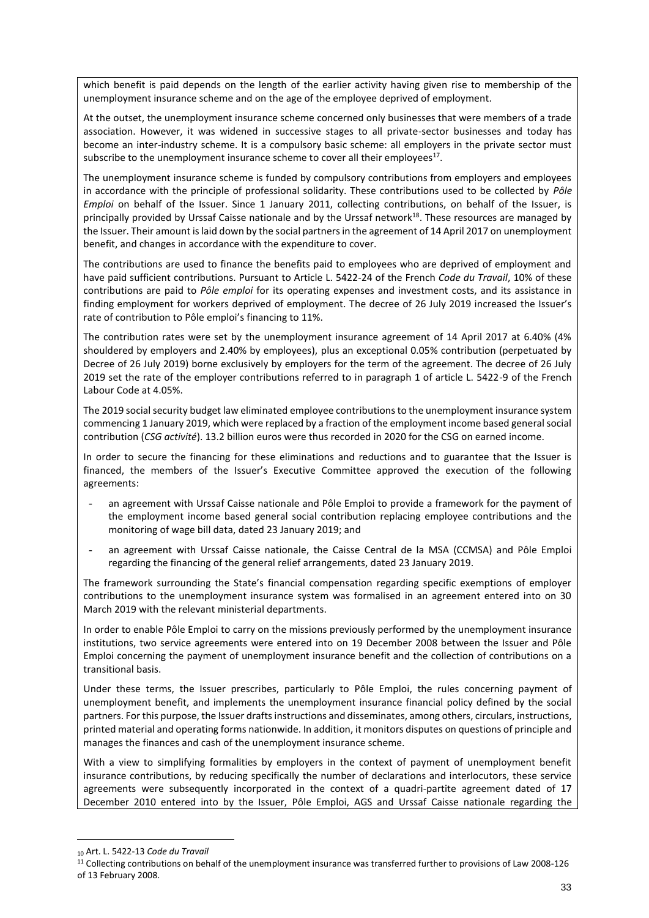which benefit is paid depends on the length of the earlier activity having given rise to membership of the unemployment insurance scheme and on the age of the employee deprived of employment.

At the outset, the unemployment insurance scheme concerned only businesses that were members of a trade association. However, it was widened in successive stages to all private-sector businesses and today has become an inter-industry scheme. It is a compulsory basic scheme: all employers in the private sector must subscribe to the unemployment insurance scheme to cover all their employees<sup>17</sup>.

The unemployment insurance scheme is funded by compulsory contributions from employers and employees in accordance with the principle of professional solidarity. These contributions used to be collected by *Pôle Emploi* on behalf of the Issuer. Since 1 January 2011, collecting contributions, on behalf of the Issuer, is principally provided by Urssaf Caisse nationale and by the Urssaf network $^{18}$ . These resources are managed by the Issuer. Their amount is laid down by the social partners in the agreement of 14 April 2017 on unemployment benefit, and changes in accordance with the expenditure to cover.

The contributions are used to finance the benefits paid to employees who are deprived of employment and have paid sufficient contributions. Pursuant to Article L. 5422-24 of the French *Code du Travail*, 10% of these contributions are paid to *Pôle emploi* for its operating expenses and investment costs, and its assistance in finding employment for workers deprived of employment. The decree of 26 July 2019 increased the Issuer's rate of contribution to Pôle emploi's financing to 11%.

The contribution rates were set by the unemployment insurance agreement of 14 April 2017 at 6.40% (4% shouldered by employers and 2.40% by employees), plus an exceptional 0.05% contribution (perpetuated by Decree of 26 July 2019) borne exclusively by employers for the term of the agreement. The decree of 26 July 2019 set the rate of the employer contributions referred to in paragraph 1 of article L. 5422-9 of the French Labour Code at 4.05%.

The 2019 social security budget law eliminated employee contributions to the unemployment insurance system commencing 1 January 2019, which were replaced by a fraction of the employment income based general social contribution (*CSG activité*). 13.2 billion euros were thus recorded in 2020 for the CSG on earned income.

In order to secure the financing for these eliminations and reductions and to guarantee that the Issuer is financed, the members of the Issuer's Executive Committee approved the execution of the following agreements:

- an agreement with Urssaf Caisse nationale and Pôle Emploi to provide a framework for the payment of the employment income based general social contribution replacing employee contributions and the monitoring of wage bill data, dated 23 January 2019; and
- an agreement with Urssaf Caisse nationale, the Caisse Central de la MSA (CCMSA) and Pôle Emploi regarding the financing of the general relief arrangements, dated 23 January 2019.

The framework surrounding the State's financial compensation regarding specific exemptions of employer contributions to the unemployment insurance system was formalised in an agreement entered into on 30 March 2019 with the relevant ministerial departments.

In order to enable Pôle Emploi to carry on the missions previously performed by the unemployment insurance institutions, two service agreements were entered into on 19 December 2008 between the Issuer and Pôle Emploi concerning the payment of unemployment insurance benefit and the collection of contributions on a transitional basis.

Under these terms, the Issuer prescribes, particularly to Pôle Emploi, the rules concerning payment of unemployment benefit, and implements the unemployment insurance financial policy defined by the social partners. For this purpose, the Issuer drafts instructions and disseminates, among others, circulars, instructions, printed material and operating forms nationwide. In addition, it monitors disputes on questions of principle and manages the finances and cash of the unemployment insurance scheme.

With a view to simplifying formalities by employers in the context of payment of unemployment benefit insurance contributions, by reducing specifically the number of declarations and interlocutors, these service agreements were subsequently incorporated in the context of a quadri-partite agreement dated of 17 December 2010 entered into by the Issuer, Pôle Emploi, AGS and Urssaf Caisse nationale regarding the

<sup>10</sup> Art. L. 5422-13 *Code du Travail*

<sup>11</sup> Collecting contributions on behalf of the unemployment insurance was transferred further to provisions of Law 2008-126 of 13 February 2008.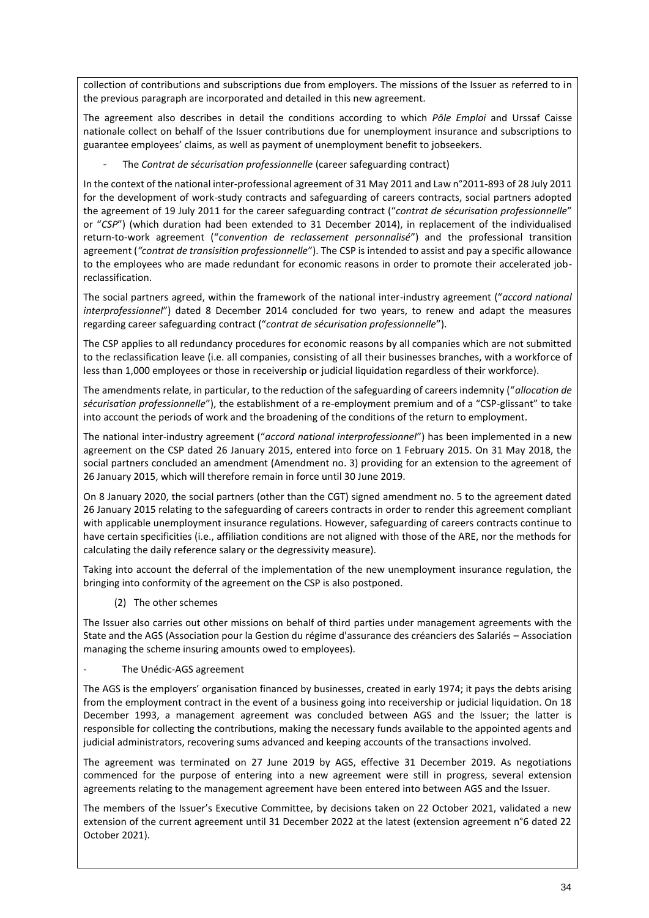collection of contributions and subscriptions due from employers. The missions of the Issuer as referred to in the previous paragraph are incorporated and detailed in this new agreement.

The agreement also describes in detail the conditions according to which *Pôle Emploi* and Urssaf Caisse nationale collect on behalf of the Issuer contributions due for unemployment insurance and subscriptions to guarantee employees' claims, as well as payment of unemployment benefit to jobseekers.

The *Contrat de sécurisation professionnelle* (career safeguarding contract)

In the context of the national inter-professional agreement of 31 May 2011 and Law n°2011-893 of 28 July 2011 for the development of work-study contracts and safeguarding of careers contracts, social partners adopted the agreement of 19 July 2011 for the career safeguarding contract ("*contrat de sécurisation professionnelle*" or "*CSP*") (which duration had been extended to 31 December 2014), in replacement of the individualised return-to-work agreement ("*convention de reclassement personnalisé*") and the professional transition agreement (*"contrat de transisition professionnelle*"). The CSP is intended to assist and pay a specific allowance to the employees who are made redundant for economic reasons in order to promote their accelerated jobreclassification.

The social partners agreed, within the framework of the national inter-industry agreement ("*accord national interprofessionnel*") dated 8 December 2014 concluded for two years, to renew and adapt the measures regarding career safeguarding contract ("*contrat de sécurisation professionnelle*").

The CSP applies to all redundancy procedures for economic reasons by all companies which are not submitted to the reclassification leave (i.e. all companies, consisting of all their businesses branches, with a workforce of less than 1,000 employees or those in receivership or judicial liquidation regardless of their workforce).

The amendments relate, in particular, to the reduction of the safeguarding of careers indemnity ("*allocation de sécurisation professionnelle*"), the establishment of a re-employment premium and of a "CSP-glissant" to take into account the periods of work and the broadening of the conditions of the return to employment.

The national inter-industry agreement ("*accord national interprofessionnel*") has been implemented in a new agreement on the CSP dated 26 January 2015, entered into force on 1 February 2015. On 31 May 2018, the social partners concluded an amendment (Amendment no. 3) providing for an extension to the agreement of 26 January 2015, which will therefore remain in force until 30 June 2019.

On 8 January 2020, the social partners (other than the CGT) signed amendment no. 5 to the agreement dated 26 January 2015 relating to the safeguarding of careers contracts in order to render this agreement compliant with applicable unemployment insurance regulations. However, safeguarding of careers contracts continue to have certain specificities (i.e., affiliation conditions are not aligned with those of the ARE, nor the methods for calculating the daily reference salary or the degressivity measure).

Taking into account the deferral of the implementation of the new unemployment insurance regulation, the bringing into conformity of the agreement on the CSP is also postponed.

(2) The other schemes

The Issuer also carries out other missions on behalf of third parties under management agreements with the State and the AGS (Association pour la Gestion du régime d'assurance des créanciers des Salariés – Association managing the scheme insuring amounts owed to employees).

The Unédic-AGS agreement

The AGS is the employers' organisation financed by businesses, created in early 1974; it pays the debts arising from the employment contract in the event of a business going into receivership or judicial liquidation. On 18 December 1993, a management agreement was concluded between AGS and the Issuer; the latter is responsible for collecting the contributions, making the necessary funds available to the appointed agents and judicial administrators, recovering sums advanced and keeping accounts of the transactions involved.

The agreement was terminated on 27 June 2019 by AGS, effective 31 December 2019. As negotiations commenced for the purpose of entering into a new agreement were still in progress, several extension agreements relating to the management agreement have been entered into between AGS and the Issuer.

The members of the Issuer's Executive Committee, by decisions taken on 22 October 2021, validated a new extension of the current agreement until 31 December 2022 at the latest (extension agreement n°6 dated 22 October 2021).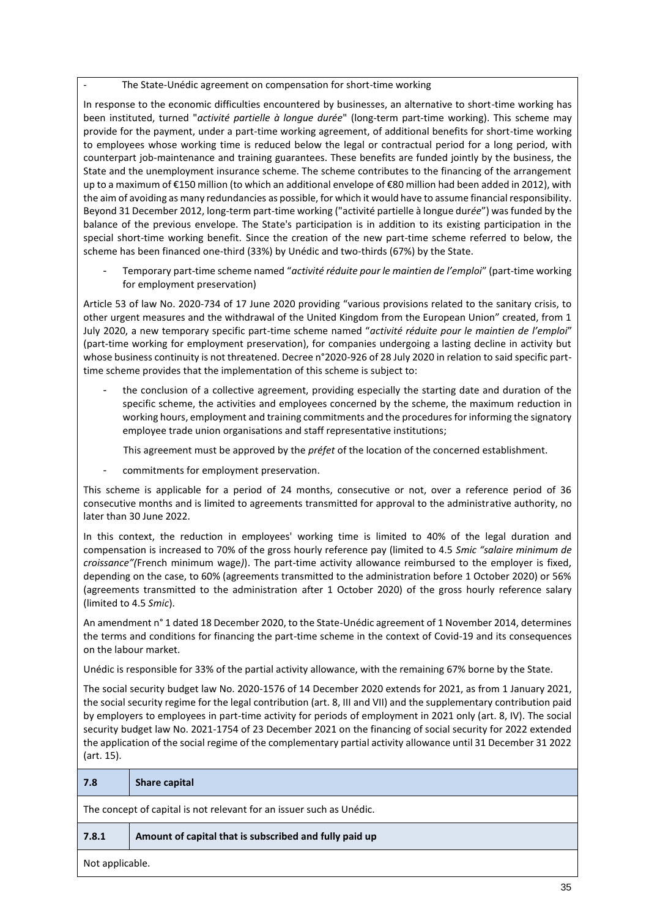The State-Unédic agreement on compensation for short-time working

In response to the economic difficulties encountered by businesses, an alternative to short-time working has been instituted, turned "*activité partielle à longue durée*" (long-term part-time working). This scheme may provide for the payment, under a part-time working agreement, of additional benefits for short-time working to employees whose working time is reduced below the legal or contractual period for a long period, with counterpart job-maintenance and training guarantees. These benefits are funded jointly by the business, the State and the unemployment insurance scheme. The scheme contributes to the financing of the arrangement up to a maximum of €150 million (to which an additional envelope of €80 million had been added in 2012), with the aim of avoiding as many redundancies as possible, for which it would have to assume financial responsibility. Beyond 31 December 2012, long-term part-time working ("activité partielle à longue dur*ée*") was funded by the balance of the previous envelope. The State's participation is in addition to its existing participation in the special short-time working benefit. Since the creation of the new part-time scheme referred to below, the scheme has been financed one-third (33%) by Unédic and two-thirds (67%) by the State.

- Temporary part-time scheme named "*activité réduite pour le maintien de l'emploi*" (part-time working for employment preservation)

Article 53 of law No. 2020-734 of 17 June 2020 providing "various provisions related to the sanitary crisis, to other urgent measures and the withdrawal of the United Kingdom from the European Union" created, from 1 July 2020, a new temporary specific part-time scheme named "*activité réduite pour le maintien de l'emploi*" (part-time working for employment preservation), for companies undergoing a lasting decline in activity but whose business continuity is not threatened. Decree n°2020-926 of 28 July 2020 in relation to said specific parttime scheme provides that the implementation of this scheme is subject to:

the conclusion of a collective agreement, providing especially the starting date and duration of the specific scheme, the activities and employees concerned by the scheme, the maximum reduction in working hours, employment and training commitments and the procedures for informing the signatory employee trade union organisations and staff representative institutions;

This agreement must be approved by the *préfet* of the location of the concerned establishment.

commitments for employment preservation.

This scheme is applicable for a period of 24 months, consecutive or not, over a reference period of 36 consecutive months and is limited to agreements transmitted for approval to the administrative authority, no later than 30 June 2022.

In this context, the reduction in employees' working time is limited to 40% of the legal duration and compensation is increased to 70% of the gross hourly reference pay (limited to 4.5 *Smic "salaire minimum de croissance"(*French minimum wage*)*). The part-time activity allowance reimbursed to the employer is fixed, depending on the case, to 60% (agreements transmitted to the administration before 1 October 2020) or 56% (agreements transmitted to the administration after 1 October 2020) of the gross hourly reference salary (limited to 4.5 *Smic*).

An amendment n° 1 dated 18 December 2020, to the State-Unédic agreement of 1 November 2014, determines the terms and conditions for financing the part-time scheme in the context of Covid-19 and its consequences on the labour market.

Unédic is responsible for 33% of the partial activity allowance, with the remaining 67% borne by the State.

The social security budget law No. 2020-1576 of 14 December 2020 extends for 2021, as from 1 January 2021, the social security regime for the legal contribution (art. 8, III and VII) and the supplementary contribution paid by employers to employees in part-time activity for periods of employment in 2021 only (art. 8, IV). The social security budget law No. 2021-1754 of 23 December 2021 on the financing of social security for 2022 extended the application of the social regime of the complementary partial activity allowance until 31 December 31 2022 (art. 15).

| 7.8                                                                  | <b>Share capital</b>                                   |  |
|----------------------------------------------------------------------|--------------------------------------------------------|--|
| The concept of capital is not relevant for an issuer such as Unédic. |                                                        |  |
| 7.8.1                                                                | Amount of capital that is subscribed and fully paid up |  |
| Not applicable.                                                      |                                                        |  |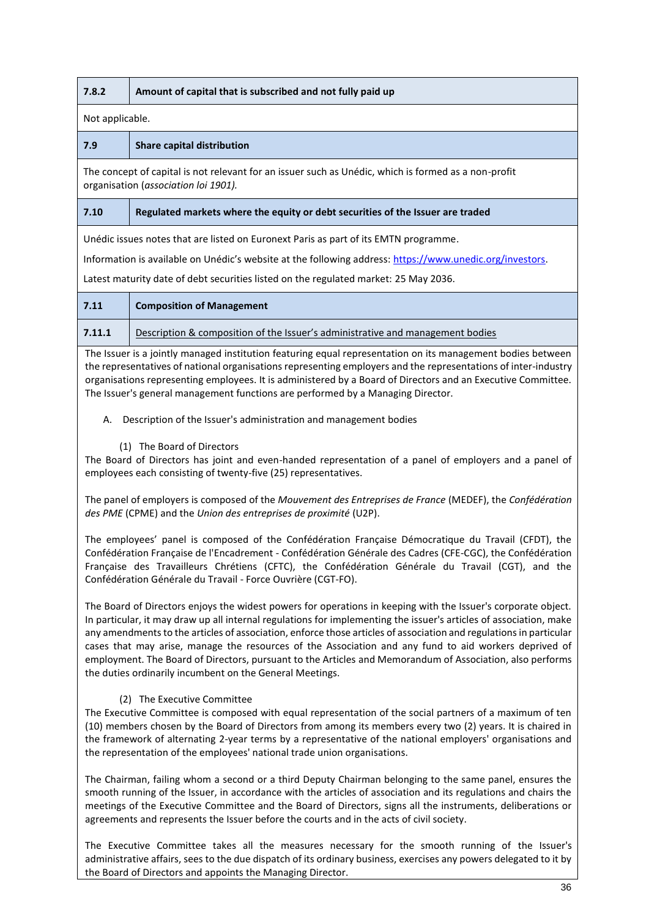| 7.8.2                                                                                                                                                                                                                                                                                                                                                                                                                                                                                                                                                                                                                                       | Amount of capital that is subscribed and not fully paid up                                                                                                                                                                                                                                                                                                                                                                       |  |  |
|---------------------------------------------------------------------------------------------------------------------------------------------------------------------------------------------------------------------------------------------------------------------------------------------------------------------------------------------------------------------------------------------------------------------------------------------------------------------------------------------------------------------------------------------------------------------------------------------------------------------------------------------|----------------------------------------------------------------------------------------------------------------------------------------------------------------------------------------------------------------------------------------------------------------------------------------------------------------------------------------------------------------------------------------------------------------------------------|--|--|
| Not applicable.                                                                                                                                                                                                                                                                                                                                                                                                                                                                                                                                                                                                                             |                                                                                                                                                                                                                                                                                                                                                                                                                                  |  |  |
| 7.9                                                                                                                                                                                                                                                                                                                                                                                                                                                                                                                                                                                                                                         | <b>Share capital distribution</b>                                                                                                                                                                                                                                                                                                                                                                                                |  |  |
|                                                                                                                                                                                                                                                                                                                                                                                                                                                                                                                                                                                                                                             | The concept of capital is not relevant for an issuer such as Unédic, which is formed as a non-profit<br>organisation (association loi 1901).                                                                                                                                                                                                                                                                                     |  |  |
| 7.10                                                                                                                                                                                                                                                                                                                                                                                                                                                                                                                                                                                                                                        | Regulated markets where the equity or debt securities of the Issuer are traded                                                                                                                                                                                                                                                                                                                                                   |  |  |
|                                                                                                                                                                                                                                                                                                                                                                                                                                                                                                                                                                                                                                             | Unédic issues notes that are listed on Euronext Paris as part of its EMTN programme.                                                                                                                                                                                                                                                                                                                                             |  |  |
|                                                                                                                                                                                                                                                                                                                                                                                                                                                                                                                                                                                                                                             | Information is available on Unédic's website at the following address: https://www.unedic.org/investors.                                                                                                                                                                                                                                                                                                                         |  |  |
|                                                                                                                                                                                                                                                                                                                                                                                                                                                                                                                                                                                                                                             | Latest maturity date of debt securities listed on the regulated market: 25 May 2036.                                                                                                                                                                                                                                                                                                                                             |  |  |
| 7.11                                                                                                                                                                                                                                                                                                                                                                                                                                                                                                                                                                                                                                        | <b>Composition of Management</b>                                                                                                                                                                                                                                                                                                                                                                                                 |  |  |
| 7.11.1                                                                                                                                                                                                                                                                                                                                                                                                                                                                                                                                                                                                                                      | Description & composition of the Issuer's administrative and management bodies                                                                                                                                                                                                                                                                                                                                                   |  |  |
|                                                                                                                                                                                                                                                                                                                                                                                                                                                                                                                                                                                                                                             | The Issuer is a jointly managed institution featuring equal representation on its management bodies between<br>the representatives of national organisations representing employers and the representations of inter-industry<br>organisations representing employees. It is administered by a Board of Directors and an Executive Committee.<br>The Issuer's general management functions are performed by a Managing Director. |  |  |
| А.                                                                                                                                                                                                                                                                                                                                                                                                                                                                                                                                                                                                                                          | Description of the Issuer's administration and management bodies                                                                                                                                                                                                                                                                                                                                                                 |  |  |
|                                                                                                                                                                                                                                                                                                                                                                                                                                                                                                                                                                                                                                             | (1) The Board of Directors<br>The Board of Directors has joint and even-handed representation of a panel of employers and a panel of<br>employees each consisting of twenty-five (25) representatives.                                                                                                                                                                                                                           |  |  |
|                                                                                                                                                                                                                                                                                                                                                                                                                                                                                                                                                                                                                                             | The panel of employers is composed of the Mouvement des Entreprises de France (MEDEF), the Confédération<br>des PME (CPME) and the Union des entreprises de proximité (U2P).                                                                                                                                                                                                                                                     |  |  |
| The employees' panel is composed of the Confédération Française Démocratique du Travail (CFDT), the<br>Confédération Française de l'Encadrement - Confédération Générale des Cadres (CFE-CGC), the Confédération<br>Française des Travailleurs Chrétiens (CFTC), the Confédération Générale du Travail (CGT), and the<br>Confédération Générale du Travail - Force Ouvrière (CGT-FO).                                                                                                                                                                                                                                                       |                                                                                                                                                                                                                                                                                                                                                                                                                                  |  |  |
| The Board of Directors enjoys the widest powers for operations in keeping with the Issuer's corporate object.<br>In particular, it may draw up all internal regulations for implementing the issuer's articles of association, make<br>any amendments to the articles of association, enforce those articles of association and regulations in particular<br>cases that may arise, manage the resources of the Association and any fund to aid workers deprived of<br>employment. The Board of Directors, pursuant to the Articles and Memorandum of Association, also performs<br>the duties ordinarily incumbent on the General Meetings. |                                                                                                                                                                                                                                                                                                                                                                                                                                  |  |  |
| (2) The Executive Committee<br>The Executive Committee is composed with equal representation of the social partners of a maximum of ten<br>(10) members chosen by the Board of Directors from among its members every two (2) years. It is chaired in<br>the framework of alternating 2-year terms by a representative of the national employers' organisations and<br>the representation of the employees' national trade union organisations.                                                                                                                                                                                             |                                                                                                                                                                                                                                                                                                                                                                                                                                  |  |  |
| The Chairman, failing whom a second or a third Deputy Chairman belonging to the same panel, ensures the<br>smooth running of the Issuer, in accordance with the articles of association and its regulations and chairs the<br>meetings of the Executive Committee and the Board of Directors, signs all the instruments, deliberations or<br>agreements and represents the Issuer before the courts and in the acts of civil society.                                                                                                                                                                                                       |                                                                                                                                                                                                                                                                                                                                                                                                                                  |  |  |
|                                                                                                                                                                                                                                                                                                                                                                                                                                                                                                                                                                                                                                             |                                                                                                                                                                                                                                                                                                                                                                                                                                  |  |  |

T

The Executive Committee takes all the measures necessary for the smooth running of the Issuer's administrative affairs, sees to the due dispatch of its ordinary business, exercises any powers delegated to it by the Board of Directors and appoints the Managing Director.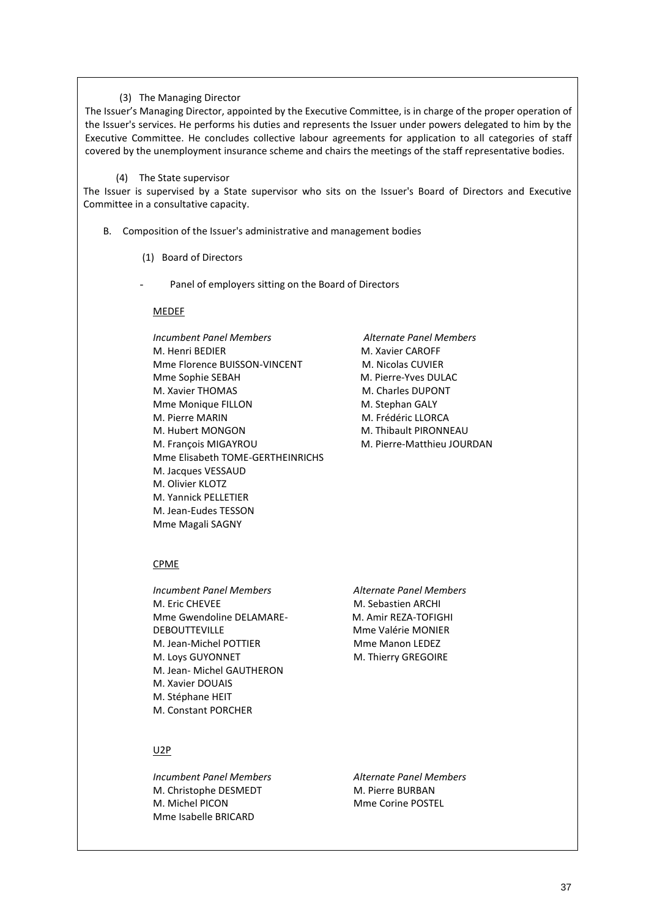#### (3) The Managing Director

The Issuer's Managing Director, appointed by the Executive Committee, is in charge of the proper operation of the Issuer's services. He performs his duties and represents the Issuer under powers delegated to him by the Executive Committee. He concludes collective labour agreements for application to all categories of staff covered by the unemployment insurance scheme and chairs the meetings of the staff representative bodies.

#### (4) The State supervisor

The Issuer is supervised by a State supervisor who sits on the Issuer's Board of Directors and Executive Committee in a consultative capacity.

- B. Composition of the Issuer's administrative and management bodies
	- (1) Board of Directors
	- Panel of employers sitting on the Board of Directors

#### MEDEF

*Incumbent Panel Members Alternate Panel Members* M. Henri BEDIER M. Xavier CAROFF Mme Florence BUISSON-VINCENT M. Nicolas CUVIER Mme Sophie SEBAH M. Pierre-Yves DULAC M. Xavier THOMAS M. Charles DUPONT Mme Monique FILLON M. Stephan GALY M. Pierre MARIN M. Frédéric LLORCA M. Hubert MONGON M. Thibault PIRONNEAU M. François MIGAYROU **M. Pierre-Matthieu JOURDAN** Mme Elisabeth TOME-GERTHEINRICHS M. Jacques VESSAUD M. Olivier KLOTZ M. Yannick PELLETIER M. Jean-Eudes TESSON Mme Magali SAGNY

#### CPME

- *Incumbent Panel Members Alternate Panel Members* M. Eric CHEVEE M. Sebastien ARCHI Mme Gwendoline DELAMARE- M. Amir REZA-TOFIGHI DEBOUTTEVILLE MEDICAL MME Valérie MONIER M. Jean-Michel POTTIER MME Manon LEDEZ M. Loys GUYONNET M. Thierry GREGOIRE M. Jean- Michel GAUTHERON M. Xavier DOUAIS M. Stéphane HEIT M. Constant PORCHER
	-

#### U2P

*Incumbent Panel Members Alternate Panel Members* M. Christophe DESMEDT M. Pierre BURBAN M. Michel PICON Mme Corine POSTEL Mme Isabelle BRICARD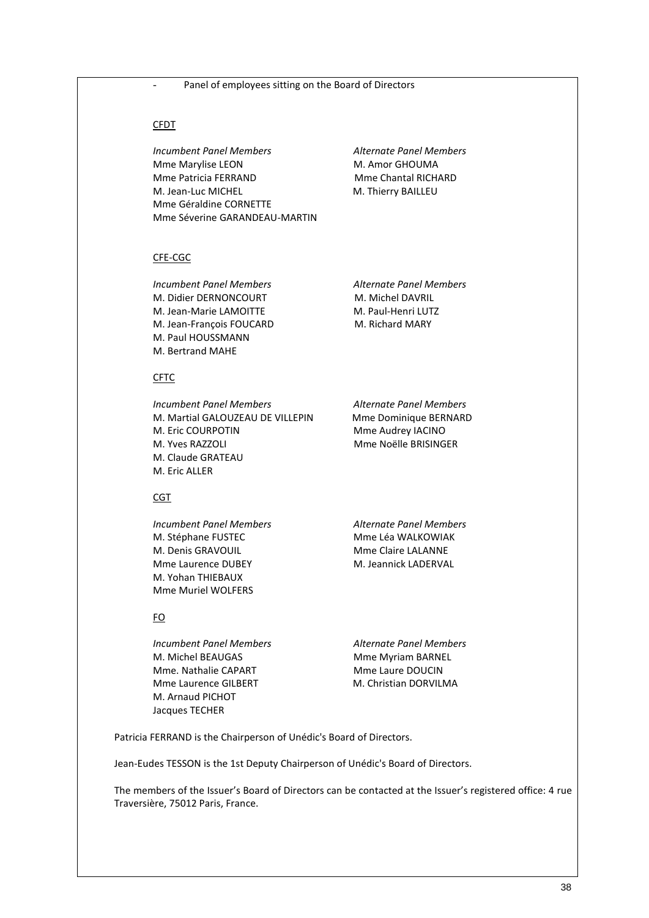- Panel of employees sitting on the Board of Directors

#### CFDT

*Incumbent Panel Members Alternate Panel Members* Mme Marylise LEON M. Amor GHOUMA Mme Patricia FERRAND Mme Chantal RICHARD M. Jean-Luc MICHEL M. Thierry BAILLEU Mme Géraldine CORNETTE Mme Séverine GARANDEAU-MARTIN

#### CFE-CGC

*Incumbent Panel Members Alternate Panel Members* M. Didier DERNONCOURT M. Michel DAVRIL M. Jean-Marie LAMOITTE M. Paul-Henri LUTZ M. Jean-François FOUCARD M. Richard MARY M. Paul HOUSSMANN M. Bertrand MAHE

CFTC

*Incumbent Panel Members Alternate Panel Members* M. Martial GALOUZEAU DE VILLEPIN Mme Dominique BERNARD M. Eric COURPOTIN Mme Audrey IACINO M. Yves RAZZOLI MME Noëlle BRISINGER M. Claude GRATEAU M. Eric ALLER

## CGT

M. Stéphane FUSTEC MMME Léa WALKOWIAK M. Denis GRAVOUIL MME Claire LALANNE Mme Laurence DUBEY M. Jeannick LADERVAL M. Yohan THIEBAUX Mme Muriel WOLFERS

# FO

*Incumbent Panel Members Alternate Panel Members* M. Michel BEAUGAS MME Myriam BARNEL Mme. Nathalie CAPART Mme Laure DOUCIN Mme Laurence GILBERT M. Christian DORVILMA M. Arnaud PICHOT Jacques TECHER

*Incumbent Panel Members Alternate Panel Members*

Patricia FERRAND is the Chairperson of Unédic's Board of Directors.

Jean-Eudes TESSON is the 1st Deputy Chairperson of Unédic's Board of Directors.

The members of the Issuer's Board of Directors can be contacted at the Issuer's registered office: 4 rue Traversière, 75012 Paris, France.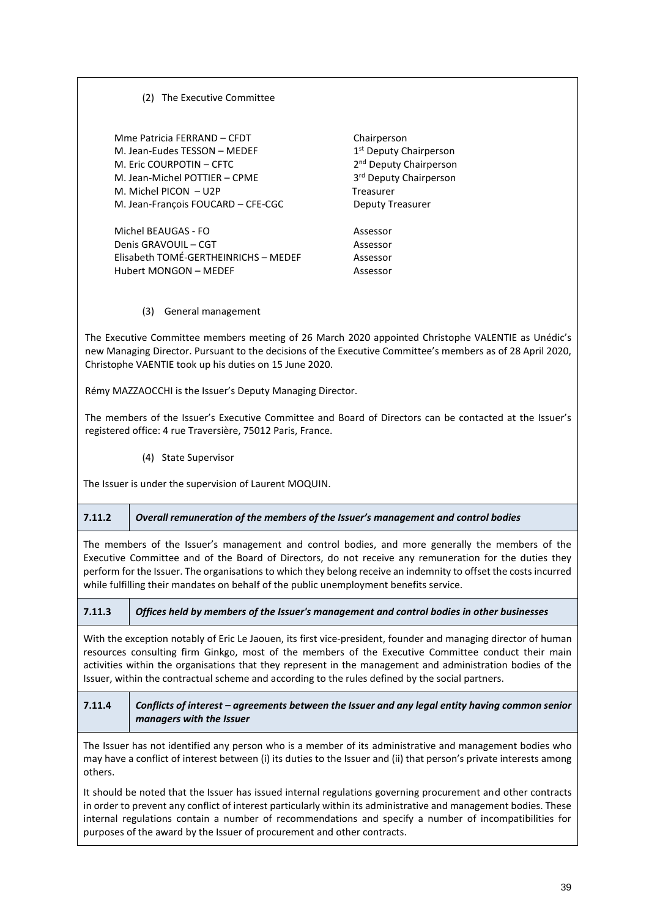(2) The Executive Committee

Mme Patricia FERRAND – CFDT Chairperson M. Jean-Eudes TESSON – MEDEF 1 M. Eric COURPOTIN – CFTC 2 M. Jean-Michel POTTIER – CPME 3 M. Michel PICON – U2P Treasurer M. Jean-François FOUCARD – CFE-CGC Deputy Treasurer

Michel BEAUGAS - FO Assessor Denis GRAVOUIL – CGT Assessor Elisabeth TOMÉ-GERTHEINRICHS – MEDEF Assessor Hubert MONGON – MEDEF Assessor

1<sup>st</sup> Deputy Chairperson 2<sup>nd</sup> Deputy Chairperson 3<sup>rd</sup> Deputy Chairperson

(3) General management

The Executive Committee members meeting of 26 March 2020 appointed Christophe VALENTIE as Unédic's new Managing Director. Pursuant to the decisions of the Executive Committee's members as of 28 April 2020, Christophe VAENTIE took up his duties on 15 June 2020.

Rémy MAZZAOCCHI is the Issuer's Deputy Managing Director.

The members of the Issuer's Executive Committee and Board of Directors can be contacted at the Issuer's registered office: 4 rue Traversière, 75012 Paris, France.

(4) State Supervisor

The Issuer is under the supervision of Laurent MOQUIN.

# **7.11.2** *Overall remuneration of the members of the Issuer's management and control bodies*

The members of the Issuer's management and control bodies, and more generally the members of the Executive Committee and of the Board of Directors, do not receive any remuneration for the duties they perform for the Issuer. The organisations to which they belong receive an indemnity to offset the costs incurred while fulfilling their mandates on behalf of the public unemployment benefits service.

**7.11.3** *Offices held by members of the Issuer's management and control bodies in other businesses*

With the exception notably of Eric Le Jaouen, its first vice-president, founder and managing director of human resources consulting firm Ginkgo, most of the members of the Executive Committee conduct their main activities within the organisations that they represent in the management and administration bodies of the Issuer, within the contractual scheme and according to the rules defined by the social partners.

# **7.11.4** *Conflicts of interest – agreements between the Issuer and any legal entity having common senior managers with the Issuer*

The Issuer has not identified any person who is a member of its administrative and management bodies who may have a conflict of interest between (i) its duties to the Issuer and (ii) that person's private interests among others.

It should be noted that the Issuer has issued internal regulations governing procurement and other contracts in order to prevent any conflict of interest particularly within its administrative and management bodies. These internal regulations contain a number of recommendations and specify a number of incompatibilities for purposes of the award by the Issuer of procurement and other contracts.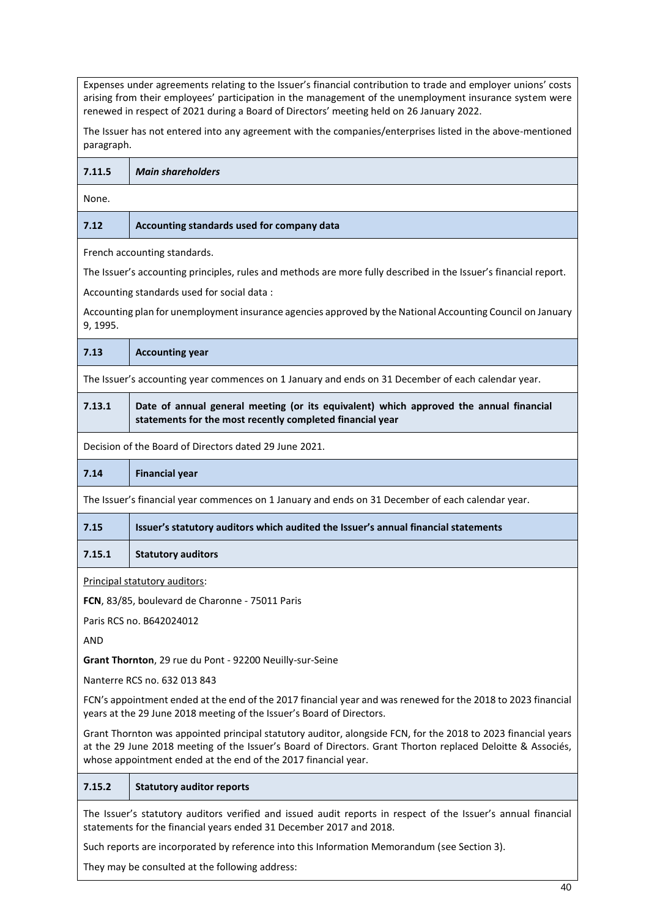Expenses under agreements relating to the Issuer's financial contribution to trade and employer unions' costs arising from their employees' participation in the management of the unemployment insurance system were renewed in respect of 2021 during a Board of Directors' meeting held on 26 January 2022. The Issuer has not entered into any agreement with the companies/enterprises listed in the above-mentioned paragraph. **7.11.5** *Main shareholders* None. **7.12 Accounting standards used for company data**  French accounting standards. The Issuer's accounting principles, rules and methods are more fully described in the Issuer's financial report. Accounting standards used for social data : Accounting plan for unemployment insurance agencies approved by the National Accounting Council on January 9, 1995. **7.13 Accounting year** The Issuer's accounting year commences on 1 January and ends on 31 December of each calendar year. **7.13.1 Date of annual general meeting (or its equivalent) which approved the annual financial statements for the most recently completed financial year**  Decision of the Board of Directors dated 29 June 2021. **7.14 Financial year**  The Issuer's financial year commences on 1 January and ends on 31 December of each calendar year. **7.15 Issuer's statutory auditors which audited the Issuer's annual financial statements 7.15.1 Statutory auditors** Principal statutory auditors: **FCN**, 83/85, boulevard de Charonne - 75011 Paris Paris RCS no. B642024012 AND **Grant Thornton**, 29 rue du Pont - 92200 Neuilly-sur-Seine Nanterre RCS no. 632 013 843 FCN's appointment ended at the end of the 2017 financial year and was renewed for the 2018 to 2023 financial years at the 29 June 2018 meeting of the Issuer's Board of Directors. Grant Thornton was appointed principal statutory auditor, alongside FCN, for the 2018 to 2023 financial years at the 29 June 2018 meeting of the Issuer's Board of Directors. Grant Thorton replaced Deloitte & Associés, whose appointment ended at the end of the 2017 financial year. **7.15.2 Statutory auditor reports**  The Issuer's statutory auditors verified and issued audit reports in respect of the Issuer's annual financial statements for the financial years ended 31 December 2017 and 2018. Such reports are incorporated by reference into this Information Memorandum (see Section 3). They may be consulted at the following address: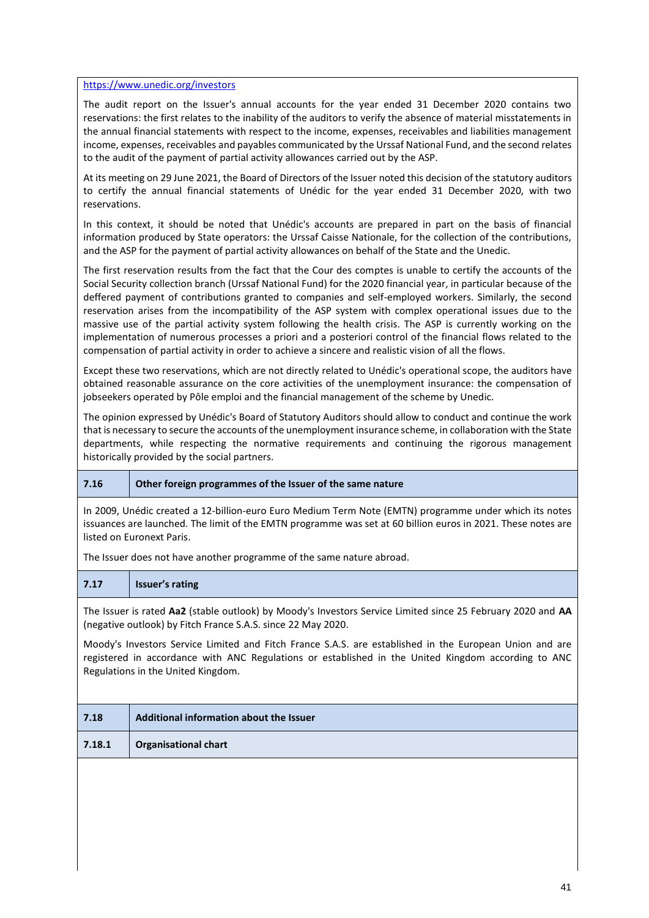#### <https://www.unedic.org/investors>

The audit report on the Issuer's annual accounts for the year ended 31 December 2020 contains two reservations: the first relates to the inability of the auditors to verify the absence of material misstatements in the annual financial statements with respect to the income, expenses, receivables and liabilities management income, expenses, receivables and payables communicated by the Urssaf National Fund, and the second relates to the audit of the payment of partial activity allowances carried out by the ASP.

At its meeting on 29 June 2021, the Board of Directors of the Issuer noted this decision of the statutory auditors to certify the annual financial statements of Unédic for the year ended 31 December 2020, with two reservations.

In this context, it should be noted that Unédic's accounts are prepared in part on the basis of financial information produced by State operators: the Urssaf Caisse Nationale, for the collection of the contributions, and the ASP for the payment of partial activity allowances on behalf of the State and the Unedic.

The first reservation results from the fact that the Cour des comptes is unable to certify the accounts of the Social Security collection branch (Urssaf National Fund) for the 2020 financial year, in particular because of the deffered payment of contributions granted to companies and self-employed workers. Similarly, the second reservation arises from the incompatibility of the ASP system with complex operational issues due to the massive use of the partial activity system following the health crisis. The ASP is currently working on the implementation of numerous processes a priori and a posteriori control of the financial flows related to the compensation of partial activity in order to achieve a sincere and realistic vision of all the flows.

Except these two reservations, which are not directly related to Unédic's operational scope, the auditors have obtained reasonable assurance on the core activities of the unemployment insurance: the compensation of jobseekers operated by Pôle emploi and the financial management of the scheme by Unedic.

The opinion expressed by Unédic's Board of Statutory Auditors should allow to conduct and continue the work that is necessary to secure the accounts of the unemployment insurance scheme, in collaboration with the State departments, while respecting the normative requirements and continuing the rigorous management historically provided by the social partners.

#### **7.16 Other foreign programmes of the Issuer of the same nature**

In 2009, Unédic created a 12-billion-euro Euro Medium Term Note (EMTN) programme under which its notes issuances are launched. The limit of the EMTN programme was set at 60 billion euros in 2021. These notes are listed on Euronext Paris.

The Issuer does not have another programme of the same nature abroad.

#### **7.17 Issuer's rating**

The Issuer is rated **Aa2** (stable outlook) by Moody's Investors Service Limited since 25 February 2020 and **AA** (negative outlook) by Fitch France S.A.S. since 22 May 2020.

Moody's Investors Service Limited and Fitch France S.A.S. are established in the European Union and are registered in accordance with ANC Regulations or established in the United Kingdom according to ANC Regulations in the United Kingdom.

| 7.18   | Additional information about the Issuer |
|--------|-----------------------------------------|
| 7.18.1 | <b>Organisational chart</b>             |
|        |                                         |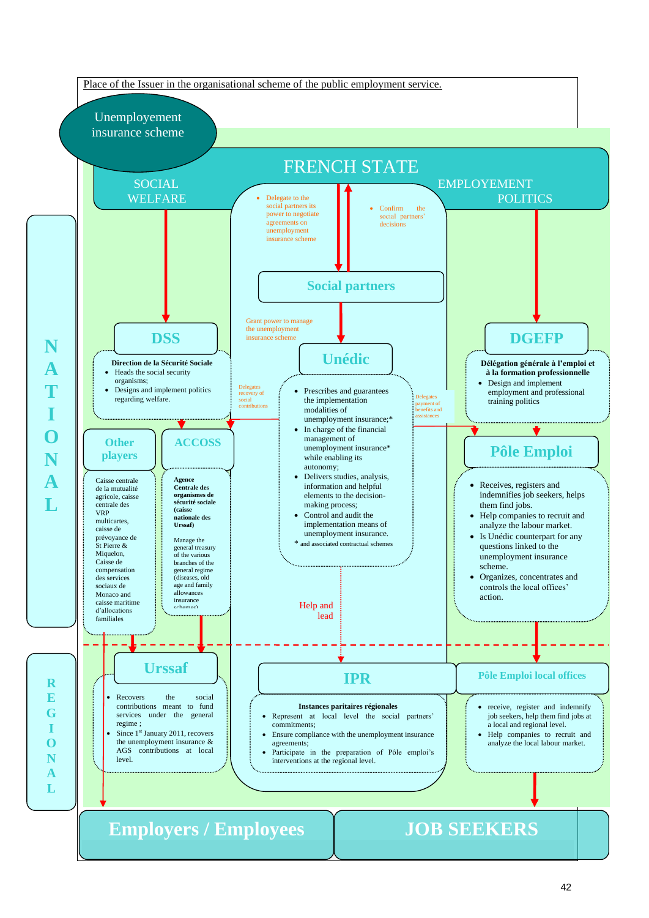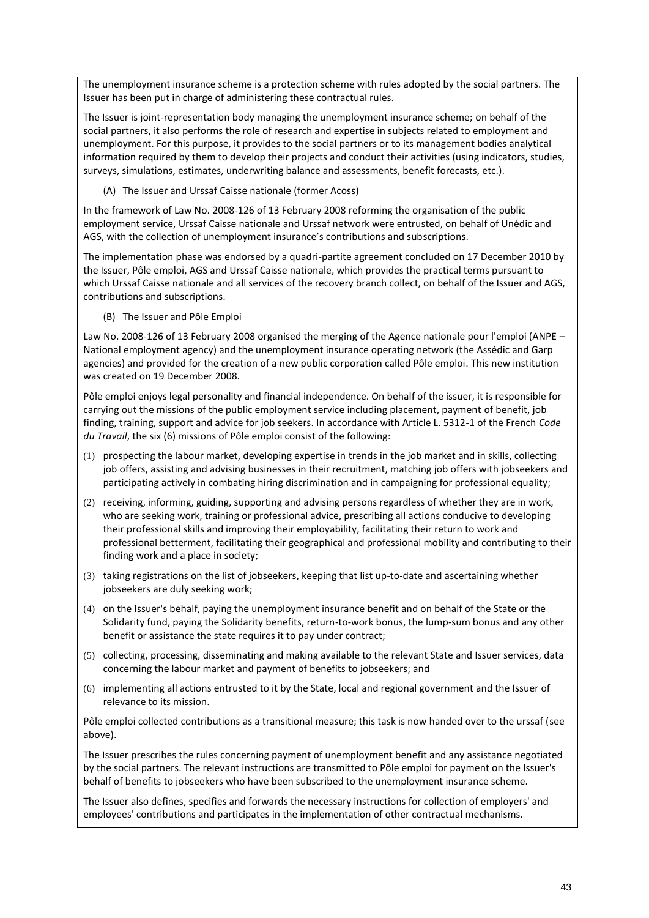The unemployment insurance scheme is a protection scheme with rules adopted by the social partners. The Issuer has been put in charge of administering these contractual rules.

The Issuer is joint-representation body managing the unemployment insurance scheme; on behalf of the social partners, it also performs the role of research and expertise in subjects related to employment and unemployment. For this purpose, it provides to the social partners or to its management bodies analytical information required by them to develop their projects and conduct their activities (using indicators, studies, surveys, simulations, estimates, underwriting balance and assessments, benefit forecasts, etc.).

(A) The Issuer and Urssaf Caisse nationale (former Acoss)

In the framework of Law No. 2008-126 of 13 February 2008 reforming the organisation of the public employment service, Urssaf Caisse nationale and Urssaf network were entrusted, on behalf of Unédic and AGS, with the collection of unemployment insurance's contributions and subscriptions.

The implementation phase was endorsed by a quadri-partite agreement concluded on 17 December 2010 by the Issuer, Pôle emploi, AGS and Urssaf Caisse nationale, which provides the practical terms pursuant to which Urssaf Caisse nationale and all services of the recovery branch collect, on behalf of the Issuer and AGS, contributions and subscriptions.

(B) The Issuer and Pôle Emploi

Law No. 2008-126 of 13 February 2008 organised the merging of the Agence nationale pour l'emploi (ANPE – National employment agency) and the unemployment insurance operating network (the Assédic and Garp agencies) and provided for the creation of a new public corporation called Pôle emploi. This new institution was created on 19 December 2008.

Pôle emploi enjoys legal personality and financial independence. On behalf of the issuer, it is responsible for carrying out the missions of the public employment service including placement, payment of benefit, job finding, training, support and advice for job seekers. In accordance with Article L. 5312-1 of the French *Code du Travail*, the six (6) missions of Pôle emploi consist of the following:

- (1) prospecting the labour market, developing expertise in trends in the job market and in skills, collecting job offers, assisting and advising businesses in their recruitment, matching job offers with jobseekers and participating actively in combating hiring discrimination and in campaigning for professional equality;
- (2) receiving, informing, guiding, supporting and advising persons regardless of whether they are in work, who are seeking work, training or professional advice, prescribing all actions conducive to developing their professional skills and improving their employability, facilitating their return to work and professional betterment, facilitating their geographical and professional mobility and contributing to their finding work and a place in society;
- (3) taking registrations on the list of jobseekers, keeping that list up-to-date and ascertaining whether jobseekers are duly seeking work;
- (4) on the Issuer's behalf, paying the unemployment insurance benefit and on behalf of the State or the Solidarity fund, paying the Solidarity benefits, return-to-work bonus, the lump-sum bonus and any other benefit or assistance the state requires it to pay under contract;
- (5) collecting, processing, disseminating and making available to the relevant State and Issuer services, data concerning the labour market and payment of benefits to jobseekers; and
- (6) implementing all actions entrusted to it by the State, local and regional government and the Issuer of relevance to its mission.

Pôle emploi collected contributions as a transitional measure; this task is now handed over to the urssaf (see above).

The Issuer prescribes the rules concerning payment of unemployment benefit and any assistance negotiated by the social partners. The relevant instructions are transmitted to Pôle emploi for payment on the Issuer's behalf of benefits to jobseekers who have been subscribed to the unemployment insurance scheme.

The Issuer also defines, specifies and forwards the necessary instructions for collection of employers' and employees' contributions and participates in the implementation of other contractual mechanisms.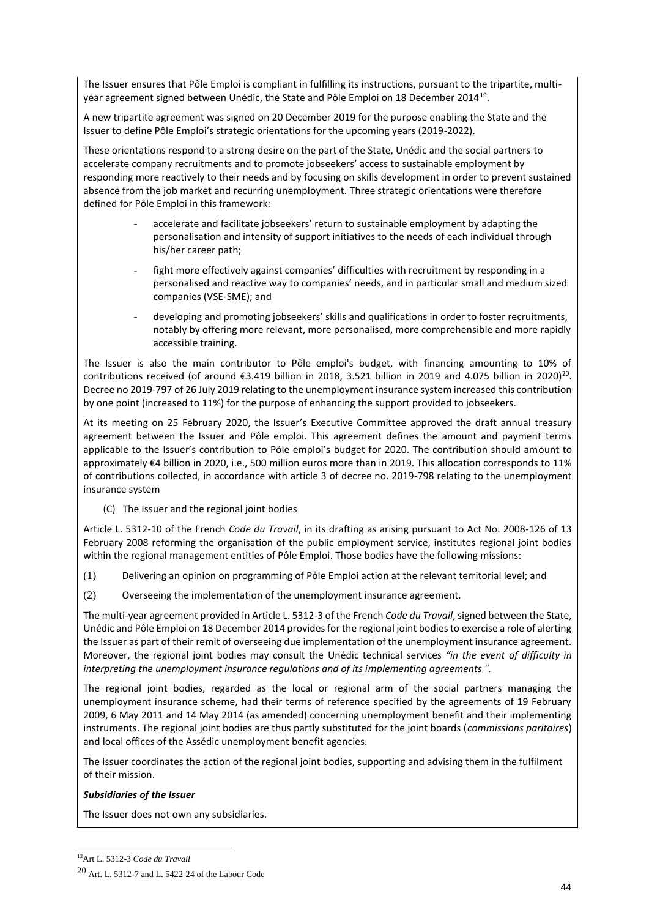The Issuer ensures that Pôle Emploi is compliant in fulfilling its instructions, pursuant to the tripartite, multiyear agreement signed between Unédic, the State and Pôle Emploi on 18 December 2014<sup>19</sup>.

A new tripartite agreement was signed on 20 December 2019 for the purpose enabling the State and the Issuer to define Pôle Emploi's strategic orientations for the upcoming years (2019-2022).

These orientations respond to a strong desire on the part of the State, Unédic and the social partners to accelerate company recruitments and to promote jobseekers' access to sustainable employment by responding more reactively to their needs and by focusing on skills development in order to prevent sustained absence from the job market and recurring unemployment. Three strategic orientations were therefore defined for Pôle Emploi in this framework:

- accelerate and facilitate jobseekers' return to sustainable employment by adapting the personalisation and intensity of support initiatives to the needs of each individual through his/her career path;
- fight more effectively against companies' difficulties with recruitment by responding in a personalised and reactive way to companies' needs, and in particular small and medium sized companies (VSE-SME); and
- developing and promoting jobseekers' skills and qualifications in order to foster recruitments, notably by offering more relevant, more personalised, more comprehensible and more rapidly accessible training.

The Issuer is also the main contributor to Pôle emploi's budget, with financing amounting to 10% of contributions received (of around  $$3.419$  billion in 2018, 3.521 billion in 2019 and 4.075 billion in 2020)<sup>20</sup>. Decree no 2019-797 of 26 July 2019 relating to the unemployment insurance system increased this contribution by one point (increased to 11%) for the purpose of enhancing the support provided to jobseekers.

At its meeting on 25 February 2020, the Issuer's Executive Committee approved the draft annual treasury agreement between the Issuer and Pôle emploi. This agreement defines the amount and payment terms applicable to the Issuer's contribution to Pôle emploi's budget for 2020. The contribution should amount to approximately €4 billion in 2020, i.e., 500 million euros more than in 2019. This allocation corresponds to 11% of contributions collected, in accordance with article 3 of decree no. 2019-798 relating to the unemployment insurance system

(C) The Issuer and the regional joint bodies

Article L. 5312-10 of the French *Code du Travail*, in its drafting as arising pursuant to Act No. 2008-126 of 13 February 2008 reforming the organisation of the public employment service, institutes regional joint bodies within the regional management entities of Pôle Emploi. Those bodies have the following missions:

- (1) Delivering an opinion on programming of Pôle Emploi action at the relevant territorial level; and
- (2) Overseeing the implementation of the unemployment insurance agreement.

The multi-year agreement provided in Article L. 5312-3 of the French *Code du Travail*, signed between the State, Unédic and Pôle Emploi on 18 December 2014 provides for the regional joint bodies to exercise a role of alerting the Issuer as part of their remit of overseeing due implementation of the unemployment insurance agreement*.* Moreover, the regional joint bodies may consult the Unédic technical services *"in the event of difficulty in interpreting the unemployment insurance regulations and of its implementing agreements ".*

The regional joint bodies, regarded as the local or regional arm of the social partners managing the unemployment insurance scheme, had their terms of reference specified by the agreements of 19 February 2009, 6 May 2011 and 14 May 2014 (as amended) concerning unemployment benefit and their implementing instruments. The regional joint bodies are thus partly substituted for the joint boards (*commissions paritaires*) and local offices of the Assédic unemployment benefit agencies.

The Issuer coordinates the action of the regional joint bodies, supporting and advising them in the fulfilment of their mission.

# *Subsidiaries of the Issuer*

The Issuer does not own any subsidiaries.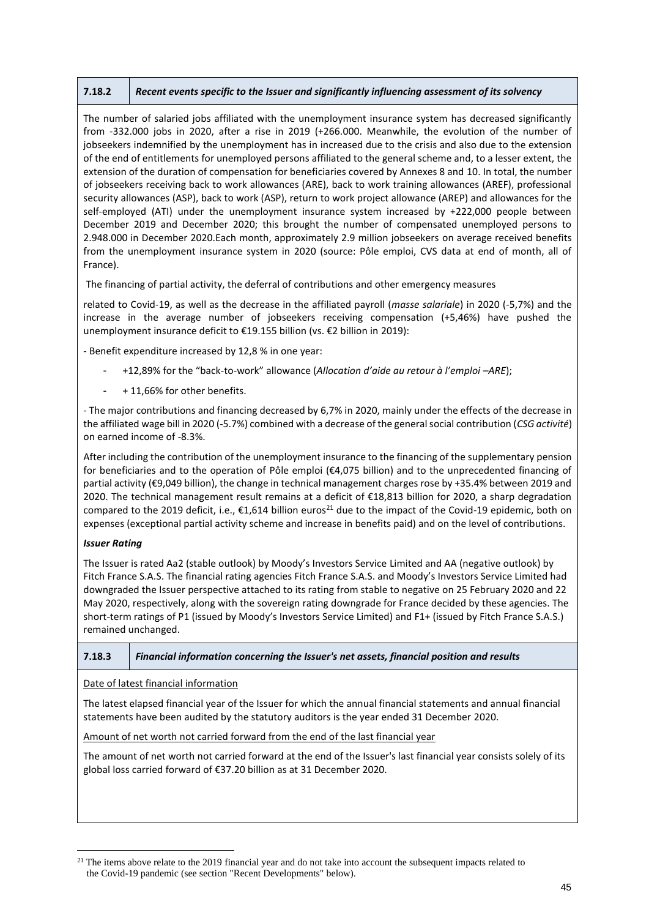# **7.18.2** *Recent events specific to the Issuer and significantly influencing assessment of its solvency*

The number of salaried jobs affiliated with the unemployment insurance system has decreased significantly from -332.000 jobs in 2020, after a rise in 2019 (+266.000. Meanwhile, the evolution of the number of jobseekers indemnified by the unemployment has in increased due to the crisis and also due to the extension of the end of entitlements for unemployed persons affiliated to the general scheme and, to a lesser extent, the extension of the duration of compensation for beneficiaries covered by Annexes 8 and 10. In total, the number of jobseekers receiving back to work allowances (ARE), back to work training allowances (AREF), professional security allowances (ASP), back to work (ASP), return to work project allowance (AREP) and allowances for the self-employed (ATI) under the unemployment insurance system increased by +222,000 people between December 2019 and December 2020; this brought the number of compensated unemployed persons to 2.948.000 in December 2020.Each month, approximately 2.9 million jobseekers on average received benefits from the unemployment insurance system in 2020 (source: Pôle emploi, CVS data at end of month, all of France).

The financing of partial activity, the deferral of contributions and other emergency measures

related to Covid-19, as well as the decrease in the affiliated payroll (*masse salariale*) in 2020 (-5,7%) and the increase in the average number of jobseekers receiving compensation (+5,46%) have pushed the unemployment insurance deficit to €19.155 billion (vs. €2 billion in 2019):

- Benefit expenditure increased by 12,8 % in one year:

- +12,89% for the "back-to-work" allowance (*Allocation d'aide au retour à l'emploi –ARE*);
- + 11,66% for other benefits.

- The major contributions and financing decreased by 6,7% in 2020, mainly under the effects of the decrease in the affiliated wage bill in 2020 (-5.7%) combined with a decrease of the general social contribution (*CSG activité*) on earned income of -8.3%.

After including the contribution of the unemployment insurance to the financing of the supplementary pension for beneficiaries and to the operation of Pôle emploi (€4,075 billion) and to the unprecedented financing of partial activity (€9,049 billion), the change in technical management charges rose by +35.4% between 2019 and 2020. The technical management result remains at a deficit of €18,813 billion for 2020, a sharp degradation compared to the 2019 deficit, i.e.,  $\epsilon$ 1,614 billion euros<sup>21</sup> due to the impact of the Covid-19 epidemic, both on expenses (exceptional partial activity scheme and increase in benefits paid) and on the level of contributions.

#### *Issuer Rating*

The Issuer is rated Aa2 (stable outlook) by Moody's Investors Service Limited and AA (negative outlook) by Fitch France S.A.S. The financial rating agencies Fitch France S.A.S. and Moody's Investors Service Limited had downgraded the Issuer perspective attached to its rating from stable to negative on 25 February 2020 and 22 May 2020, respectively, along with the sovereign rating downgrade for France decided by these agencies. The short-term ratings of P1 (issued by Moody's Investors Service Limited) and F1+ (issued by Fitch France S.A.S.) remained unchanged.

# **7.18.3** *Financial information concerning the Issuer's net assets, financial position and results*

Date of latest financial information

The latest elapsed financial year of the Issuer for which the annual financial statements and annual financial statements have been audited by the statutory auditors is the year ended 31 December 2020.

Amount of net worth not carried forward from the end of the last financial year

The amount of net worth not carried forward at the end of the Issuer's last financial year consists solely of its global loss carried forward of €37.20 billion as at 31 December 2020.

<sup>&</sup>lt;sup>21</sup> The items above relate to the 2019 financial year and do not take into account the subsequent impacts related to the Covid-19 pandemic (see section "Recent Developments" below).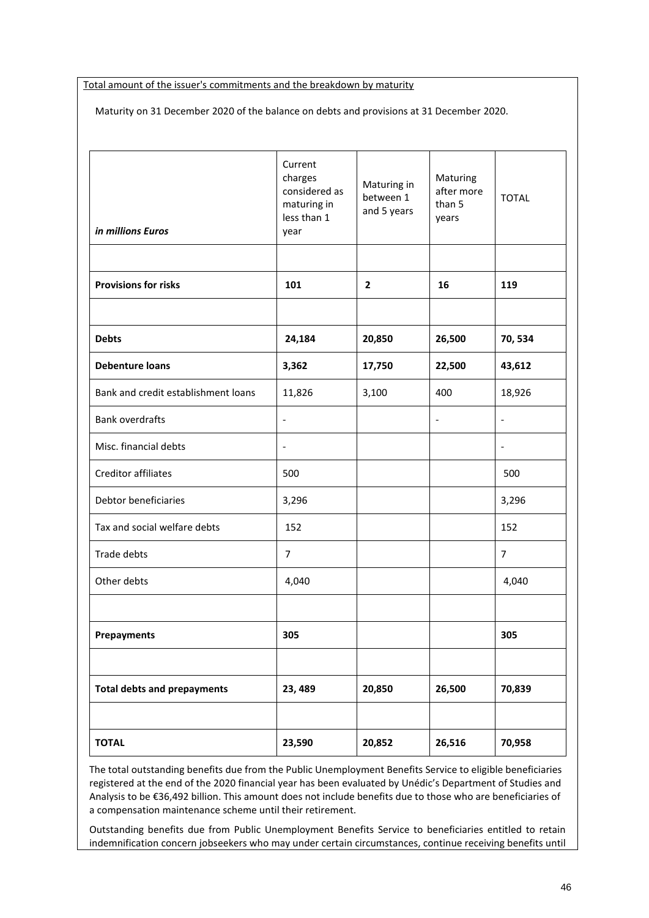Total amount of the issuer's commitments and the breakdown by maturity

Maturity on 31 December 2020 of the balance on debts and provisions at 31 December 2020.

| <b>TOTAL</b>                        | 23,590                                             | 20,852                   | 26,516                           | 70,958         |
|-------------------------------------|----------------------------------------------------|--------------------------|----------------------------------|----------------|
| <b>Total debts and prepayments</b>  | 23, 489                                            | 20,850                   | 26,500                           | 70,839         |
|                                     |                                                    |                          |                                  |                |
| Prepayments                         | 305                                                |                          |                                  | 305            |
|                                     |                                                    |                          |                                  |                |
| Other debts                         | 4,040                                              |                          |                                  | 4,040          |
| Trade debts                         | $\overline{7}$                                     |                          |                                  | $\overline{7}$ |
| Tax and social welfare debts        | 152                                                |                          |                                  | 152            |
| Debtor beneficiaries                | 3,296                                              |                          |                                  | 3,296          |
| Creditor affiliates                 | 500                                                |                          |                                  | 500            |
| Misc. financial debts               | $\overline{a}$                                     |                          |                                  | $\blacksquare$ |
| <b>Bank overdrafts</b>              | $\overline{\phantom{a}}$                           |                          | $\blacksquare$                   | $\blacksquare$ |
| Bank and credit establishment loans | 11,826                                             | 3,100                    | 400                              | 18,926         |
| <b>Debenture loans</b>              | 3,362                                              | 17,750                   | 22,500                           | 43,612         |
| <b>Debts</b>                        | 24,184                                             | 20,850                   | 26,500                           | 70,534         |
|                                     |                                                    |                          |                                  |                |
| <b>Provisions for risks</b>         | 101                                                | $\overline{2}$           | 16                               | 119            |
| in millions Euros                   | less than 1<br>year                                | and 5 years              | years                            |                |
|                                     | Current<br>charges<br>considered as<br>maturing in | Maturing in<br>between 1 | Maturing<br>after more<br>than 5 | <b>TOTAL</b>   |

The total outstanding benefits due from the Public Unemployment Benefits Service to eligible beneficiaries registered at the end of the 2020 financial year has been evaluated by Unédic's Department of Studies and Analysis to be €36,492 billion. This amount does not include benefits due to those who are beneficiaries of a compensation maintenance scheme until their retirement.

Outstanding benefits due from Public Unemployment Benefits Service to beneficiaries entitled to retain indemnification concern jobseekers who may under certain circumstances, continue receiving benefits until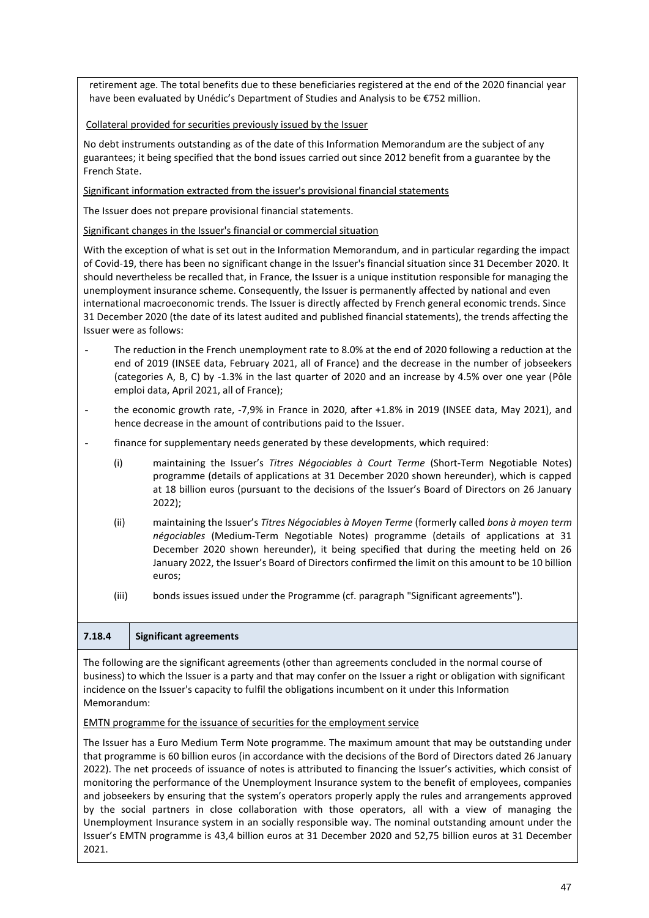retirement age. The total benefits due to these beneficiaries registered at the end of the 2020 financial year have been evaluated by Unédic's Department of Studies and Analysis to be €752 million.

Collateral provided for securities previously issued by the Issuer

No debt instruments outstanding as of the date of this Information Memorandum are the subject of any guarantees; it being specified that the bond issues carried out since 2012 benefit from a guarantee by the French State.

Significant information extracted from the issuer's provisional financial statements

The Issuer does not prepare provisional financial statements.

Significant changes in the Issuer's financial or commercial situation

With the exception of what is set out in the Information Memorandum, and in particular regarding the impact of Covid-19, there has been no significant change in the Issuer's financial situation since 31 December 2020. It should nevertheless be recalled that, in France, the Issuer is a unique institution responsible for managing the unemployment insurance scheme. Consequently, the Issuer is permanently affected by national and even international macroeconomic trends. The Issuer is directly affected by French general economic trends. Since 31 December 2020 (the date of its latest audited and published financial statements), the trends affecting the Issuer were as follows:

- The reduction in the French unemployment rate to 8.0% at the end of 2020 following a reduction at the end of 2019 (INSEE data, February 2021, all of France) and the decrease in the number of jobseekers (categories A, B, C) by -1.3% in the last quarter of 2020 and an increase by 4.5% over one year (Pôle emploi data, April 2021, all of France);
- the economic growth rate, -7,9% in France in 2020, after +1.8% in 2019 (INSEE data, May 2021), and hence decrease in the amount of contributions paid to the Issuer.
- finance for supplementary needs generated by these developments, which required:
	- (i) maintaining the Issuer's *Titres Négociables à Court Terme* (Short-Term Negotiable Notes) programme (details of applications at 31 December 2020 shown hereunder), which is capped at 18 billion euros (pursuant to the decisions of the Issuer's Board of Directors on 26 January 2022);
	- (ii) maintaining the Issuer's *Titres Négociables à Moyen Terme* (formerly called *bons à moyen term négociables* (Medium-Term Negotiable Notes) programme (details of applications at 31 December 2020 shown hereunder), it being specified that during the meeting held on 26 January 2022, the Issuer's Board of Directors confirmed the limit on this amount to be 10 billion euros;
	- (iii) bonds issues issued under the Programme (cf. paragraph "Significant agreements").

# **7.18.4 Significant agreements**

The following are the significant agreements (other than agreements concluded in the normal course of business) to which the Issuer is a party and that may confer on the Issuer a right or obligation with significant incidence on the Issuer's capacity to fulfil the obligations incumbent on it under this Information Memorandum:

# EMTN programme for the issuance of securities for the employment service

The Issuer has a Euro Medium Term Note programme. The maximum amount that may be outstanding under that programme is 60 billion euros (in accordance with the decisions of the Bord of Directors dated 26 January 2022). The net proceeds of issuance of notes is attributed to financing the Issuer's activities, which consist of monitoring the performance of the Unemployment Insurance system to the benefit of employees, companies and jobseekers by ensuring that the system's operators properly apply the rules and arrangements approved by the social partners in close collaboration with those operators, all with a view of managing the Unemployment Insurance system in an socially responsible way. The nominal outstanding amount under the Issuer's EMTN programme is 43,4 billion euros at 31 December 2020 and 52,75 billion euros at 31 December 2021.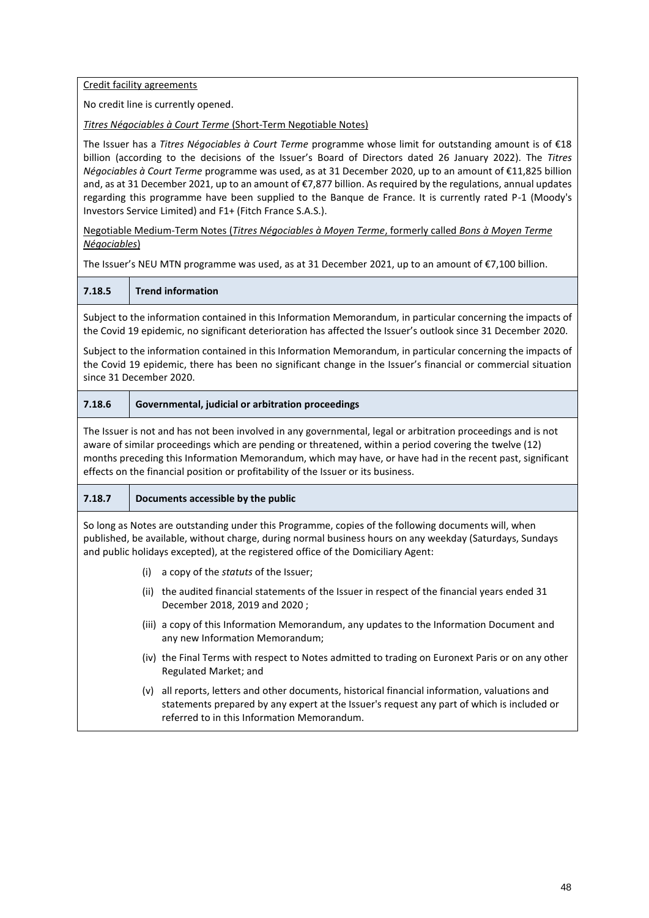Credit facility agreements

No credit line is currently opened.

*Titres Négociables à Court Terme* (Short-Term Negotiable Notes)

The Issuer has a *Titres Négociables à Court Terme* programme whose limit for outstanding amount is of €18 billion (according to the decisions of the Issuer's Board of Directors dated 26 January 2022). The *Titres Négociables à Court Terme* programme was used, as at 31 December 2020, up to an amount of €11,825 billion and, as at 31 December 2021, up to an amount of €7,877 billion. As required by the regulations, annual updates regarding this programme have been supplied to the Banque de France. It is currently rated P-1 (Moody's Investors Service Limited) and F1+ (Fitch France S.A.S.).

Negotiable Medium-Term Notes (*Titres Négociables à Moyen Terme*, formerly called *Bons à Moyen Terme Négociables*)

The Issuer's NEU MTN programme was used, as at 31 December 2021, up to an amount of €7,100 billion.

**7.18.5 Trend information**

Subject to the information contained in this Information Memorandum, in particular concerning the impacts of the Covid 19 epidemic, no significant deterioration has affected the Issuer's outlook since 31 December 2020.

Subject to the information contained in this Information Memorandum, in particular concerning the impacts of the Covid 19 epidemic, there has been no significant change in the Issuer's financial or commercial situation since 31 December 2020.

## **7.18.6 Governmental, judicial or arbitration proceedings**

The Issuer is not and has not been involved in any governmental, legal or arbitration proceedings and is not aware of similar proceedings which are pending or threatened, within a period covering the twelve (12) months preceding this Information Memorandum, which may have, or have had in the recent past, significant effects on the financial position or profitability of the Issuer or its business.

# **7.18.7 Documents accessible by the public**

So long as Notes are outstanding under this Programme, copies of the following documents will, when published, be available, without charge, during normal business hours on any weekday (Saturdays, Sundays and public holidays excepted), at the registered office of the Domiciliary Agent:

- (i) a copy of the *statuts* of the Issuer;
- (ii) the audited financial statements of the Issuer in respect of the financial years ended 31 December 2018, 2019 and 2020 ;
- (iii) a copy of this Information Memorandum, any updates to the Information Document and any new Information Memorandum;
- (iv) the Final Terms with respect to Notes admitted to trading on Euronext Paris or on any other Regulated Market; and
- (v) all reports, letters and other documents, historical financial information, valuations and statements prepared by any expert at the Issuer's request any part of which is included or referred to in this Information Memorandum.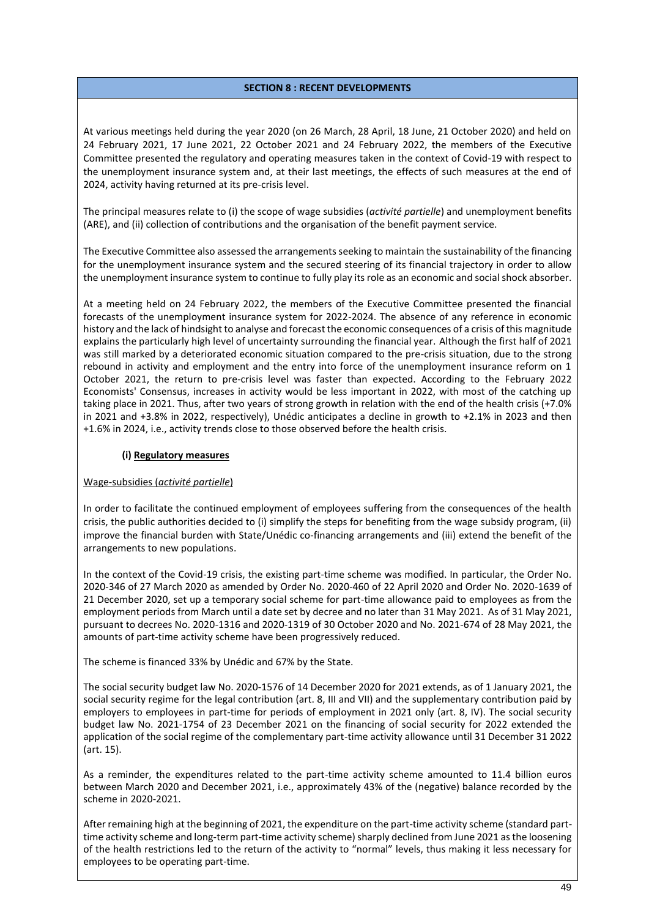## **SECTION 8 : RECENT DEVELOPMENTS**

<span id="page-48-0"></span>At various meetings held during the year 2020 (on 26 March, 28 April, 18 June, 21 October 2020) and held on 24 February 2021, 17 June 2021, 22 October 2021 and 24 February 2022, the members of the Executive Committee presented the regulatory and operating measures taken in the context of Covid-19 with respect to the unemployment insurance system and, at their last meetings, the effects of such measures at the end of 2024, activity having returned at its pre-crisis level.

The principal measures relate to (i) the scope of wage subsidies (*activité partielle*) and unemployment benefits (ARE), and (ii) collection of contributions and the organisation of the benefit payment service.

The Executive Committee also assessed the arrangements seeking to maintain the sustainability of the financing for the unemployment insurance system and the secured steering of its financial trajectory in order to allow the unemployment insurance system to continue to fully play its role as an economic and social shock absorber.

At a meeting held on 24 February 2022, the members of the Executive Committee presented the financial forecasts of the unemployment insurance system for 2022-2024. The absence of any reference in economic history and the lack of hindsight to analyse and forecast the economic consequences of a crisis of this magnitude explains the particularly high level of uncertainty surrounding the financial year. Although the first half of 2021 was still marked by a deteriorated economic situation compared to the pre-crisis situation, due to the strong rebound in activity and employment and the entry into force of the unemployment insurance reform on 1 October 2021, the return to pre-crisis level was faster than expected. According to the February 2022 Economists' Consensus, increases in activity would be less important in 2022, with most of the catching up taking place in 2021. Thus, after two years of strong growth in relation with the end of the health crisis (+7.0% in 2021 and +3.8% in 2022, respectively), Unédic anticipates a decline in growth to +2.1% in 2023 and then +1.6% in 2024, i.e., activity trends close to those observed before the health crisis.

#### **(i) Regulatory measures**

#### Wage-subsidies (*activité partielle*)

In order to facilitate the continued employment of employees suffering from the consequences of the health crisis, the public authorities decided to (i) simplify the steps for benefiting from the wage subsidy program, (ii) improve the financial burden with State/Unédic co-financing arrangements and (iii) extend the benefit of the arrangements to new populations.

In the context of the Covid-19 crisis, the existing part-time scheme was modified. In particular, the Order No. 2020-346 of 27 March 2020 as amended by Order No. 2020-460 of 22 April 2020 and Order No. 2020-1639 of 21 December 2020, set up a temporary social scheme for part-time allowance paid to employees as from the employment periods from March until a date set by decree and no later than 31 May 2021. As of 31 May 2021, pursuant to decrees No. 2020-1316 and 2020-1319 of 30 October 2020 and No. 2021-674 of 28 May 2021, the amounts of part-time activity scheme have been progressively reduced.

The scheme is financed 33% by Unédic and 67% by the State.

The social security budget law No. 2020-1576 of 14 December 2020 for 2021 extends, as of 1 January 2021, the social security regime for the legal contribution (art. 8, III and VII) and the supplementary contribution paid by employers to employees in part-time for periods of employment in 2021 only (art. 8, IV). The social security budget law No. 2021-1754 of 23 December 2021 on the financing of social security for 2022 extended the application of the social regime of the complementary part-time activity allowance until 31 December 31 2022 (art. 15).

As a reminder, the expenditures related to the part-time activity scheme amounted to 11.4 billion euros between March 2020 and December 2021, i.e., approximately 43% of the (negative) balance recorded by the scheme in 2020-2021.

After remaining high at the beginning of 2021, the expenditure on the part-time activity scheme (standard parttime activity scheme and long-term part-time activity scheme) sharply declined from June 2021 as the loosening of the health restrictions led to the return of the activity to "normal" levels, thus making it less necessary for employees to be operating part-time.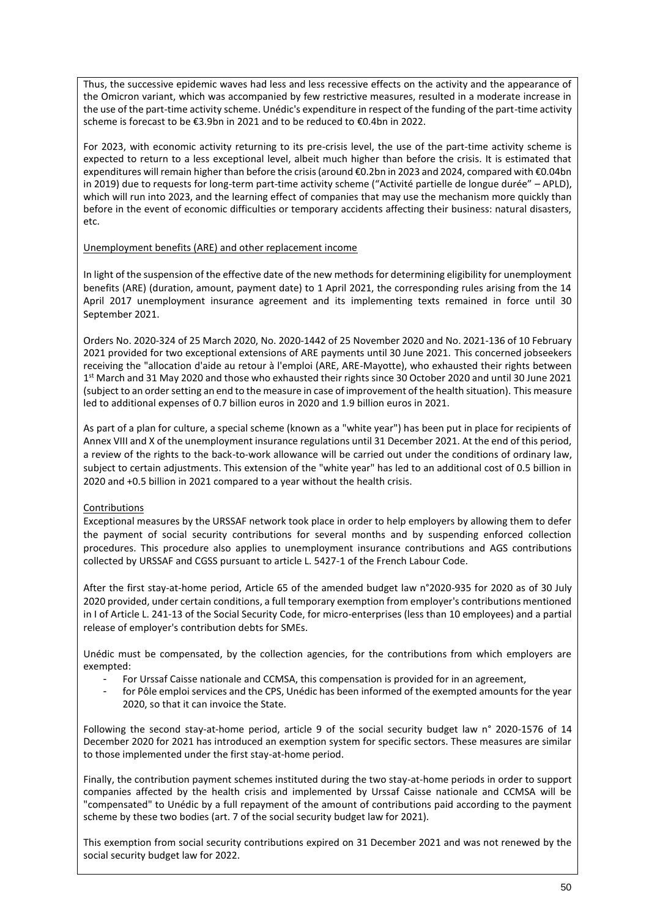Thus, the successive epidemic waves had less and less recessive effects on the activity and the appearance of the Omicron variant, which was accompanied by few restrictive measures, resulted in a moderate increase in the use of the part-time activity scheme. Unédic's expenditure in respect of the funding of the part-time activity scheme is forecast to be €3.9bn in 2021 and to be reduced to €0.4bn in 2022.

For 2023, with economic activity returning to its pre-crisis level, the use of the part-time activity scheme is expected to return to a less exceptional level, albeit much higher than before the crisis. It is estimated that expenditures will remain higher than before the crisis (around €0.2bn in 2023 and 2024, compared with €0.04bn in 2019) due to requests for long-term part-time activity scheme ("Activité partielle de longue durée" – APLD), which will run into 2023, and the learning effect of companies that may use the mechanism more quickly than before in the event of economic difficulties or temporary accidents affecting their business: natural disasters, etc.

## Unemployment benefits (ARE) and other replacement income

In light of the suspension of the effective date of the new methods for determining eligibility for unemployment benefits (ARE) (duration, amount, payment date) to 1 April 2021, the corresponding rules arising from the 14 April 2017 unemployment insurance agreement and its implementing texts remained in force until 30 September 2021.

Orders No. 2020-324 of 25 March 2020, No. 2020-1442 of 25 November 2020 and No. 2021-136 of 10 February 2021 provided for two exceptional extensions of ARE payments until 30 June 2021. This concerned jobseekers receiving the "allocation d'aide au retour à l'emploi (ARE, ARE-Mayotte), who exhausted their rights between 1 st March and 31 May 2020 and those who exhausted their rights since 30 October 2020 and until 30 June 2021 (subject to an ordersetting an end to the measure in case of improvement of the health situation). This measure led to additional expenses of 0.7 billion euros in 2020 and 1.9 billion euros in 2021.

As part of a plan for culture, a special scheme (known as a "white year") has been put in place for recipients of Annex VIII and X of the unemployment insurance regulations until 31 December 2021. At the end of this period, a review of the rights to the back-to-work allowance will be carried out under the conditions of ordinary law, subject to certain adjustments. This extension of the "white year" has led to an additional cost of 0.5 billion in 2020 and +0.5 billion in 2021 compared to a year without the health crisis.

# Contributions

Exceptional measures by the URSSAF network took place in order to help employers by allowing them to defer the payment of social security contributions for several months and by suspending enforced collection procedures. This procedure also applies to unemployment insurance contributions and AGS contributions collected by URSSAF and CGSS pursuant to article L. 5427-1 of the French Labour Code.

After the first stay-at-home period, Article 65 of the amended budget law n°2020-935 for 2020 as of 30 July 2020 provided, under certain conditions, a full temporary exemption from employer's contributions mentioned in I of Article L. 241-13 of the Social Security Code, for micro-enterprises (less than 10 employees) and a partial release of employer's contribution debts for SMEs.

Unédic must be compensated, by the collection agencies, for the contributions from which employers are exempted:

- For Urssaf Caisse nationale and CCMSA, this compensation is provided for in an agreement,
- for Pôle emploi services and the CPS, Unédic has been informed of the exempted amounts for the year 2020, so that it can invoice the State.

Following the second stay-at-home period, article 9 of the social security budget law n° 2020-1576 of 14 December 2020 for 2021 has introduced an exemption system for specific sectors. These measures are similar to those implemented under the first stay-at-home period.

Finally, the contribution payment schemes instituted during the two stay-at-home periods in order to support companies affected by the health crisis and implemented by Urssaf Caisse nationale and CCMSA will be "compensated" to Unédic by a full repayment of the amount of contributions paid according to the payment scheme by these two bodies (art. 7 of the social security budget law for 2021).

This exemption from social security contributions expired on 31 December 2021 and was not renewed by the social security budget law for 2022.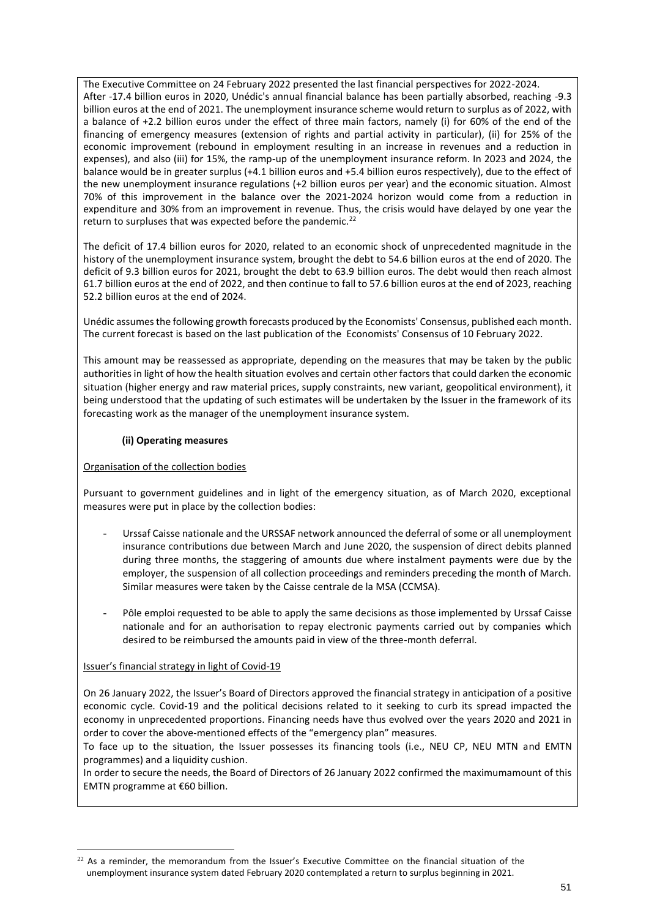The Executive Committee on 24 February 2022 presented the last financial perspectives for 2022-2024. After -17.4 billion euros in 2020, Unédic's annual financial balance has been partially absorbed, reaching -9.3 billion euros at the end of 2021. The unemployment insurance scheme would return to surplus as of 2022, with a balance of +2.2 billion euros under the effect of three main factors, namely (i) for 60% of the end of the financing of emergency measures (extension of rights and partial activity in particular), (ii) for 25% of the economic improvement (rebound in employment resulting in an increase in revenues and a reduction in expenses), and also (iii) for 15%, the ramp-up of the unemployment insurance reform. In 2023 and 2024, the balance would be in greater surplus (+4.1 billion euros and +5.4 billion euros respectively), due to the effect of the new unemployment insurance regulations (+2 billion euros per year) and the economic situation. Almost 70% of this improvement in the balance over the 2021-2024 horizon would come from a reduction in expenditure and 30% from an improvement in revenue. Thus, the crisis would have delayed by one year the return to surpluses that was expected before the pandemic.<sup>22</sup>

The deficit of 17.4 billion euros for 2020, related to an economic shock of unprecedented magnitude in the history of the unemployment insurance system, brought the debt to 54.6 billion euros at the end of 2020. The deficit of 9.3 billion euros for 2021, brought the debt to 63.9 billion euros. The debt would then reach almost 61.7 billion euros at the end of 2022, and then continue to fall to 57.6 billion euros at the end of 2023, reaching 52.2 billion euros at the end of 2024.

Unédic assumes the following growth forecasts produced by the Economists' Consensus, published each month. The current forecast is based on the last publication of the Economists' Consensus of 10 February 2022.

This amount may be reassessed as appropriate, depending on the measures that may be taken by the public authorities in light of how the health situation evolves and certain other factors that could darken the economic situation (higher energy and raw material prices, supply constraints, new variant, geopolitical environment), it being understood that the updating of such estimates will be undertaken by the Issuer in the framework of its forecasting work as the manager of the unemployment insurance system.

## **(ii) Operating measures**

#### Organisation of the collection bodies

Pursuant to government guidelines and in light of the emergency situation, as of March 2020, exceptional measures were put in place by the collection bodies:

- Urssaf Caisse nationale and the URSSAF network announced the deferral of some or all unemployment insurance contributions due between March and June 2020, the suspension of direct debits planned during three months, the staggering of amounts due where instalment payments were due by the employer, the suspension of all collection proceedings and reminders preceding the month of March. Similar measures were taken by the Caisse centrale de la MSA (CCMSA).
- Pôle emploi requested to be able to apply the same decisions as those implemented by Urssaf Caisse nationale and for an authorisation to repay electronic payments carried out by companies which desired to be reimbursed the amounts paid in view of the three-month deferral.

#### Issuer's financial strategy in light of Covid-19

On 26 January 2022, the Issuer's Board of Directors approved the financial strategy in anticipation of a positive economic cycle. Covid-19 and the political decisions related to it seeking to curb its spread impacted the economy in unprecedented proportions. Financing needs have thus evolved over the years 2020 and 2021 in order to cover the above-mentioned effects of the "emergency plan" measures.

To face up to the situation, the Issuer possesses its financing tools (i.e., NEU CP, NEU MTN and EMTN programmes) and a liquidity cushion.

In order to secure the needs, the Board of Directors of 26 January 2022 confirmed the maximumamount of this EMTN programme at €60 billion.

 $22$  As a reminder, the memorandum from the Issuer's Executive Committee on the financial situation of the unemployment insurance system dated February 2020 contemplated a return to surplus beginning in 2021.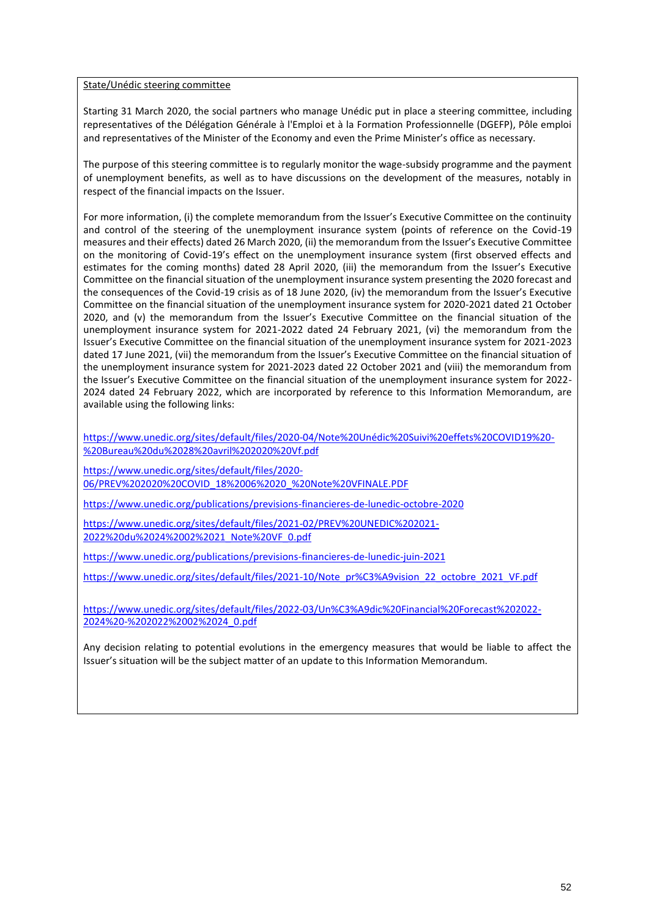#### State/Unédic steering committee

Starting 31 March 2020, the social partners who manage Unédic put in place a steering committee, including representatives of the Délégation Générale à l'Emploi et à la Formation Professionnelle (DGEFP), Pôle emploi and representatives of the Minister of the Economy and even the Prime Minister's office as necessary.

The purpose of this steering committee is to regularly monitor the wage-subsidy programme and the payment of unemployment benefits, as well as to have discussions on the development of the measures, notably in respect of the financial impacts on the Issuer.

For more information, (i) the complete memorandum from the Issuer's Executive Committee on the continuity and control of the steering of the unemployment insurance system (points of reference on the Covid-19 measures and their effects) dated 26 March 2020, (ii) the memorandum from the Issuer's Executive Committee on the monitoring of Covid-19's effect on the unemployment insurance system (first observed effects and estimates for the coming months) dated 28 April 2020, (iii) the memorandum from the Issuer's Executive Committee on the financial situation of the unemployment insurance system presenting the 2020 forecast and the consequences of the Covid-19 crisis as of 18 June 2020, (iv) the memorandum from the Issuer's Executive Committee on the financial situation of the unemployment insurance system for 2020-2021 dated 21 October 2020, and (v) the memorandum from the Issuer's Executive Committee on the financial situation of the unemployment insurance system for 2021-2022 dated 24 February 2021, (vi) the memorandum from the Issuer's Executive Committee on the financial situation of the unemployment insurance system for 2021-2023 dated 17 June 2021, (vii) the memorandum from the Issuer's Executive Committee on the financial situation of the unemployment insurance system for 2021-2023 dated 22 October 2021 and (viii) the memorandum from the Issuer's Executive Committee on the financial situation of the unemployment insurance system for 2022- 2024 dated 24 February 2022, which are incorporated by reference to this Information Memorandum, are available using the following links:

[https://www.unedic.org/sites/default/files/2020-04/Note%20Unédic%20Suivi%20effets%20COVID19%20-](https://www.unedic.org/sites/default/files/2020-04/Note%20Unédic%20Suivi%20effets%20COVID19%20-%20Bureau%20du%2028%20avril%202020%20Vf.pdf) [%20Bureau%20du%2028%20avril%202020%20Vf.pdf](https://www.unedic.org/sites/default/files/2020-04/Note%20Unédic%20Suivi%20effets%20COVID19%20-%20Bureau%20du%2028%20avril%202020%20Vf.pdf)

[https://www.unedic.org/sites/default/files/2020-](https://www.unedic.org/sites/default/files/2020-06/PREV%202020%20COVID_18%2006%2020_%20Note%20VFINALE.PDF) [06/PREV%202020%20COVID\\_18%2006%2020\\_%20Note%20VFINALE.PDF](https://www.unedic.org/sites/default/files/2020-06/PREV%202020%20COVID_18%2006%2020_%20Note%20VFINALE.PDF)

<https://www.unedic.org/publications/previsions-financieres-de-lunedic-octobre-2020>

[https://www.unedic.org/sites/default/files/2021-02/PREV%20UNEDIC%202021-](https://www.unedic.org/sites/default/files/2021-02/PREV%20UNEDIC%202021-2022%20du%2024%2002%2021_Note%20VF_0.pdf) [2022%20du%2024%2002%2021\\_Note%20VF\\_0.pdf](https://www.unedic.org/sites/default/files/2021-02/PREV%20UNEDIC%202021-2022%20du%2024%2002%2021_Note%20VF_0.pdf)

<https://www.unedic.org/publications/previsions-financieres-de-lunedic-juin-2021>

[https://www.unedic.org/sites/default/files/2021-10/Note\\_pr%C3%A9vision\\_22\\_octobre\\_2021\\_VF.pdf](https://www.unedic.org/sites/default/files/2021-10/Note_pr%C3%A9vision_22_octobre_2021_VF.pdf)

[https://www.unedic.org/sites/default/files/2022-03/Un%C3%A9dic%20Financial%20Forecast%202022-](https://www.unedic.org/sites/default/files/2022-03/Un%C3%A9dic%20Financial%20Forecast%202022-2024%20-%202022%2002%2024_0.pdf) [2024%20-%202022%2002%2024\\_0.pdf](https://www.unedic.org/sites/default/files/2022-03/Un%C3%A9dic%20Financial%20Forecast%202022-2024%20-%202022%2002%2024_0.pdf)

Any decision relating to potential evolutions in the emergency measures that would be liable to affect the Issuer's situation will be the subject matter of an update to this Information Memorandum.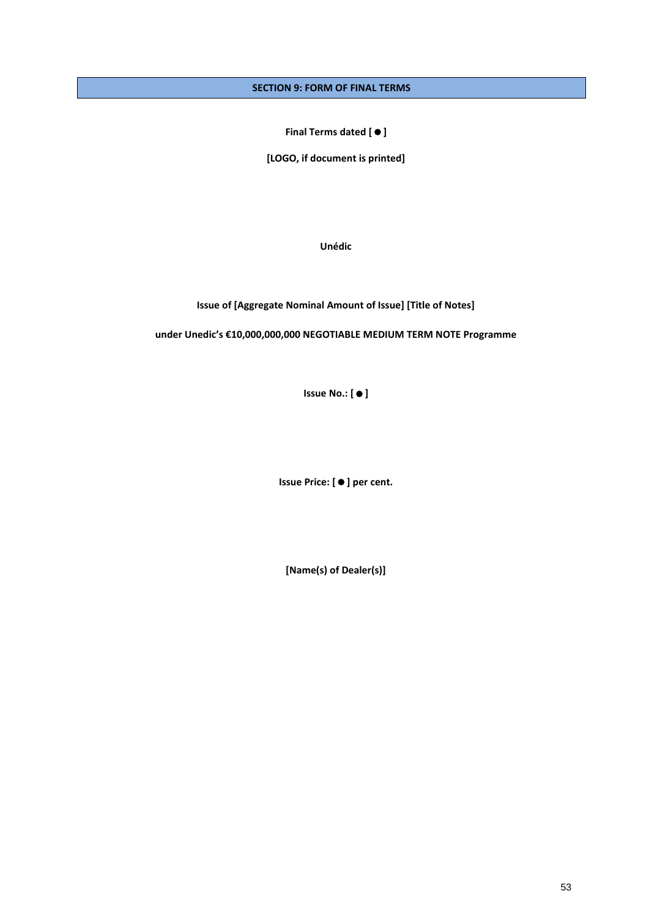# <span id="page-52-0"></span>**SECTION 9: FORM OF FINAL TERMS**

**Final Terms dated []**

**[LOGO, if document is printed]**

**Unédic**

**Issue of [Aggregate Nominal Amount of Issue] [Title of Notes]**

**under Unedic's €10,000,000,000 NEGOTIABLE MEDIUM TERM NOTE Programme**

**Issue No.:** [ ● ]

**Issue Price: [] per cent.**

**[Name(s) of Dealer(s)]**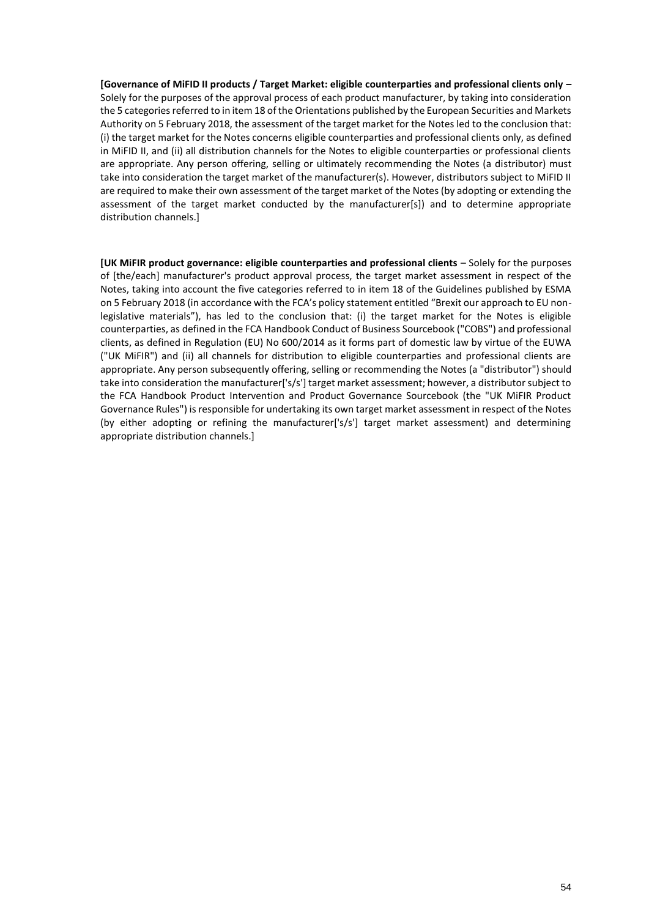**[Governance of MiFID II products / Target Market: eligible counterparties and professional clients only –** Solely for the purposes of the approval process of each product manufacturer, by taking into consideration the 5 categories referred to in item 18 of the Orientations published by the European Securities and Markets Authority on 5 February 2018, the assessment of the target market for the Notes led to the conclusion that: (i) the target market for the Notes concerns eligible counterparties and professional clients only, as defined in MiFID II, and (ii) all distribution channels for the Notes to eligible counterparties or professional clients are appropriate. Any person offering, selling or ultimately recommending the Notes (a distributor) must take into consideration the target market of the manufacturer(s). However, distributors subject to MiFID II are required to make their own assessment of the target market of the Notes (by adopting or extending the assessment of the target market conducted by the manufacturer[s]) and to determine appropriate distribution channels.]

**[UK MiFIR product governance: eligible counterparties and professional clients – Solely for the purposes** of [the/each] manufacturer's product approval process, the target market assessment in respect of the Notes, taking into account the five categories referred to in item 18 of the Guidelines published by ESMA on 5 February 2018 (in accordance with the FCA's policy statement entitled "Brexit our approach to EU nonlegislative materials"), has led to the conclusion that: (i) the target market for the Notes is eligible counterparties, as defined in the FCA Handbook Conduct of Business Sourcebook ("COBS") and professional clients, as defined in Regulation (EU) No 600/2014 as it forms part of domestic law by virtue of the EUWA ("UK MiFIR") and (ii) all channels for distribution to eligible counterparties and professional clients are appropriate. Any person subsequently offering, selling or recommending the Notes (a "distributor") should take into consideration the manufacturer['s/s'] target market assessment; however, a distributor subject to the FCA Handbook Product Intervention and Product Governance Sourcebook (the "UK MiFIR Product Governance Rules") is responsible for undertaking its own target market assessment in respect of the Notes (by either adopting or refining the manufacturer['s/s'] target market assessment) and determining appropriate distribution channels.]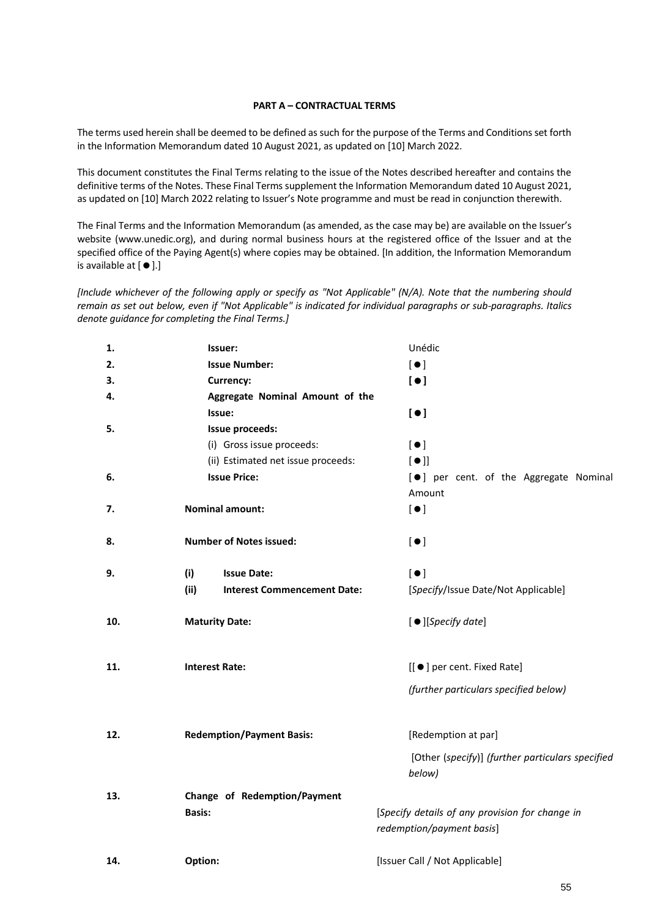#### **PART A – CONTRACTUAL TERMS**

The terms used herein shall be deemed to be defined as such for the purpose of the Terms and Conditions set forth in the Information Memorandum dated 10 August 2021, as updated on [10] March 2022.

This document constitutes the Final Terms relating to the issue of the Notes described hereafter and contains the definitive terms of the Notes. These Final Terms supplement the Information Memorandum dated 10 August 2021, as updated on [10] March 2022 relating to Issuer's Note programme and must be read in conjunction therewith.

The Final Terms and the Information Memorandum (as amended, as the case may be) are available on the Issuer's website (www.unedic.org), and during normal business hours at the registered office of the Issuer and at the specified office of the Paying Agent(s) where copies may be obtained. [In addition, the Information Memorandum is available at  $[$   $\bullet$   $]$ .]

*[Include whichever of the following apply or specify as "Not Applicable" (N/A). Note that the numbering should remain as set out below, even if "Not Applicable" is indicated for individual paragraphs or sub-paragraphs. Italics denote guidance for completing the Final Terms.]*

| 1.  | Issuer:                                    | Unédic                                                                       |
|-----|--------------------------------------------|------------------------------------------------------------------------------|
| 2.  | <b>Issue Number:</b>                       | $\lbrack \bullet \rbrack$                                                    |
| 3.  | Currency:                                  | [•]                                                                          |
| 4.  | Aggregate Nominal Amount of the            |                                                                              |
|     | Issue:                                     | [•]                                                                          |
| 5.  | Issue proceeds:                            |                                                                              |
|     | (i) Gross issue proceeds:                  | $\lbrack \bullet \rbrack$                                                    |
|     | (ii) Estimated net issue proceeds:         | [•]                                                                          |
| 6.  | <b>Issue Price:</b>                        | [ $\bullet$ ] per cent. of the Aggregate Nominal                             |
|     |                                            | Amount                                                                       |
| 7.  | <b>Nominal amount:</b>                     | $\lbrack \bullet \rbrack$                                                    |
| 8.  | <b>Number of Notes issued:</b>             | $\lbrack \bullet \rbrack$                                                    |
| 9.  | (i)<br><b>Issue Date:</b>                  | $\lbrack \bullet \rbrack$                                                    |
|     | (ii)<br><b>Interest Commencement Date:</b> | [Specify/Issue Date/Not Applicable]                                          |
| 10. | <b>Maturity Date:</b>                      | $[ \bullet ]$ [Specify date]                                                 |
| 11. | <b>Interest Rate:</b>                      | [[ ● ] per cent. Fixed Rate]                                                 |
|     |                                            | (further particulars specified below)                                        |
| 12. | <b>Redemption/Payment Basis:</b>           | [Redemption at par]                                                          |
|     |                                            | [Other (specify)] (further particulars specified<br>below)                   |
| 13. | Change of Redemption/Payment               |                                                                              |
|     | <b>Basis:</b>                              | [Specify details of any provision for change in<br>redemption/payment basis] |
| 14. | Option:                                    | [Issuer Call / Not Applicable]                                               |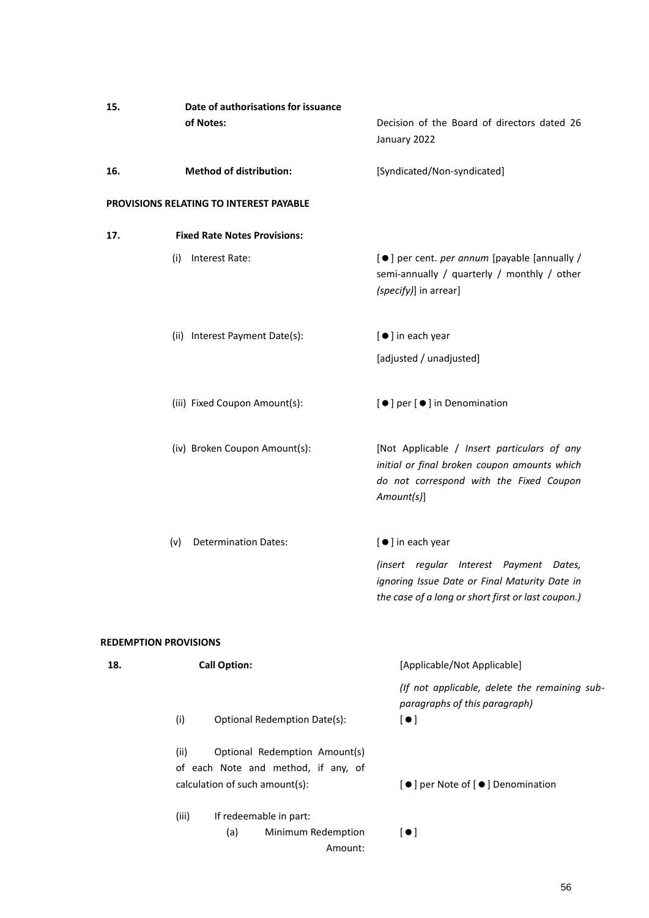| 15. | Date of authorisations for issuance                                                                            |                                                                                                                                                      |  |  |
|-----|----------------------------------------------------------------------------------------------------------------|------------------------------------------------------------------------------------------------------------------------------------------------------|--|--|
|     | of Notes:                                                                                                      | Decision of the Board of directors dated 26<br>January 2022                                                                                          |  |  |
| 16. | <b>Method of distribution:</b>                                                                                 | [Syndicated/Non-syndicated]                                                                                                                          |  |  |
|     | PROVISIONS RELATING TO INTEREST PAYABLE                                                                        |                                                                                                                                                      |  |  |
| 17. | <b>Fixed Rate Notes Provisions:</b>                                                                            |                                                                                                                                                      |  |  |
|     | Interest Rate:<br>(i)                                                                                          | [●] per cent. per annum [payable [annually /<br>semi-annually / quarterly / monthly / other<br>(specify)] in arrear]                                 |  |  |
|     | (ii) Interest Payment Date(s):                                                                                 | [ ● ] in each year                                                                                                                                   |  |  |
|     |                                                                                                                | [adjusted / unadjusted]                                                                                                                              |  |  |
|     | (iii) Fixed Coupon Amount(s):                                                                                  | [●] per [●] in Denomination                                                                                                                          |  |  |
|     | (iv) Broken Coupon Amount(s):                                                                                  | [Not Applicable / Insert particulars of any<br>initial or final broken coupon amounts which<br>do not correspond with the Fixed Coupon<br>Amount(s)] |  |  |
|     | <b>Determination Dates:</b><br>(v)                                                                             | [ ● ] in each year                                                                                                                                   |  |  |
|     |                                                                                                                | (insert regular Interest Payment Dates,<br>ignoring Issue Date or Final Maturity Date in<br>the case of a long or short first or last coupon.)       |  |  |
|     | <b>REDEMPTION PROVISIONS</b>                                                                                   |                                                                                                                                                      |  |  |
| 18. | <b>Call Option:</b>                                                                                            | [Applicable/Not Applicable]                                                                                                                          |  |  |
|     | <b>Optional Redemption Date(s):</b><br>(i)                                                                     | (If not applicable, delete the remaining sub-<br>paragraphs of this paragraph)<br>$[ \bullet ]$                                                      |  |  |
|     | Optional Redemption Amount(s)<br>(ii)<br>of each Note and method, if any, of<br>calculation of such amount(s): | [●] per Note of [●] Denomination                                                                                                                     |  |  |
|     | (iii)<br>If redeemable in part:<br>Minimum Redemption<br>(a)<br>Amount:                                        | $\left[\bullet\right]$                                                                                                                               |  |  |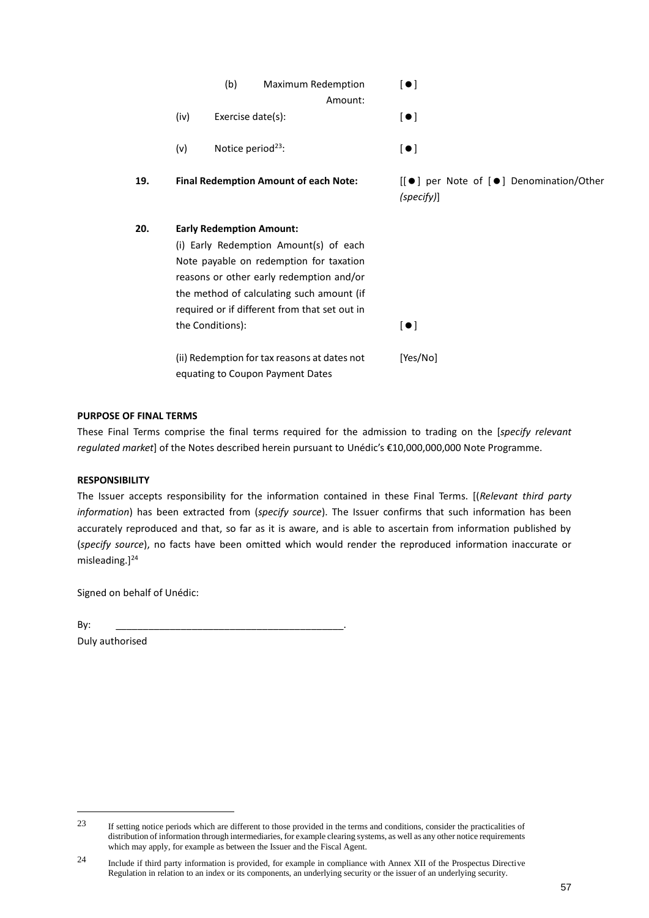|     | (b)<br>Maximum Redemption<br>Amount:                                                                                                                                                                                                                                               | $\left[\bullet\right]$                                |
|-----|------------------------------------------------------------------------------------------------------------------------------------------------------------------------------------------------------------------------------------------------------------------------------------|-------------------------------------------------------|
|     | (iv)<br>Exercise date(s):                                                                                                                                                                                                                                                          | $\left[\bullet\right]$                                |
|     | Notice period <sup>23</sup> :<br>(v)                                                                                                                                                                                                                                               | $\lbrack \bullet \rbrack$                             |
| 19. | <b>Final Redemption Amount of each Note:</b>                                                                                                                                                                                                                                       | [[●] per Note of [●] Denomination/Other<br>(specify)] |
| 20. | <b>Early Redemption Amount:</b><br>(i) Early Redemption Amount(s) of each<br>Note payable on redemption for taxation<br>reasons or other early redemption and/or<br>the method of calculating such amount (if<br>required or if different from that set out in<br>the Conditions): | $\left[\bullet\right]$                                |
|     | (ii) Redemption for tax reasons at dates not<br>equating to Coupon Payment Dates                                                                                                                                                                                                   | [Yes/No]                                              |

#### **PURPOSE OF FINAL TERMS**

These Final Terms comprise the final terms required for the admission to trading on the [*specify relevant regulated market*] of the Notes described herein pursuant to Unédic's €10,000,000,000 Note Programme.

#### **RESPONSIBILITY**

The Issuer accepts responsibility for the information contained in these Final Terms. [(*Relevant third party information*) has been extracted from (*specify source*). The Issuer confirms that such information has been accurately reproduced and that, so far as it is aware, and is able to ascertain from information published by (*specify source*), no facts have been omitted which would render the reproduced information inaccurate or misleading.]<sup>24</sup>

Signed on behalf of Unédic:

By: \_\_\_\_\_\_\_\_\_\_\_\_\_\_\_\_\_\_\_\_\_\_\_\_\_\_\_\_\_\_\_\_\_\_\_\_\_\_\_\_\_\_. Duly authorised

<sup>23</sup> If setting notice periods which are different to those provided in the terms and conditions, consider the practicalities of distribution of information through intermediaries, for example clearing systems, as well as any other notice requirements which may apply, for example as between the Issuer and the Fiscal Agent.

<sup>24</sup> Include if third party information is provided, for example in compliance with Annex XII of the Prospectus Directive Regulation in relation to an index or its components, an underlying security or the issuer of an underlying security.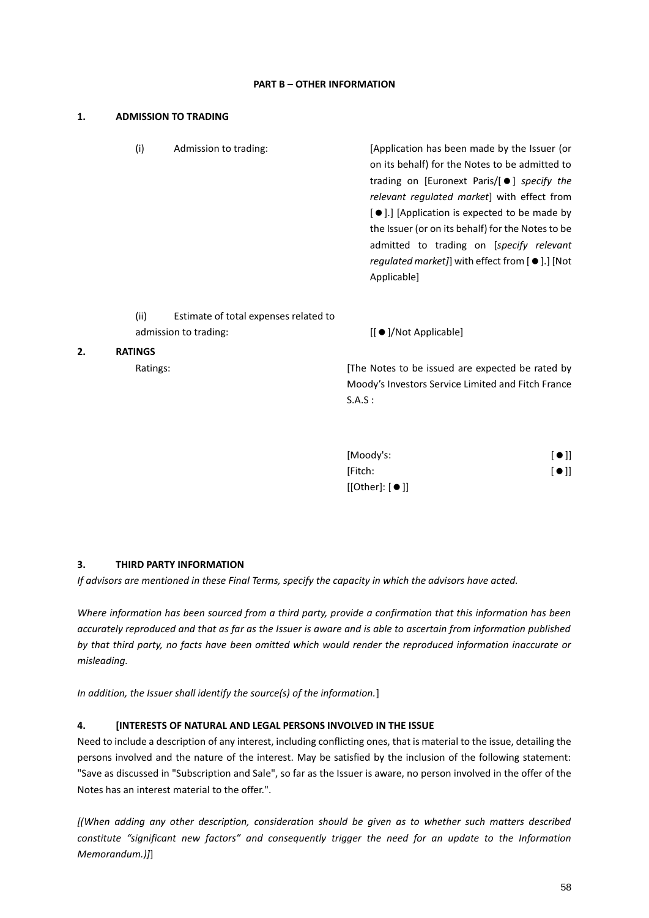#### **PART B – OTHER INFORMATION**

#### **1. ADMISSION TO TRADING**

**2.** 

|                | (i)  | Admission to trading:                                          | [Application has been made by the Issuer (or<br>on its behalf) for the Notes to be admitted to<br>trading on [Euronext Paris/[●] specify the<br><i>relevant regulated market</i> with effect from<br>[●].] [Application is expected to be made by<br>the Issuer (or on its behalf) for the Notes to be<br>admitted to trading on [specify relevant<br>regulated market]] with effect from [ $\bullet$ ].] [Not<br>Applicable] |  |  |
|----------------|------|----------------------------------------------------------------|-------------------------------------------------------------------------------------------------------------------------------------------------------------------------------------------------------------------------------------------------------------------------------------------------------------------------------------------------------------------------------------------------------------------------------|--|--|
|                | (ii) | Estimate of total expenses related to<br>admission to trading: | $\left[\right] \bullet$ $\left[\right]$ /Not Applicable $\left[\right]$                                                                                                                                                                                                                                                                                                                                                       |  |  |
| <b>RATINGS</b> |      |                                                                |                                                                                                                                                                                                                                                                                                                                                                                                                               |  |  |
| Ratings:       |      |                                                                | The Notes to be issued are expected be rated by<br>Moody's Investors Service Limited and Fitch France<br>S.A.S:                                                                                                                                                                                                                                                                                                               |  |  |

| [Moody's:                | $[$ $\bullet$ $]$ |
|--------------------------|-------------------|
| [Fitch:                  | [•]               |
| $[[Other]: [ \bullet ]]$ |                   |

#### **3. THIRD PARTY INFORMATION**

*If advisors are mentioned in these Final Terms, specify the capacity in which the advisors have acted.*

*Where information has been sourced from a third party, provide a confirmation that this information has been accurately reproduced and that as far as the Issuer is aware and is able to ascertain from information published by that third party, no facts have been omitted which would render the reproduced information inaccurate or misleading.*

*In addition, the Issuer shall identify the source(s) of the information.*]

#### **4. [INTERESTS OF NATURAL AND LEGAL PERSONS INVOLVED IN THE ISSUE**

Need to include a description of any interest, including conflicting ones, that is material to the issue, detailing the persons involved and the nature of the interest. May be satisfied by the inclusion of the following statement: "Save as discussed in "Subscription and Sale", so far as the Issuer is aware, no person involved in the offer of the Notes has an interest material to the offer.".

*[(When adding any other description, consideration should be given as to whether such matters described constitute "significant new factors" and consequently trigger the need for an update to the Information Memorandum.)]*]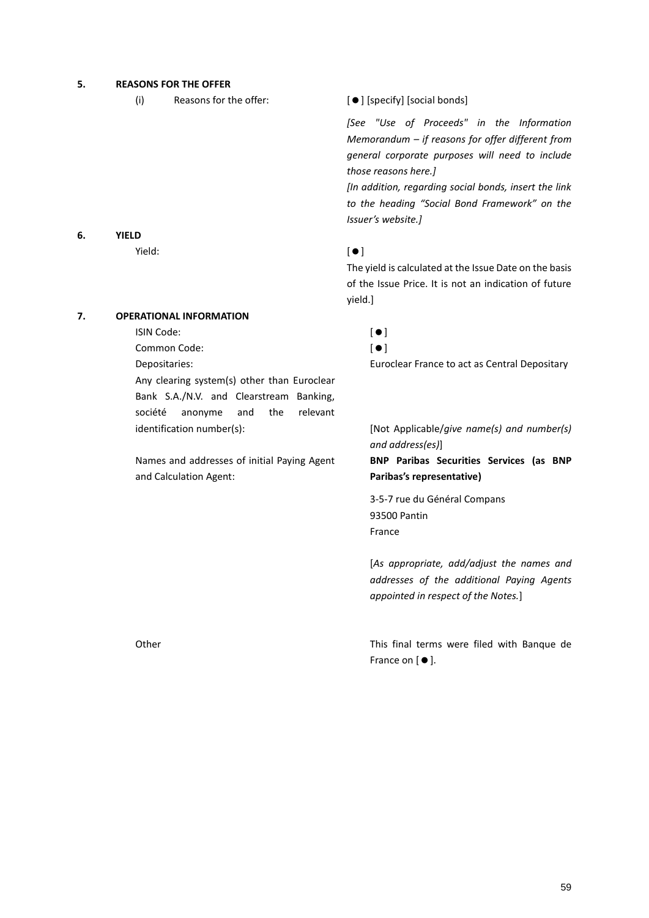#### **5. REASONS FOR THE OFFER**

(i) Reasons for the offer:  $[\bullet]$  [specify] [social bonds]

*[See "Use of Proceeds" in the Information Memorandum – if reasons for offer different from general corporate purposes will need to include those reasons here.]*

*[In addition, regarding social bonds, insert the link to the heading "Social Bond Framework" on the Issuer's website.]*

#### $Yield:$   $[$   $)$

The yield is calculated at the Issue Date on the basis of the Issue Price. It is not an indication of future yield.]

# **7. OPERATIONAL INFORMATION**

ISIN Code: []

**6. YIELD**

Common Code: []

Any clearing system(s) other than Euroclear Bank S.A./N.V. and Clearstream Banking, société anonyme and the relevant identification number(s): [Not Applicable/*give name(s) and number(s)* 

Names and addresses of initial Paying Agent and Calculation Agent:

Depositaries: Euroclear France to act as Central Depositary

*and address(es)*]

**BNP Paribas Securities Services (as BNP Paribas's representative)**

3-5-7 rue du Général Compans 93500 Pantin France

[*As appropriate, add/adjust the names and addresses of the additional Paying Agents appointed in respect of the Notes.*]

Other This final terms were filed with Banque de France on  $[$   $\bullet$   $]$ .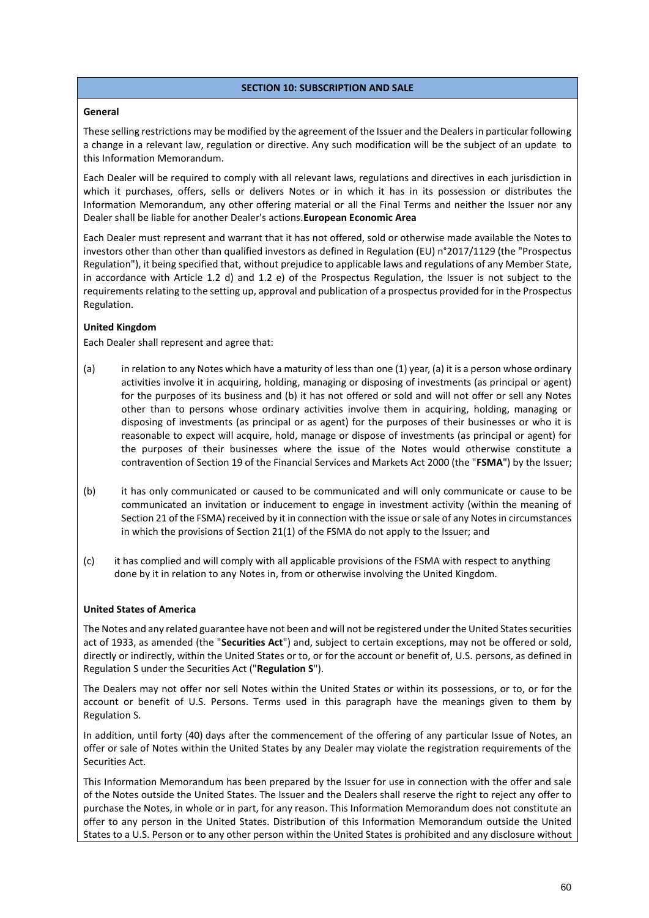#### **SECTION 10: SUBSCRIPTION AND SALE**

#### <span id="page-59-0"></span>**General**

These selling restrictions may be modified by the agreement of the Issuer and the Dealers in particular following a change in a relevant law, regulation or directive. Any such modification will be the subject of an update to this Information Memorandum.

Each Dealer will be required to comply with all relevant laws, regulations and directives in each jurisdiction in which it purchases, offers, sells or delivers Notes or in which it has in its possession or distributes the Information Memorandum, any other offering material or all the Final Terms and neither the Issuer nor any Dealer shall be liable for another Dealer's actions.**European Economic Area** 

Each Dealer must represent and warrant that it has not offered, sold or otherwise made available the Notes to investors other than other than qualified investors as defined in Regulation (EU) n°2017/1129 (the "Prospectus Regulation"), it being specified that, without prejudice to applicable laws and regulations of any Member State, in accordance with Article 1.2 d) and 1.2 e) of the Prospectus Regulation, the Issuer is not subject to the requirements relating to the setting up, approval and publication of a prospectus provided for in the Prospectus Regulation.

## **United Kingdom**

Each Dealer shall represent and agree that:

- (a) in relation to any Notes which have a maturity of less than one (1) year, (a) it is a person whose ordinary activities involve it in acquiring, holding, managing or disposing of investments (as principal or agent) for the purposes of its business and (b) it has not offered or sold and will not offer or sell any Notes other than to persons whose ordinary activities involve them in acquiring, holding, managing or disposing of investments (as principal or as agent) for the purposes of their businesses or who it is reasonable to expect will acquire, hold, manage or dispose of investments (as principal or agent) for the purposes of their businesses where the issue of the Notes would otherwise constitute a contravention of Section 19 of the Financial Services and Markets Act 2000 (the "**FSMA**") by the Issuer;
- (b) it has only communicated or caused to be communicated and will only communicate or cause to be communicated an invitation or inducement to engage in investment activity (within the meaning of Section 21 of the FSMA) received by it in connection with the issue or sale of any Notes in circumstances in which the provisions of Section 21(1) of the FSMA do not apply to the Issuer; and
- (c) it has complied and will comply with all applicable provisions of the FSMA with respect to anything done by it in relation to any Notes in, from or otherwise involving the United Kingdom.

# **United States of America**

The Notes and any related guarantee have not been and will not be registered under the United States securities act of 1933, as amended (the "**Securities Act**") and, subject to certain exceptions, may not be offered or sold, directly or indirectly, within the United States or to, or for the account or benefit of, U.S. persons, as defined in Regulation S under the Securities Act ("**Regulation S**").

The Dealers may not offer nor sell Notes within the United States or within its possessions, or to, or for the account or benefit of U.S. Persons. Terms used in this paragraph have the meanings given to them by Regulation S.

In addition, until forty (40) days after the commencement of the offering of any particular Issue of Notes, an offer or sale of Notes within the United States by any Dealer may violate the registration requirements of the Securities Act.

This Information Memorandum has been prepared by the Issuer for use in connection with the offer and sale of the Notes outside the United States. The Issuer and the Dealers shall reserve the right to reject any offer to purchase the Notes, in whole or in part, for any reason. This Information Memorandum does not constitute an offer to any person in the United States. Distribution of this Information Memorandum outside the United States to a U.S. Person or to any other person within the United States is prohibited and any disclosure without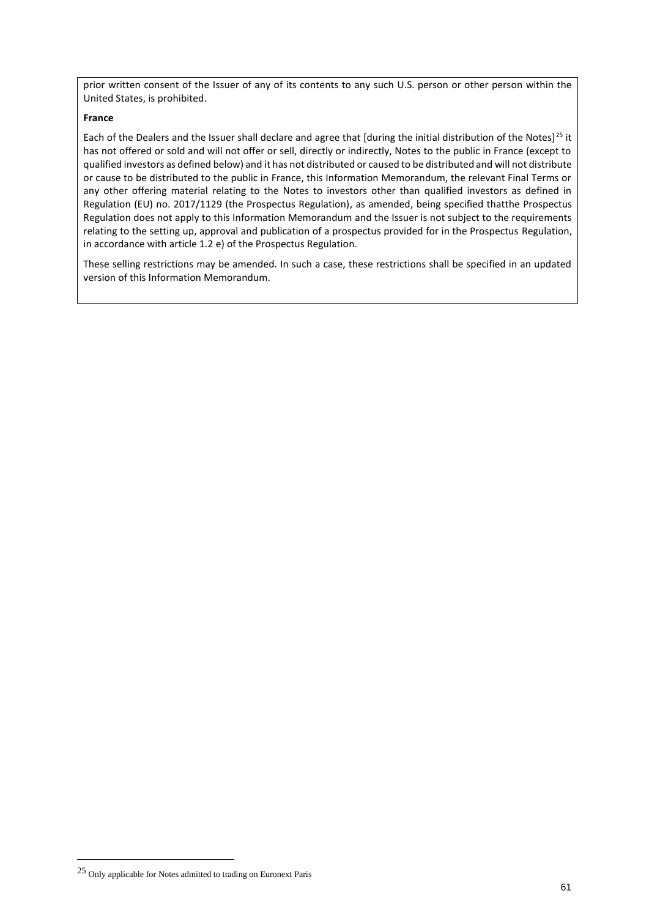prior written consent of the Issuer of any of its contents to any such U.S. person or other person within the United States, is prohibited.

#### **France**

Each of the Dealers and the Issuer shall declare and agree that [during the initial distribution of the Notes]<sup>25</sup> it has not offered or sold and will not offer or sell, directly or indirectly, Notes to the public in France (except to qualified investors as defined below) and it has not distributed or caused to be distributed and will not distribute or cause to be distributed to the public in France, this Information Memorandum, the relevant Final Terms or any other offering material relating to the Notes to investors other than qualified investors as defined in Regulation (EU) no. 2017/1129 (the Prospectus Regulation), as amended, being specified thatthe Prospectus Regulation does not apply to this Information Memorandum and the Issuer is not subject to the requirements relating to the setting up, approval and publication of a prospectus provided for in the Prospectus Regulation, in accordance with article 1.2 e) of the Prospectus Regulation.

These selling restrictions may be amended. In such a case, these restrictions shall be specified in an updated version of this Information Memorandum.

<sup>25</sup> Only applicable for Notes admitted to trading on Euronext Paris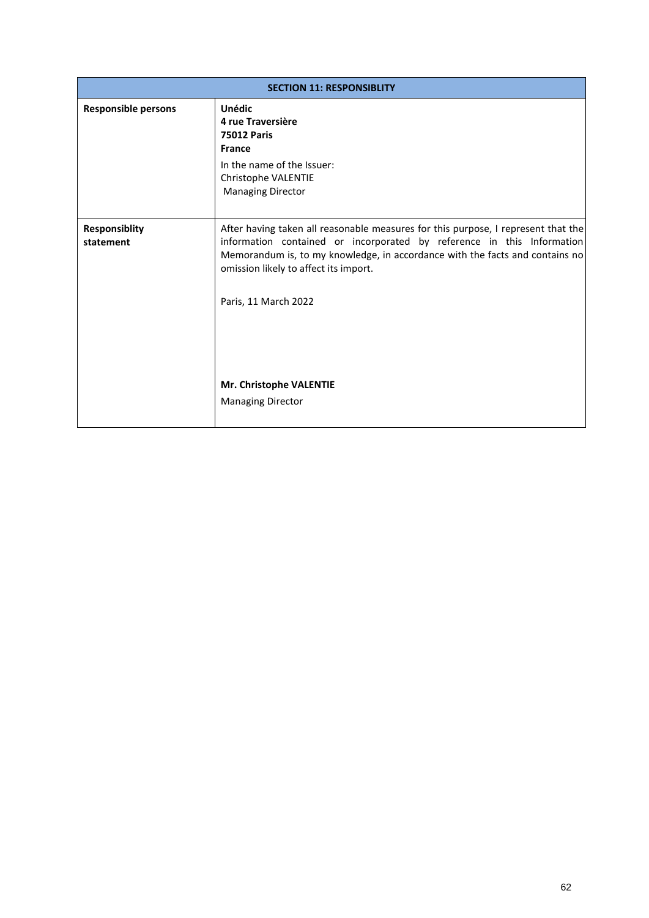<span id="page-61-0"></span>

| <b>SECTION 11: RESPONSIBLITY</b>  |                                                                                                                                                                                                                                                                                                              |  |  |  |
|-----------------------------------|--------------------------------------------------------------------------------------------------------------------------------------------------------------------------------------------------------------------------------------------------------------------------------------------------------------|--|--|--|
| <b>Responsible persons</b>        | <b>Unédic</b><br>4 rue Traversière<br><b>75012 Paris</b><br><b>France</b>                                                                                                                                                                                                                                    |  |  |  |
|                                   | In the name of the Issuer:<br>Christophe VALENTIE<br><b>Managing Director</b>                                                                                                                                                                                                                                |  |  |  |
| <b>Responsiblity</b><br>statement | After having taken all reasonable measures for this purpose, I represent that the<br>information contained or incorporated by reference in this Information<br>Memorandum is, to my knowledge, in accordance with the facts and contains no<br>omission likely to affect its import.<br>Paris, 11 March 2022 |  |  |  |
|                                   | Mr. Christophe VALENTIE<br><b>Managing Director</b>                                                                                                                                                                                                                                                          |  |  |  |